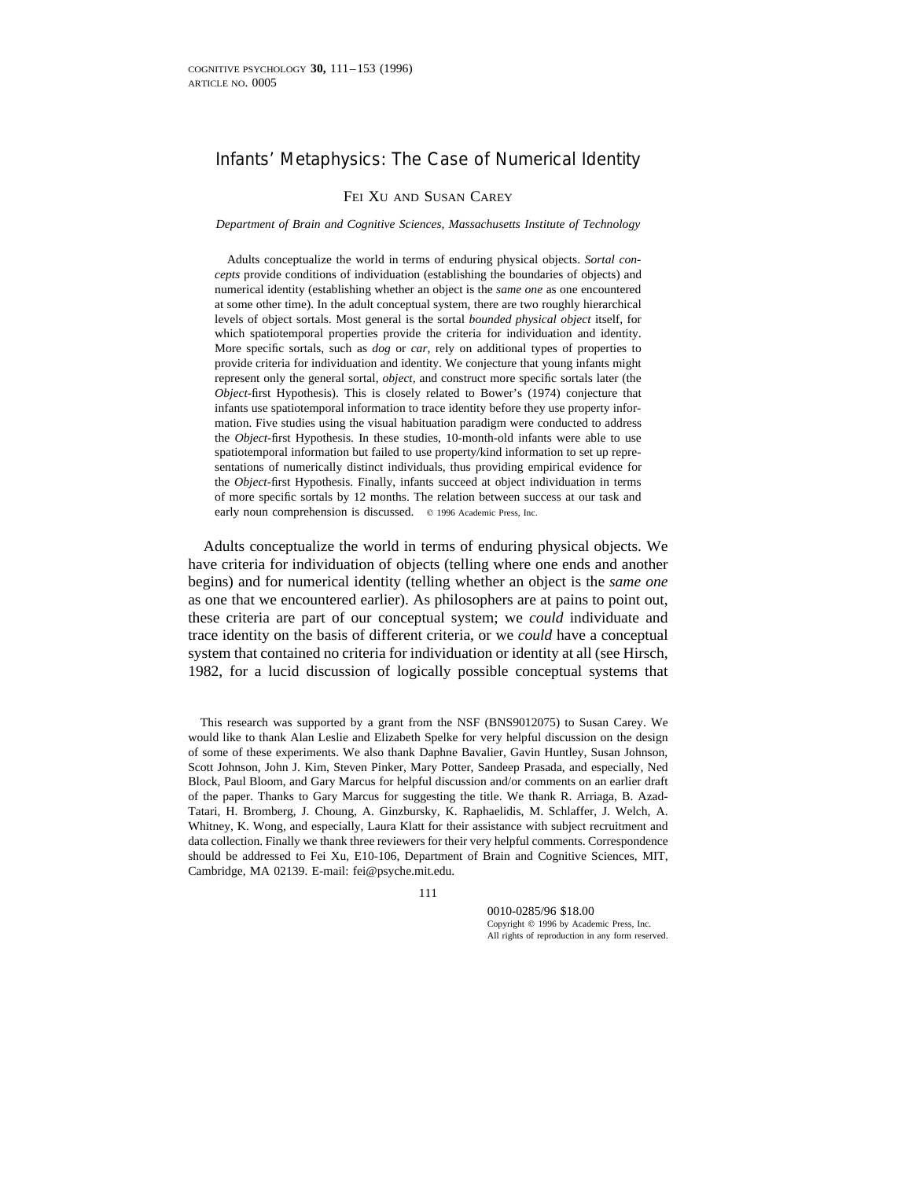# Infants' Metaphysics: The Case of Numerical Identity

#### FEI XU AND SUSAN CAREY

*Department of Brain and Cognitive Sciences, Massachusetts Institute of Technology*

Adults conceptualize the world in terms of enduring physical objects. *Sortal concepts* provide conditions of individuation (establishing the boundaries of objects) and numerical identity (establishing whether an object is the *same one* as one encountered at some other time). In the adult conceptual system, there are two roughly hierarchical levels of object sortals. Most general is the sortal *bounded physical object* itself, for which spatiotemporal properties provide the criteria for individuation and identity. More specific sortals, such as *dog* or *car,* rely on additional types of properties to provide criteria for individuation and identity. We conjecture that young infants might represent only the general sortal, *object,* and construct more specific sortals later (the *Object*-first Hypothesis). This is closely related to Bower's (1974) conjecture that infants use spatiotemporal information to trace identity before they use property information. Five studies using the visual habituation paradigm were conducted to address the *Object*-first Hypothesis. In these studies, 10-month-old infants were able to use spatiotemporal information but failed to use property/kind information to set up representations of numerically distinct individuals, thus providing empirical evidence for the *Object*-first Hypothesis. Finally, infants succeed at object individuation in terms of more specific sortals by 12 months. The relation between success at our task and early noun comprehension is discussed.  $\circ$  1996 Academic Press, Inc.

Adults conceptualize the world in terms of enduring physical objects. We have criteria for individuation of objects (telling where one ends and another begins) and for numerical identity (telling whether an object is the *same one* as one that we encountered earlier). As philosophers are at pains to point out, these criteria are part of our conceptual system; we *could* individuate and trace identity on the basis of different criteria, or we *could* have a conceptual system that contained no criteria for individuation or identity at all (see Hirsch, 1982, for a lucid discussion of logically possible conceptual systems that

This research was supported by a grant from the NSF (BNS9012075) to Susan Carey. We would like to thank Alan Leslie and Elizabeth Spelke for very helpful discussion on the design of some of these experiments. We also thank Daphne Bavalier, Gavin Huntley, Susan Johnson, Scott Johnson, John J. Kim, Steven Pinker, Mary Potter, Sandeep Prasada, and especially, Ned Block, Paul Bloom, and Gary Marcus for helpful discussion and/or comments on an earlier draft of the paper. Thanks to Gary Marcus for suggesting the title. We thank R. Arriaga, B. Azad-Tatari, H. Bromberg, J. Choung, A. Ginzbursky, K. Raphaelidis, M. Schlaffer, J. Welch, A. Whitney, K. Wong, and especially, Laura Klatt for their assistance with subject recruitment and data collection. Finally we thank three reviewers for their very helpful comments. Correspondence should be addressed to Fei Xu, E10-106, Department of Brain and Cognitive Sciences, MIT, Cambridge, MA 02139. E-mail: fei@psyche.mit.edu.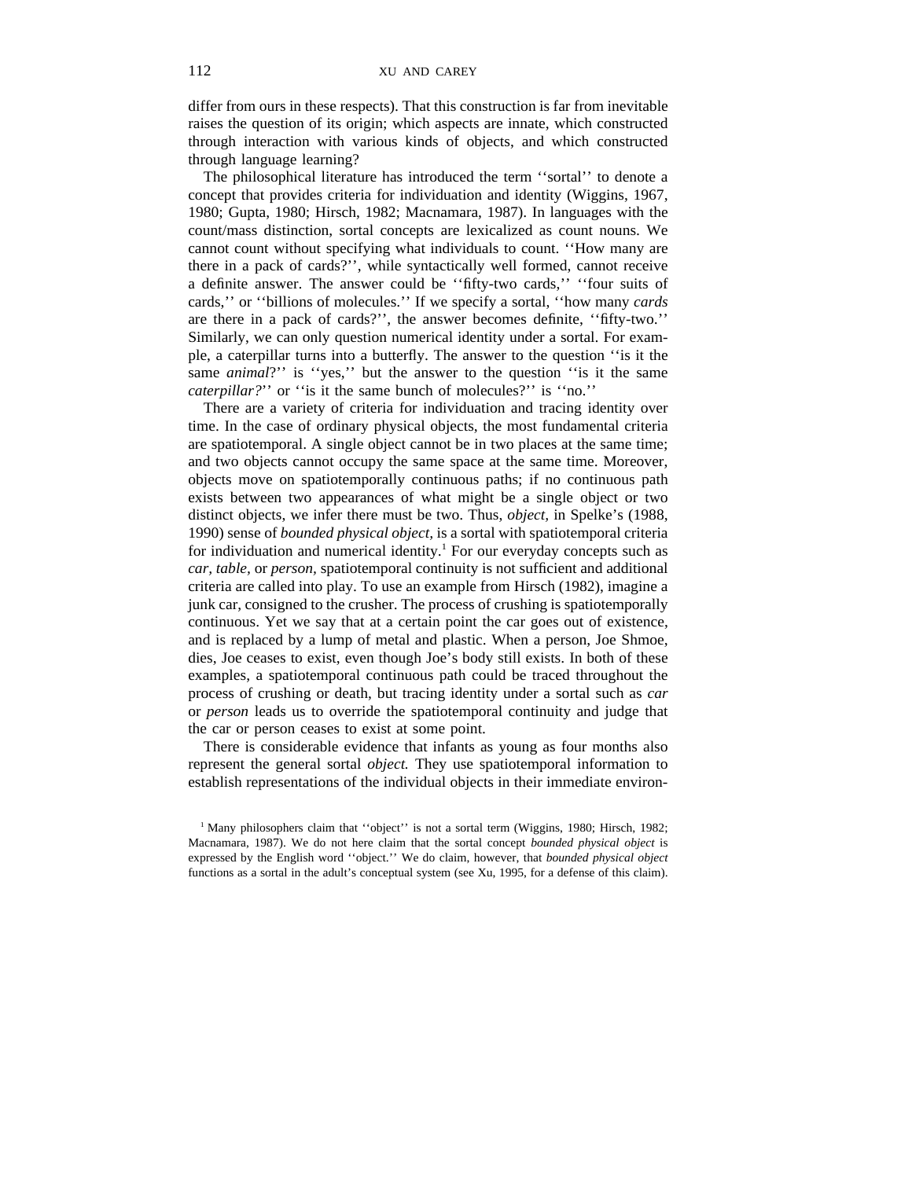differ from ours in these respects). That this construction is far from inevitable raises the question of its origin; which aspects are innate, which constructed through interaction with various kinds of objects, and which constructed through language learning?

The philosophical literature has introduced the term ''sortal'' to denote a concept that provides criteria for individuation and identity (Wiggins, 1967, 1980; Gupta, 1980; Hirsch, 1982; Macnamara, 1987). In languages with the count/mass distinction, sortal concepts are lexicalized as count nouns. We cannot count without specifying what individuals to count. ''How many are there in a pack of cards?'', while syntactically well formed, cannot receive a definite answer. The answer could be ''fifty-two cards,'' ''four suits of cards,'' or ''billions of molecules.'' If we specify a sortal, ''how many *cards* are there in a pack of cards?'', the answer becomes definite, ''fifty-two.'' Similarly, we can only question numerical identity under a sortal. For example, a caterpillar turns into a butterfly. The answer to the question ''is it the same *animal*?" is "yes," but the answer to the question "is it the same *caterpillar?*" or "is it the same bunch of molecules?" is "no."

There are a variety of criteria for individuation and tracing identity over time. In the case of ordinary physical objects, the most fundamental criteria are spatiotemporal. A single object cannot be in two places at the same time; and two objects cannot occupy the same space at the same time. Moreover, objects move on spatiotemporally continuous paths; if no continuous path exists between two appearances of what might be a single object or two distinct objects, we infer there must be two. Thus, *object,* in Spelke's (1988, 1990) sense of *bounded physical object,* is a sortal with spatiotemporal criteria for individuation and numerical identity.<sup>1</sup> For our everyday concepts such as *car, table,* or *person,* spatiotemporal continuity is not sufficient and additional criteria are called into play. To use an example from Hirsch (1982), imagine a junk car, consigned to the crusher. The process of crushing is spatiotemporally continuous. Yet we say that at a certain point the car goes out of existence, and is replaced by a lump of metal and plastic. When a person, Joe Shmoe, dies, Joe ceases to exist, even though Joe's body still exists. In both of these examples, a spatiotemporal continuous path could be traced throughout the process of crushing or death, but tracing identity under a sortal such as *car* or *person* leads us to override the spatiotemporal continuity and judge that the car or person ceases to exist at some point.

There is considerable evidence that infants as young as four months also represent the general sortal *object.* They use spatiotemporal information to establish representations of the individual objects in their immediate environ-

<sup>&</sup>lt;sup>1</sup> Many philosophers claim that "object" is not a sortal term (Wiggins, 1980; Hirsch, 1982; Macnamara, 1987). We do not here claim that the sortal concept *bounded physical object* is expressed by the English word ''object.'' We do claim, however, that *bounded physical object* functions as a sortal in the adult's conceptual system (see Xu, 1995, for a defense of this claim).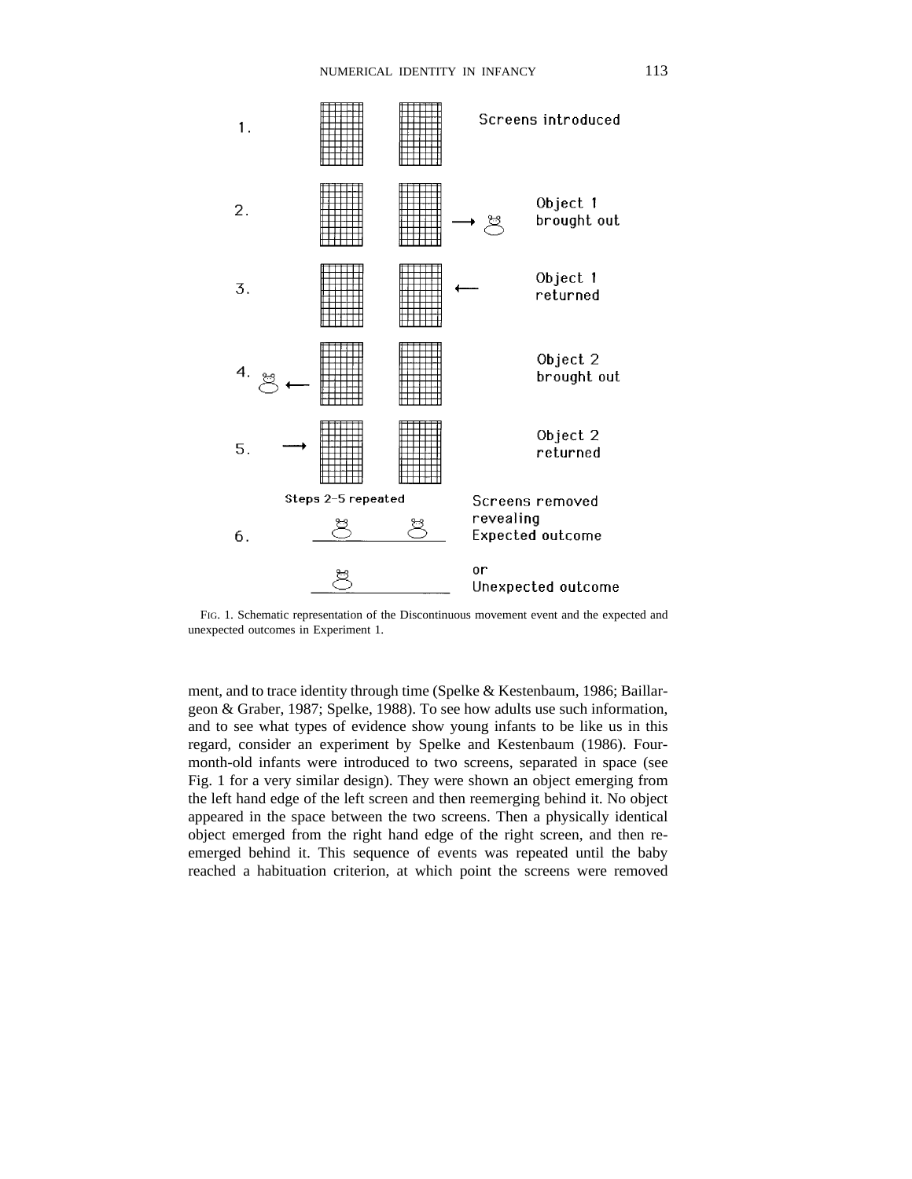

FIG. 1. Schematic representation of the Discontinuous movement event and the expected and unexpected outcomes in Experiment 1.

ment, and to trace identity through time (Spelke & Kestenbaum, 1986; Baillargeon & Graber, 1987; Spelke, 1988). To see how adults use such information, and to see what types of evidence show young infants to be like us in this regard, consider an experiment by Spelke and Kestenbaum (1986). Fourmonth-old infants were introduced to two screens, separated in space (see Fig. 1 for a very similar design). They were shown an object emerging from the left hand edge of the left screen and then reemerging behind it. No object appeared in the space between the two screens. Then a physically identical object emerged from the right hand edge of the right screen, and then reemerged behind it. This sequence of events was repeated until the baby reached a habituation criterion, at which point the screens were removed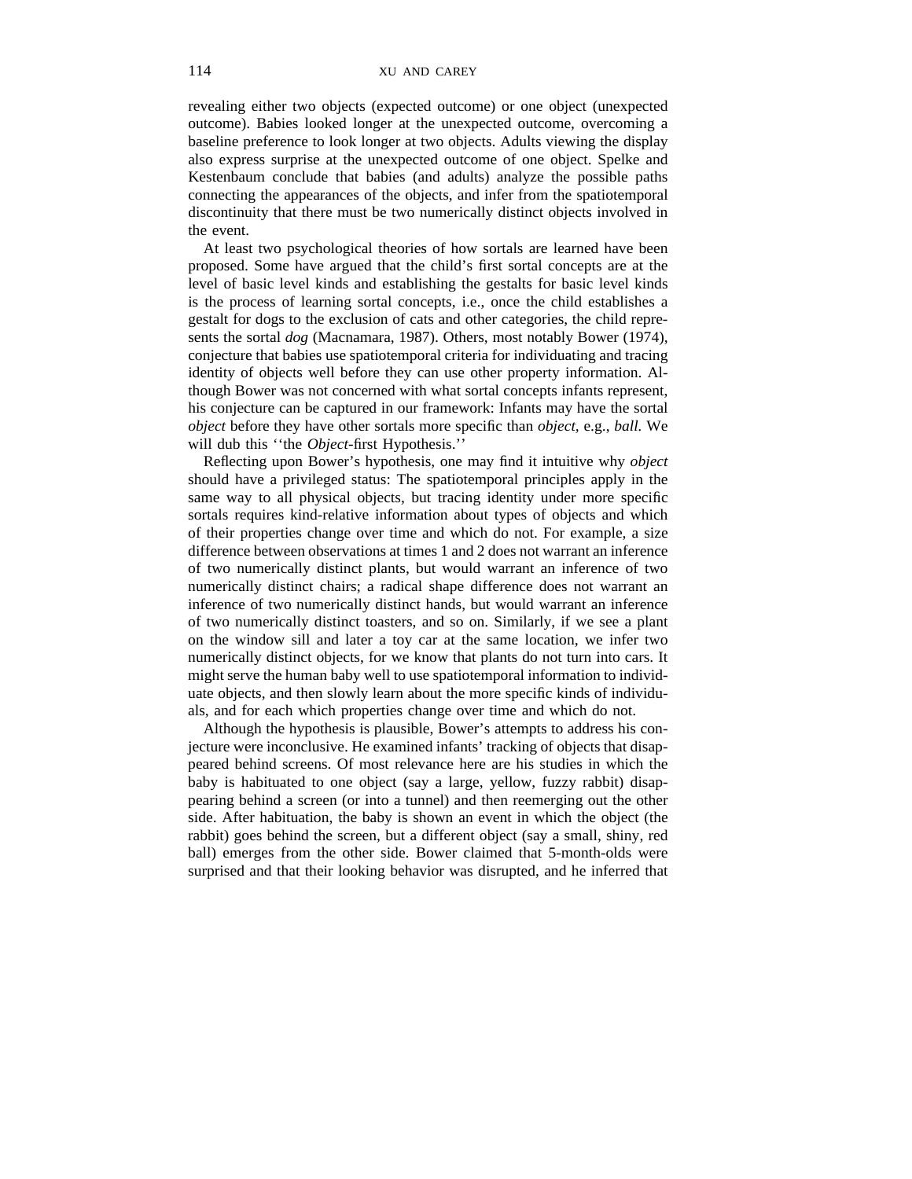revealing either two objects (expected outcome) or one object (unexpected outcome). Babies looked longer at the unexpected outcome, overcoming a baseline preference to look longer at two objects. Adults viewing the display also express surprise at the unexpected outcome of one object. Spelke and Kestenbaum conclude that babies (and adults) analyze the possible paths connecting the appearances of the objects, and infer from the spatiotemporal discontinuity that there must be two numerically distinct objects involved in the event.

At least two psychological theories of how sortals are learned have been proposed. Some have argued that the child's first sortal concepts are at the level of basic level kinds and establishing the gestalts for basic level kinds is the process of learning sortal concepts, i.e., once the child establishes a gestalt for dogs to the exclusion of cats and other categories, the child represents the sortal *dog* (Macnamara, 1987). Others, most notably Bower (1974), conjecture that babies use spatiotemporal criteria for individuating and tracing identity of objects well before they can use other property information. Although Bower was not concerned with what sortal concepts infants represent, his conjecture can be captured in our framework: Infants may have the sortal *object* before they have other sortals more specific than *object,* e.g., *ball.* We will dub this "the *Object*-first Hypothesis."

Reflecting upon Bower's hypothesis, one may find it intuitive why *object* should have a privileged status: The spatiotemporal principles apply in the same way to all physical objects, but tracing identity under more specific sortals requires kind-relative information about types of objects and which of their properties change over time and which do not. For example, a size difference between observations at times 1 and 2 does not warrant an inference of two numerically distinct plants, but would warrant an inference of two numerically distinct chairs; a radical shape difference does not warrant an inference of two numerically distinct hands, but would warrant an inference of two numerically distinct toasters, and so on. Similarly, if we see a plant on the window sill and later a toy car at the same location, we infer two numerically distinct objects, for we know that plants do not turn into cars. It might serve the human baby well to use spatiotemporal information to individuate objects, and then slowly learn about the more specific kinds of individuals, and for each which properties change over time and which do not.

Although the hypothesis is plausible, Bower's attempts to address his conjecture were inconclusive. He examined infants' tracking of objects that disappeared behind screens. Of most relevance here are his studies in which the baby is habituated to one object (say a large, yellow, fuzzy rabbit) disappearing behind a screen (or into a tunnel) and then reemerging out the other side. After habituation, the baby is shown an event in which the object (the rabbit) goes behind the screen, but a different object (say a small, shiny, red ball) emerges from the other side. Bower claimed that 5-month-olds were surprised and that their looking behavior was disrupted, and he inferred that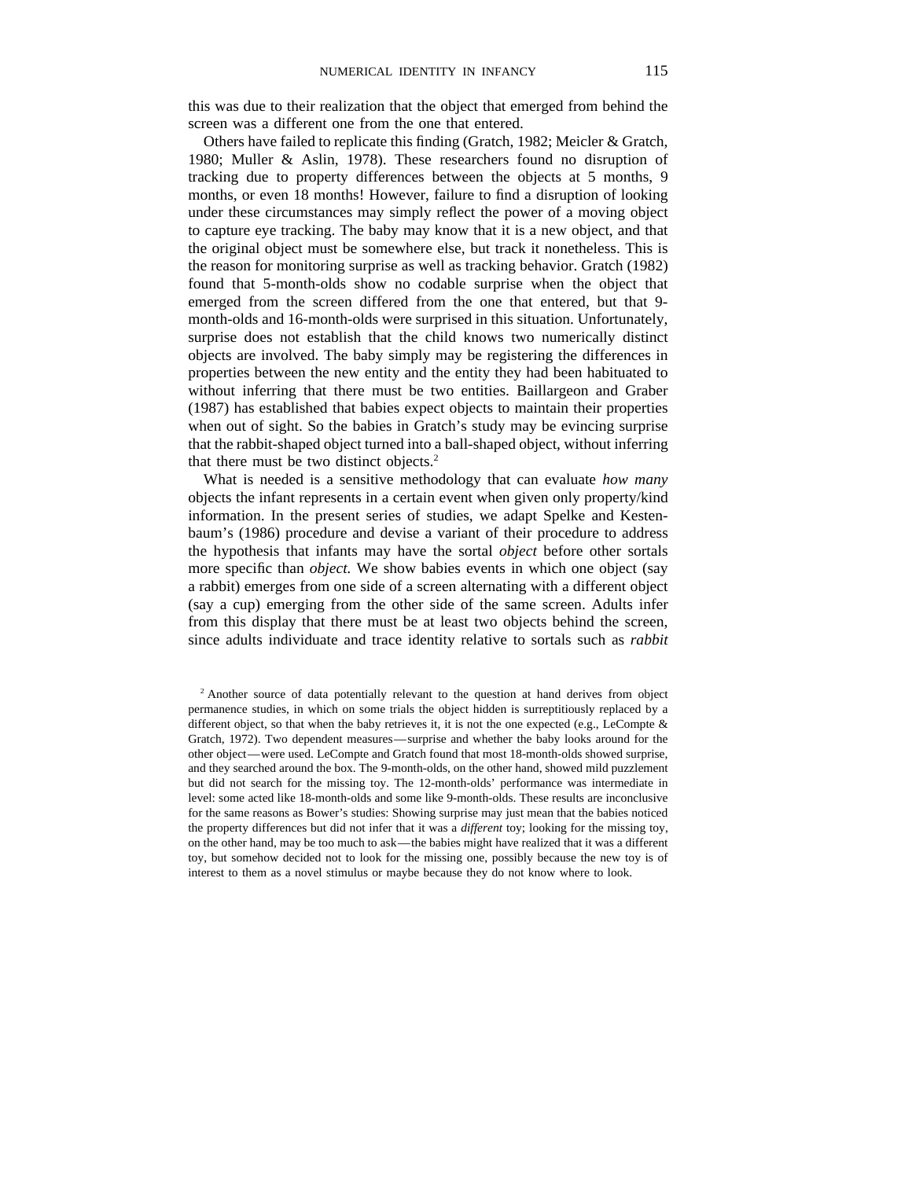this was due to their realization that the object that emerged from behind the screen was a different one from the one that entered.

Others have failed to replicate this finding (Gratch, 1982; Meicler & Gratch, 1980; Muller & Aslin, 1978). These researchers found no disruption of tracking due to property differences between the objects at 5 months, 9 months, or even 18 months! However, failure to find a disruption of looking under these circumstances may simply reflect the power of a moving object to capture eye tracking. The baby may know that it is a new object, and that the original object must be somewhere else, but track it nonetheless. This is the reason for monitoring surprise as well as tracking behavior. Gratch (1982) found that 5-month-olds show no codable surprise when the object that emerged from the screen differed from the one that entered, but that 9 month-olds and 16-month-olds were surprised in this situation. Unfortunately, surprise does not establish that the child knows two numerically distinct objects are involved. The baby simply may be registering the differences in properties between the new entity and the entity they had been habituated to without inferring that there must be two entities. Baillargeon and Graber (1987) has established that babies expect objects to maintain their properties when out of sight. So the babies in Gratch's study may be evincing surprise that the rabbit-shaped object turned into a ball-shaped object, without inferring that there must be two distinct objects.<sup>2</sup>

What is needed is a sensitive methodology that can evaluate *how many* objects the infant represents in a certain event when given only property/kind information. In the present series of studies, we adapt Spelke and Kestenbaum's (1986) procedure and devise a variant of their procedure to address the hypothesis that infants may have the sortal *object* before other sortals more specific than *object.* We show babies events in which one object (say a rabbit) emerges from one side of a screen alternating with a different object (say a cup) emerging from the other side of the same screen. Adults infer from this display that there must be at least two objects behind the screen, since adults individuate and trace identity relative to sortals such as *rabbit*

<sup>2</sup> Another source of data potentially relevant to the question at hand derives from object permanence studies, in which on some trials the object hidden is surreptitiously replaced by a different object, so that when the baby retrieves it, it is not the one expected (e.g., LeCompte & Gratch, 1972). Two dependent measures—surprise and whether the baby looks around for the other object—were used. LeCompte and Gratch found that most 18-month-olds showed surprise, and they searched around the box. The 9-month-olds, on the other hand, showed mild puzzlement but did not search for the missing toy. The 12-month-olds' performance was intermediate in level: some acted like 18-month-olds and some like 9-month-olds. These results are inconclusive for the same reasons as Bower's studies: Showing surprise may just mean that the babies noticed the property differences but did not infer that it was a *different* toy; looking for the missing toy, on the other hand, may be too much to ask—the babies might have realized that it was a different toy, but somehow decided not to look for the missing one, possibly because the new toy is of interest to them as a novel stimulus or maybe because they do not know where to look.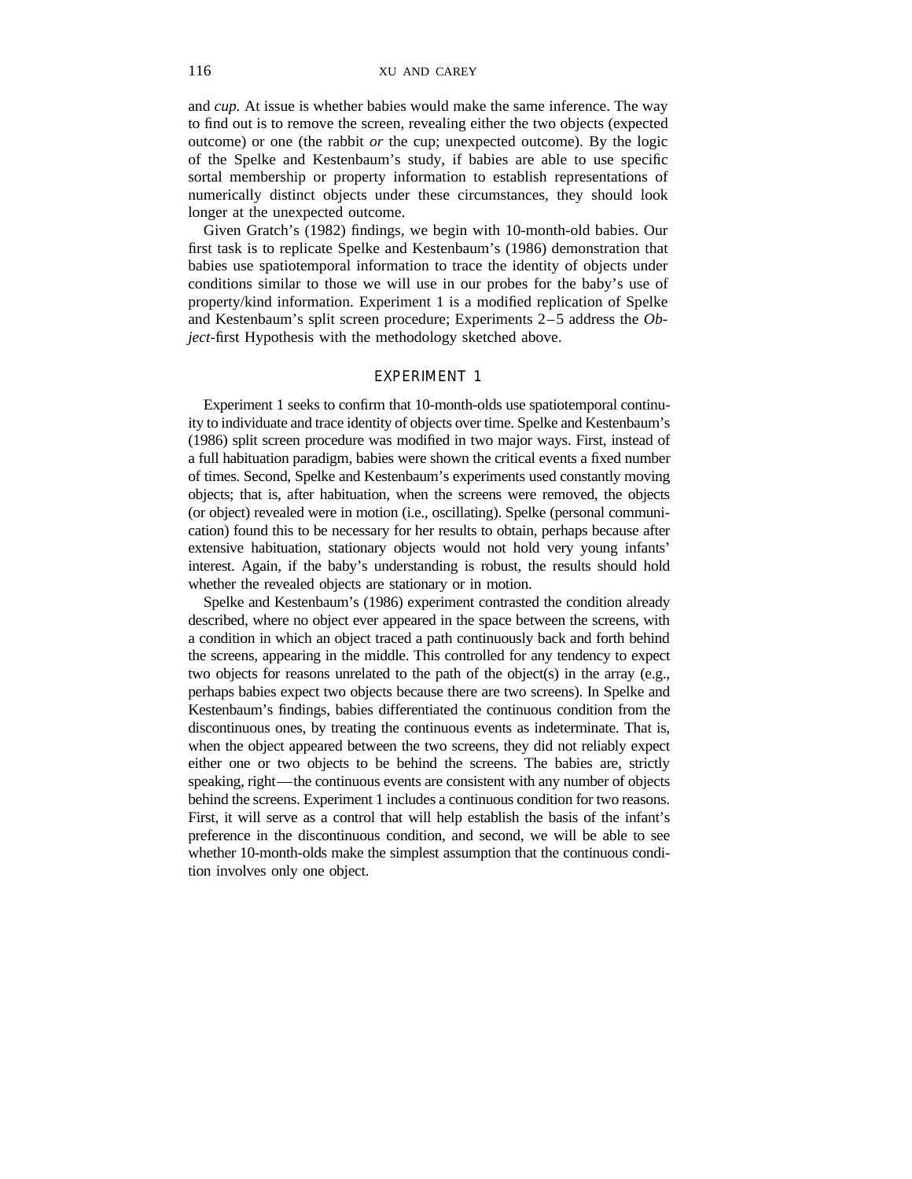and *cup.* At issue is whether babies would make the same inference. The way to find out is to remove the screen, revealing either the two objects (expected outcome) or one (the rabbit *or* the cup; unexpected outcome). By the logic of the Spelke and Kestenbaum's study, if babies are able to use specific sortal membership or property information to establish representations of numerically distinct objects under these circumstances, they should look longer at the unexpected outcome.

Given Gratch's (1982) findings, we begin with 10-month-old babies. Our first task is to replicate Spelke and Kestenbaum's (1986) demonstration that babies use spatiotemporal information to trace the identity of objects under conditions similar to those we will use in our probes for the baby's use of property/kind information. Experiment 1 is a modified replication of Spelke and Kestenbaum's split screen procedure; Experiments 2–5 address the *Object*-first Hypothesis with the methodology sketched above.

## EXPERIMENT 1

Experiment 1 seeks to confirm that 10-month-olds use spatiotemporal continuity to individuate and trace identity of objects over time. Spelke and Kestenbaum's (1986) split screen procedure was modified in two major ways. First, instead of a full habituation paradigm, babies were shown the critical events a fixed number of times. Second, Spelke and Kestenbaum's experiments used constantly moving objects; that is, after habituation, when the screens were removed, the objects (or object) revealed were in motion (i.e., oscillating). Spelke (personal communication) found this to be necessary for her results to obtain, perhaps because after extensive habituation, stationary objects would not hold very young infants' interest. Again, if the baby's understanding is robust, the results should hold whether the revealed objects are stationary or in motion.

Spelke and Kestenbaum's (1986) experiment contrasted the condition already described, where no object ever appeared in the space between the screens, with a condition in which an object traced a path continuously back and forth behind the screens, appearing in the middle. This controlled for any tendency to expect two objects for reasons unrelated to the path of the object(s) in the array (e.g., perhaps babies expect two objects because there are two screens). In Spelke and Kestenbaum's findings, babies differentiated the continuous condition from the discontinuous ones, by treating the continuous events as indeterminate. That is, when the object appeared between the two screens, they did not reliably expect either one or two objects to be behind the screens. The babies are, strictly speaking, right—the continuous events are consistent with any number of objects behind the screens. Experiment 1 includes a continuous condition for two reasons. First, it will serve as a control that will help establish the basis of the infant's preference in the discontinuous condition, and second, we will be able to see whether 10-month-olds make the simplest assumption that the continuous condition involves only one object.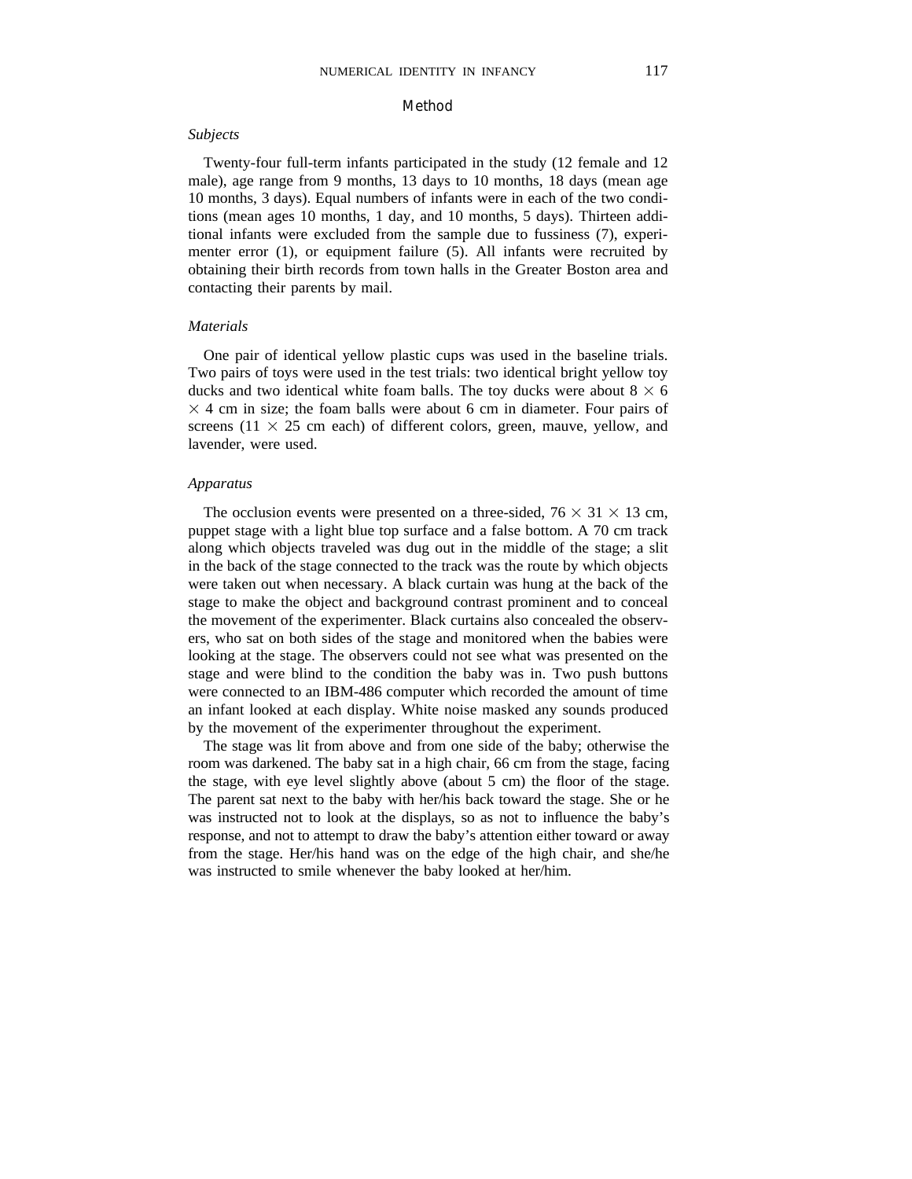#### Method

#### *Subjects*

Twenty-four full-term infants participated in the study (12 female and 12 male), age range from 9 months, 13 days to 10 months, 18 days (mean age 10 months, 3 days). Equal numbers of infants were in each of the two conditions (mean ages 10 months, 1 day, and 10 months, 5 days). Thirteen additional infants were excluded from the sample due to fussiness (7), experimenter error (1), or equipment failure (5). All infants were recruited by obtaining their birth records from town halls in the Greater Boston area and contacting their parents by mail.

#### *Materials*

One pair of identical yellow plastic cups was used in the baseline trials. Two pairs of toys were used in the test trials: two identical bright yellow toy ducks and two identical white foam balls. The toy ducks were about  $8 \times 6$  $\times$  4 cm in size; the foam balls were about 6 cm in diameter. Four pairs of screens (11  $\times$  25 cm each) of different colors, green, mauve, yellow, and lavender, were used.

#### *Apparatus*

The occlusion events were presented on a three-sided,  $76 \times 31 \times 13$  cm, puppet stage with a light blue top surface and a false bottom. A 70 cm track along which objects traveled was dug out in the middle of the stage; a slit in the back of the stage connected to the track was the route by which objects were taken out when necessary. A black curtain was hung at the back of the stage to make the object and background contrast prominent and to conceal the movement of the experimenter. Black curtains also concealed the observers, who sat on both sides of the stage and monitored when the babies were looking at the stage. The observers could not see what was presented on the stage and were blind to the condition the baby was in. Two push buttons were connected to an IBM-486 computer which recorded the amount of time an infant looked at each display. White noise masked any sounds produced by the movement of the experimenter throughout the experiment.

The stage was lit from above and from one side of the baby; otherwise the room was darkened. The baby sat in a high chair, 66 cm from the stage, facing the stage, with eye level slightly above (about 5 cm) the floor of the stage. The parent sat next to the baby with her/his back toward the stage. She or he was instructed not to look at the displays, so as not to influence the baby's response, and not to attempt to draw the baby's attention either toward or away from the stage. Her/his hand was on the edge of the high chair, and she/he was instructed to smile whenever the baby looked at her/him.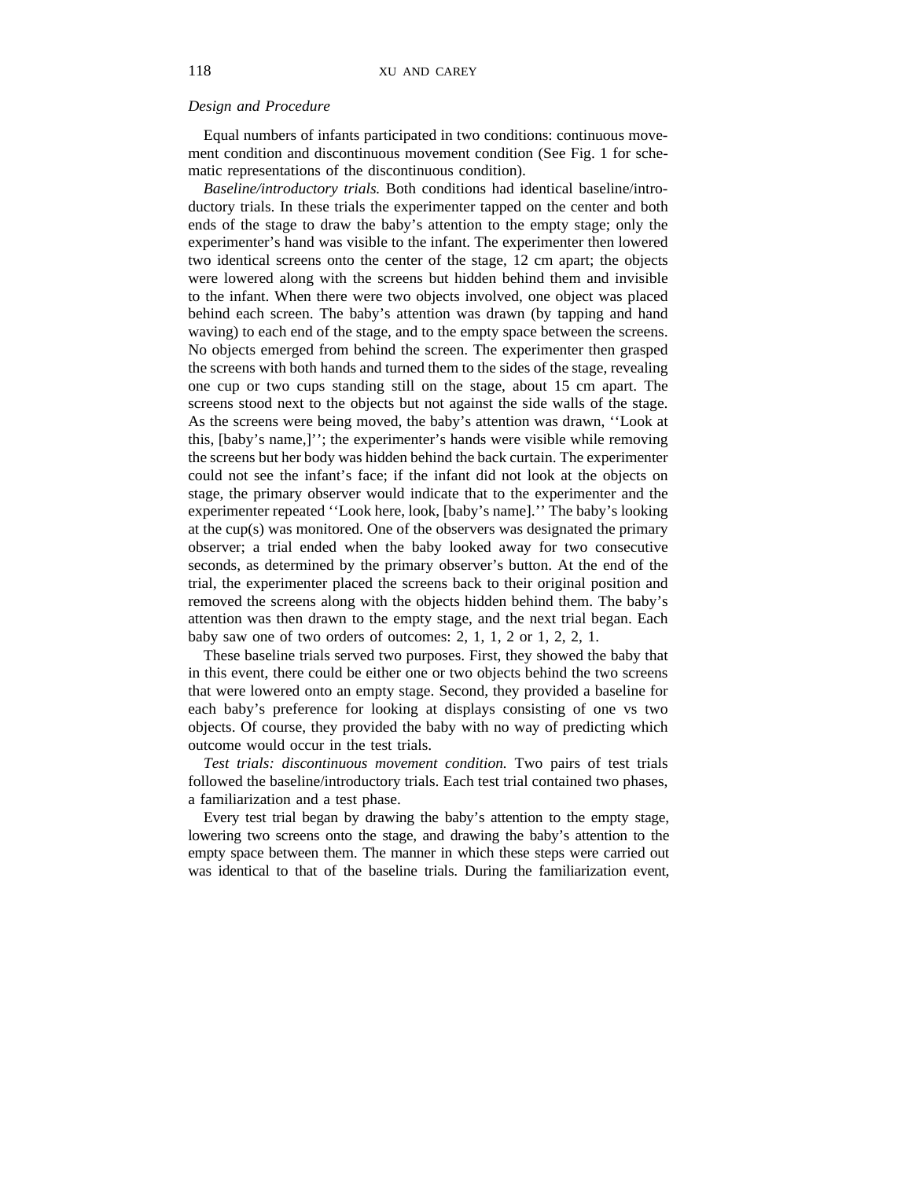### *Design and Procedure*

Equal numbers of infants participated in two conditions: continuous movement condition and discontinuous movement condition (See Fig. 1 for schematic representations of the discontinuous condition).

*Baseline/introductory trials.* Both conditions had identical baseline/introductory trials. In these trials the experimenter tapped on the center and both ends of the stage to draw the baby's attention to the empty stage; only the experimenter's hand was visible to the infant. The experimenter then lowered two identical screens onto the center of the stage, 12 cm apart; the objects were lowered along with the screens but hidden behind them and invisible to the infant. When there were two objects involved, one object was placed behind each screen. The baby's attention was drawn (by tapping and hand waving) to each end of the stage, and to the empty space between the screens. No objects emerged from behind the screen. The experimenter then grasped the screens with both hands and turned them to the sides of the stage, revealing one cup or two cups standing still on the stage, about 15 cm apart. The screens stood next to the objects but not against the side walls of the stage. As the screens were being moved, the baby's attention was drawn, ''Look at this, [baby's name,]''; the experimenter's hands were visible while removing the screens but her body was hidden behind the back curtain. The experimenter could not see the infant's face; if the infant did not look at the objects on stage, the primary observer would indicate that to the experimenter and the experimenter repeated ''Look here, look, [baby's name].'' The baby's looking at the cup(s) was monitored. One of the observers was designated the primary observer; a trial ended when the baby looked away for two consecutive seconds, as determined by the primary observer's button. At the end of the trial, the experimenter placed the screens back to their original position and removed the screens along with the objects hidden behind them. The baby's attention was then drawn to the empty stage, and the next trial began. Each baby saw one of two orders of outcomes: 2, 1, 1, 2 or 1, 2, 2, 1.

These baseline trials served two purposes. First, they showed the baby that in this event, there could be either one or two objects behind the two screens that were lowered onto an empty stage. Second, they provided a baseline for each baby's preference for looking at displays consisting of one vs two objects. Of course, they provided the baby with no way of predicting which outcome would occur in the test trials.

*Test trials: discontinuous movement condition.* Two pairs of test trials followed the baseline/introductory trials. Each test trial contained two phases, a familiarization and a test phase.

Every test trial began by drawing the baby's attention to the empty stage, lowering two screens onto the stage, and drawing the baby's attention to the empty space between them. The manner in which these steps were carried out was identical to that of the baseline trials. During the familiarization event,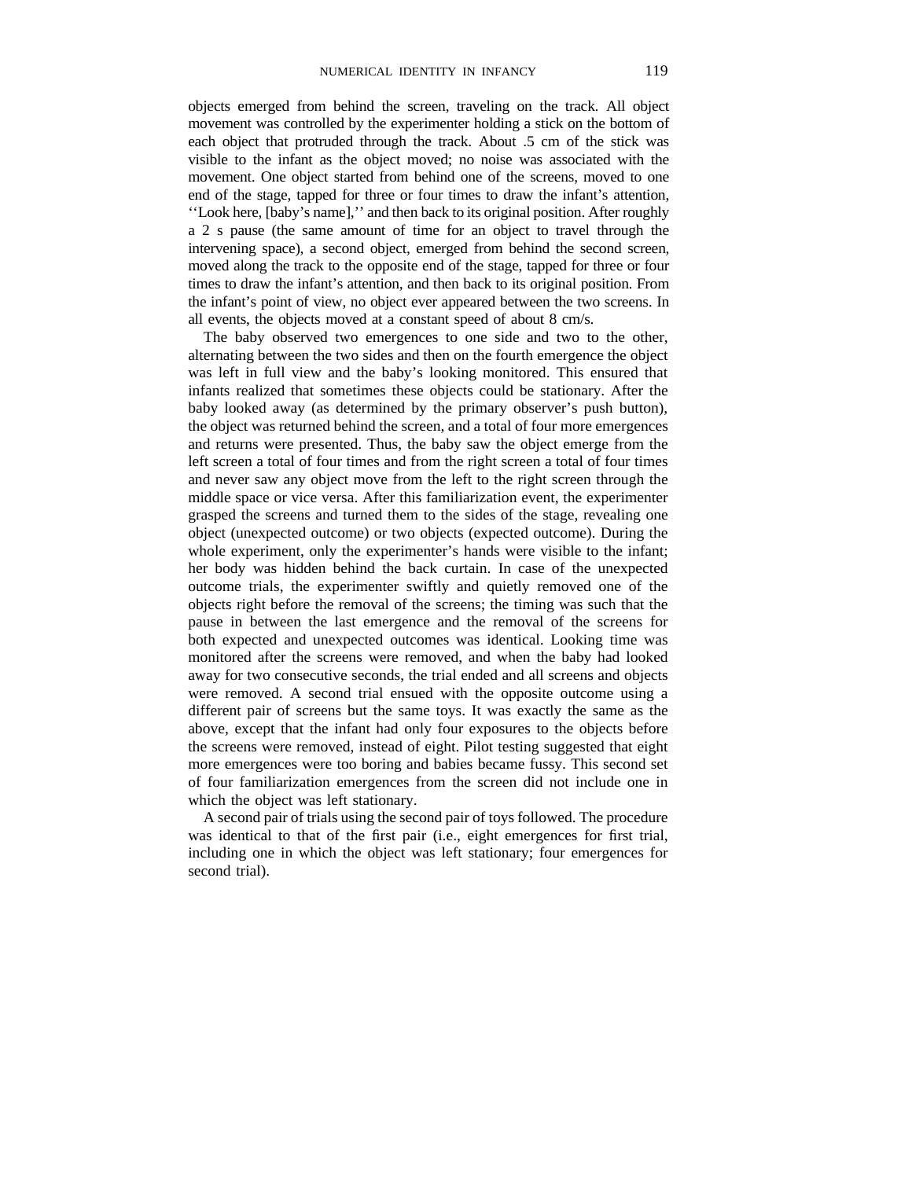objects emerged from behind the screen, traveling on the track. All object movement was controlled by the experimenter holding a stick on the bottom of each object that protruded through the track. About .5 cm of the stick was visible to the infant as the object moved; no noise was associated with the movement. One object started from behind one of the screens, moved to one end of the stage, tapped for three or four times to draw the infant's attention, ''Look here, [baby's name],'' and then back to its original position. After roughly a 2 s pause (the same amount of time for an object to travel through the intervening space), a second object, emerged from behind the second screen, moved along the track to the opposite end of the stage, tapped for three or four times to draw the infant's attention, and then back to its original position. From the infant's point of view, no object ever appeared between the two screens. In all events, the objects moved at a constant speed of about 8 cm/s.

The baby observed two emergences to one side and two to the other, alternating between the two sides and then on the fourth emergence the object was left in full view and the baby's looking monitored. This ensured that infants realized that sometimes these objects could be stationary. After the baby looked away (as determined by the primary observer's push button), the object was returned behind the screen, and a total of four more emergences and returns were presented. Thus, the baby saw the object emerge from the left screen a total of four times and from the right screen a total of four times and never saw any object move from the left to the right screen through the middle space or vice versa. After this familiarization event, the experimenter grasped the screens and turned them to the sides of the stage, revealing one object (unexpected outcome) or two objects (expected outcome). During the whole experiment, only the experimenter's hands were visible to the infant; her body was hidden behind the back curtain. In case of the unexpected outcome trials, the experimenter swiftly and quietly removed one of the objects right before the removal of the screens; the timing was such that the pause in between the last emergence and the removal of the screens for both expected and unexpected outcomes was identical. Looking time was monitored after the screens were removed, and when the baby had looked away for two consecutive seconds, the trial ended and all screens and objects were removed. A second trial ensued with the opposite outcome using a different pair of screens but the same toys. It was exactly the same as the above, except that the infant had only four exposures to the objects before the screens were removed, instead of eight. Pilot testing suggested that eight more emergences were too boring and babies became fussy. This second set of four familiarization emergences from the screen did not include one in which the object was left stationary.

A second pair of trials using the second pair of toys followed. The procedure was identical to that of the first pair (i.e., eight emergences for first trial, including one in which the object was left stationary; four emergences for second trial).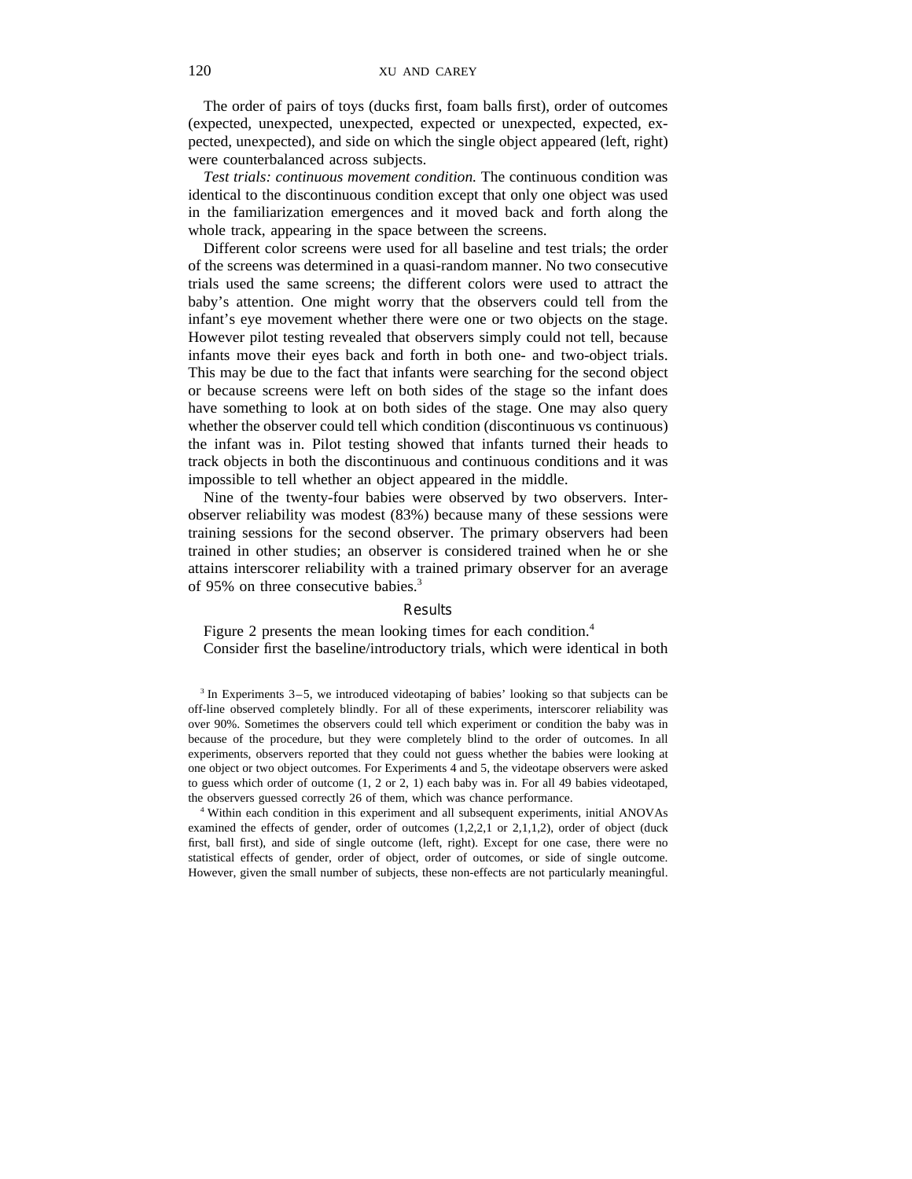The order of pairs of toys (ducks first, foam balls first), order of outcomes (expected, unexpected, unexpected, expected or unexpected, expected, expected, unexpected), and side on which the single object appeared (left, right) were counterbalanced across subjects.

*Test trials: continuous movement condition.* The continuous condition was identical to the discontinuous condition except that only one object was used in the familiarization emergences and it moved back and forth along the whole track, appearing in the space between the screens.

Different color screens were used for all baseline and test trials; the order of the screens was determined in a quasi-random manner. No two consecutive trials used the same screens; the different colors were used to attract the baby's attention. One might worry that the observers could tell from the infant's eye movement whether there were one or two objects on the stage. However pilot testing revealed that observers simply could not tell, because infants move their eyes back and forth in both one- and two-object trials. This may be due to the fact that infants were searching for the second object or because screens were left on both sides of the stage so the infant does have something to look at on both sides of the stage. One may also query whether the observer could tell which condition (discontinuous vs continuous) the infant was in. Pilot testing showed that infants turned their heads to track objects in both the discontinuous and continuous conditions and it was impossible to tell whether an object appeared in the middle.

Nine of the twenty-four babies were observed by two observers. Interobserver reliability was modest (83%) because many of these sessions were training sessions for the second observer. The primary observers had been trained in other studies; an observer is considered trained when he or she attains interscorer reliability with a trained primary observer for an average of 95% on three consecutive babies.<sup>3</sup>

### Results

Figure 2 presents the mean looking times for each condition.<sup>4</sup> Consider first the baseline/introductory trials, which were identical in both

<sup>3</sup> In Experiments 3–5, we introduced videotaping of babies' looking so that subjects can be off-line observed completely blindly. For all of these experiments, interscorer reliability was over 90%. Sometimes the observers could tell which experiment or condition the baby was in because of the procedure, but they were completely blind to the order of outcomes. In all experiments, observers reported that they could not guess whether the babies were looking at one object or two object outcomes. For Experiments 4 and 5, the videotape observers were asked to guess which order of outcome (1, 2 or 2, 1) each baby was in. For all 49 babies videotaped, the observers guessed correctly 26 of them, which was chance performance.

<sup>4</sup> Within each condition in this experiment and all subsequent experiments, initial ANOVAs examined the effects of gender, order of outcomes  $(1,2,2,1)$  or  $(2,1,1,2)$ , order of object (duck first, ball first), and side of single outcome (left, right). Except for one case, there were no statistical effects of gender, order of object, order of outcomes, or side of single outcome. However, given the small number of subjects, these non-effects are not particularly meaningful.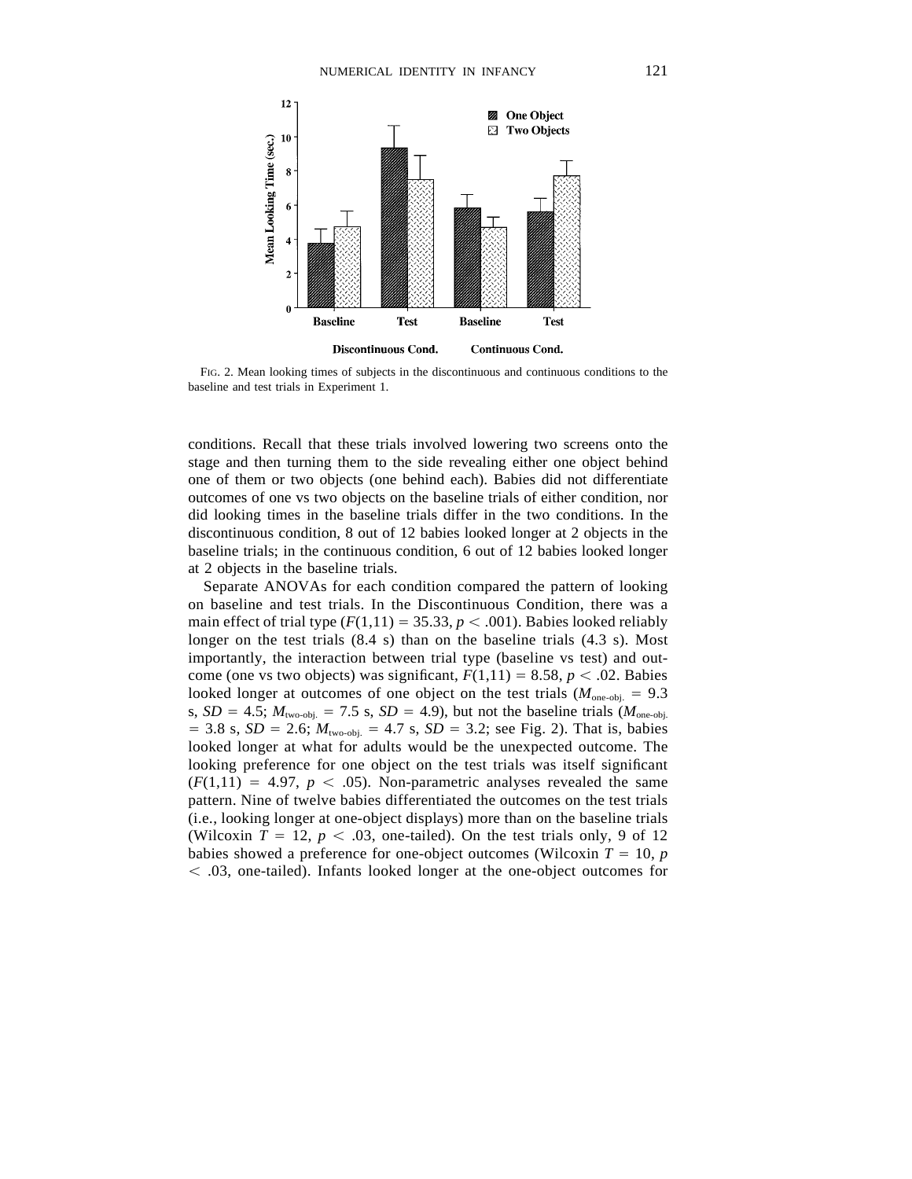

FIG. 2. Mean looking times of subjects in the discontinuous and continuous conditions to the baseline and test trials in Experiment 1.

conditions. Recall that these trials involved lowering two screens onto the stage and then turning them to the side revealing either one object behind one of them or two objects (one behind each). Babies did not differentiate outcomes of one vs two objects on the baseline trials of either condition, nor did looking times in the baseline trials differ in the two conditions. In the discontinuous condition, 8 out of 12 babies looked longer at 2 objects in the baseline trials; in the continuous condition, 6 out of 12 babies looked longer at 2 objects in the baseline trials.

Separate ANOVAs for each condition compared the pattern of looking on baseline and test trials. In the Discontinuous Condition, there was a main effect of trial type  $(F(1,11) = 35.33, p < .001)$ . Babies looked reliably longer on the test trials (8.4 s) than on the baseline trials (4.3 s). Most importantly, the interaction between trial type (baseline vs test) and outcome (one vs two objects) was significant,  $F(1,11) = 8.58$ ,  $p < .02$ . Babies looked longer at outcomes of one object on the test trials  $(M_{one-obj.} = 9.3$ s,  $SD = 4.5$ ;  $M_{two-obj.} = 7.5$  s,  $SD = 4.9$ ), but not the baseline trials ( $M_{one-obj.}$  $= 3.8$  s,  $SD = 2.6$ ;  $M_{two \text{-}obi.} = 4.7$  s,  $SD = 3.2$ ; see Fig. 2). That is, babies looked longer at what for adults would be the unexpected outcome. The looking preference for one object on the test trials was itself significant  $(F(1,11) = 4.97, p < .05)$ . Non-parametric analyses revealed the same pattern. Nine of twelve babies differentiated the outcomes on the test trials (i.e., looking longer at one-object displays) more than on the baseline trials (Wilcoxin  $T = 12$ ,  $p < .03$ , one-tailed). On the test trials only, 9 of 12 babies showed a preference for one-object outcomes (Wilcoxin  $T = 10$ , *p* õ .03, one-tailed). Infants looked longer at the one-object outcomes for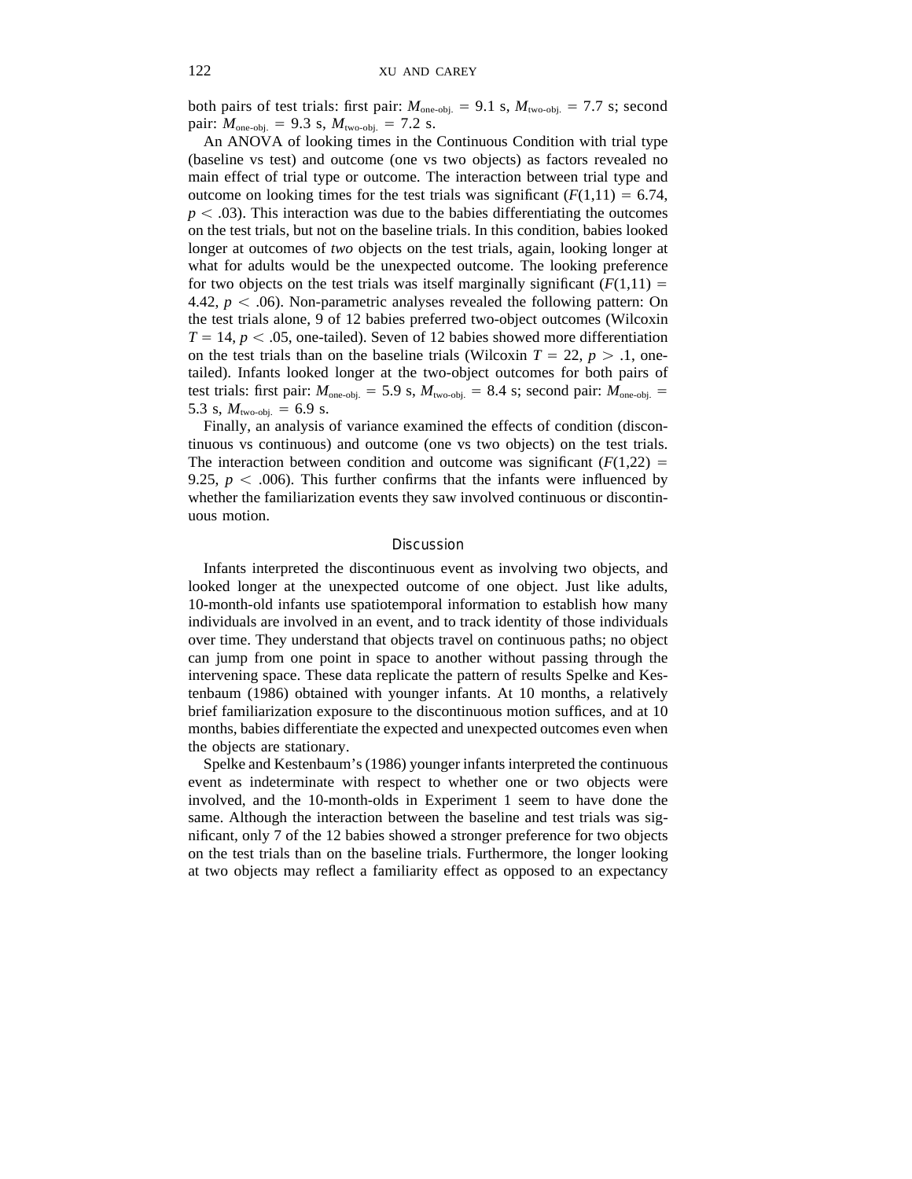both pairs of test trials: first pair:  $M_{one-obj.} = 9.1$  s,  $M_{two-obj.} = 7.7$  s; second pair:  $M_{\text{one-obi.}} = 9.3 \text{ s}$ ,  $M_{\text{two-obi.}} = 7.2 \text{ s}$ .

An ANOVA of looking times in the Continuous Condition with trial type (baseline vs test) and outcome (one vs two objects) as factors revealed no main effect of trial type or outcome. The interaction between trial type and outcome on looking times for the test trials was significant  $(F(1,11) = 6.74,$  $p < .03$ ). This interaction was due to the babies differentiating the outcomes on the test trials, but not on the baseline trials. In this condition, babies looked longer at outcomes of *two* objects on the test trials, again, looking longer at what for adults would be the unexpected outcome. The looking preference for two objects on the test trials was itself marginally significant  $(F(1,11) =$ 4.42,  $p < .06$ ). Non-parametric analyses revealed the following pattern: On the test trials alone, 9 of 12 babies preferred two-object outcomes (Wilcoxin  $T = 14$ ,  $p < .05$ , one-tailed). Seven of 12 babies showed more differentiation on the test trials than on the baseline trials (Wilcoxin  $T = 22$ ,  $p > 0.1$ , onetailed). Infants looked longer at the two-object outcomes for both pairs of test trials: first pair:  $M_{\text{one-obj.}} = 5.9 \text{ s}$ ,  $M_{\text{two-obj.}} = 8.4 \text{ s}$ ; second pair:  $M_{\text{one-obj.}} =$ 5.3 s,  $M_{two\text{-}obj} = 6.9 \text{ s}.$ 

Finally, an analysis of variance examined the effects of condition (discontinuous vs continuous) and outcome (one vs two objects) on the test trials. The interaction between condition and outcome was significant  $(F(1,22) =$ 9.25,  $p < .006$ ). This further confirms that the infants were influenced by whether the familiarization events they saw involved continuous or discontinuous motion.

### **Discussion**

Infants interpreted the discontinuous event as involving two objects, and looked longer at the unexpected outcome of one object. Just like adults, 10-month-old infants use spatiotemporal information to establish how many individuals are involved in an event, and to track identity of those individuals over time. They understand that objects travel on continuous paths; no object can jump from one point in space to another without passing through the intervening space. These data replicate the pattern of results Spelke and Kestenbaum (1986) obtained with younger infants. At 10 months, a relatively brief familiarization exposure to the discontinuous motion suffices, and at 10 months, babies differentiate the expected and unexpected outcomes even when the objects are stationary.

Spelke and Kestenbaum's (1986) younger infants interpreted the continuous event as indeterminate with respect to whether one or two objects were involved, and the 10-month-olds in Experiment 1 seem to have done the same. Although the interaction between the baseline and test trials was significant, only 7 of the 12 babies showed a stronger preference for two objects on the test trials than on the baseline trials. Furthermore, the longer looking at two objects may reflect a familiarity effect as opposed to an expectancy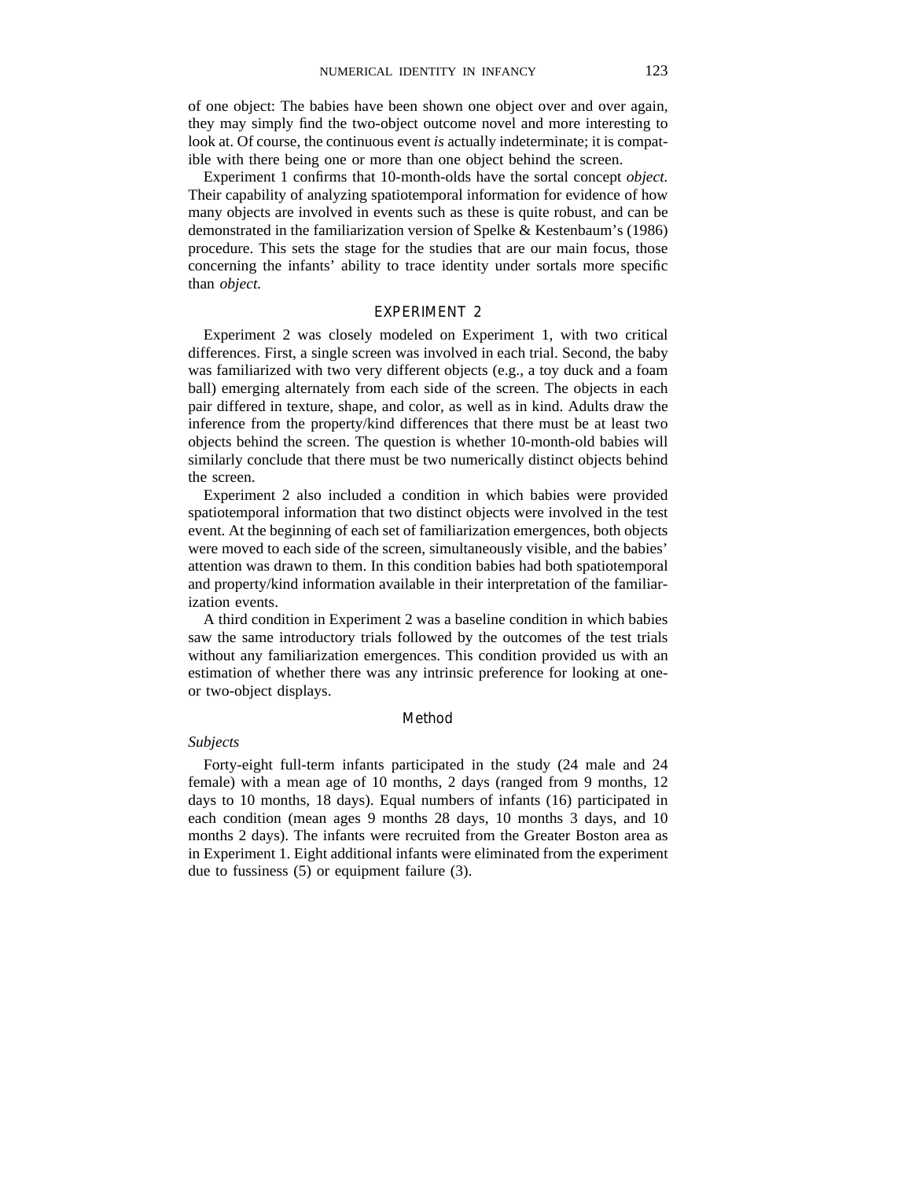of one object: The babies have been shown one object over and over again, they may simply find the two-object outcome novel and more interesting to look at. Of course, the continuous event *is* actually indeterminate; it is compatible with there being one or more than one object behind the screen.

Experiment 1 confirms that 10-month-olds have the sortal concept *object.* Their capability of analyzing spatiotemporal information for evidence of how many objects are involved in events such as these is quite robust, and can be demonstrated in the familiarization version of Spelke & Kestenbaum's (1986) procedure. This sets the stage for the studies that are our main focus, those concerning the infants' ability to trace identity under sortals more specific than *object.*

### EXPERIMENT 2

Experiment 2 was closely modeled on Experiment 1, with two critical differences. First, a single screen was involved in each trial. Second, the baby was familiarized with two very different objects (e.g., a toy duck and a foam ball) emerging alternately from each side of the screen. The objects in each pair differed in texture, shape, and color, as well as in kind. Adults draw the inference from the property/kind differences that there must be at least two objects behind the screen. The question is whether 10-month-old babies will similarly conclude that there must be two numerically distinct objects behind the screen.

Experiment 2 also included a condition in which babies were provided spatiotemporal information that two distinct objects were involved in the test event. At the beginning of each set of familiarization emergences, both objects were moved to each side of the screen, simultaneously visible, and the babies' attention was drawn to them. In this condition babies had both spatiotemporal and property/kind information available in their interpretation of the familiarization events.

A third condition in Experiment 2 was a baseline condition in which babies saw the same introductory trials followed by the outcomes of the test trials without any familiarization emergences. This condition provided us with an estimation of whether there was any intrinsic preference for looking at oneor two-object displays.

#### Method

#### *Subjects*

Forty-eight full-term infants participated in the study (24 male and 24 female) with a mean age of 10 months, 2 days (ranged from 9 months, 12 days to 10 months, 18 days). Equal numbers of infants (16) participated in each condition (mean ages 9 months 28 days, 10 months 3 days, and 10 months 2 days). The infants were recruited from the Greater Boston area as in Experiment 1. Eight additional infants were eliminated from the experiment due to fussiness (5) or equipment failure (3).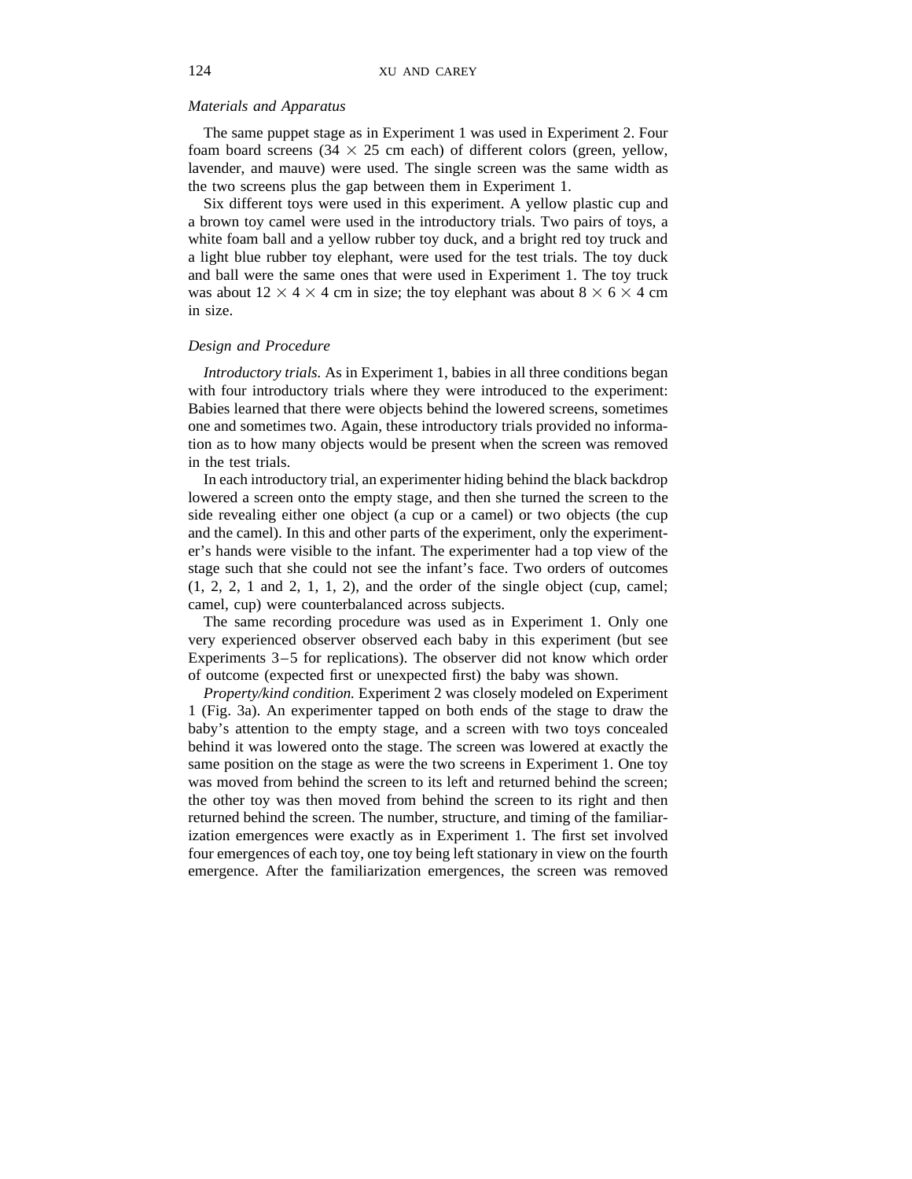### *Materials and Apparatus*

The same puppet stage as in Experiment 1 was used in Experiment 2. Four foam board screens  $(34 \times 25 \text{ cm} \text{ each})$  of different colors (green, yellow, lavender, and mauve) were used. The single screen was the same width as the two screens plus the gap between them in Experiment 1.

Six different toys were used in this experiment. A yellow plastic cup and a brown toy camel were used in the introductory trials. Two pairs of toys, a white foam ball and a yellow rubber toy duck, and a bright red toy truck and a light blue rubber toy elephant, were used for the test trials. The toy duck and ball were the same ones that were used in Experiment 1. The toy truck was about  $12 \times 4 \times 4$  cm in size; the toy elephant was about  $8 \times 6 \times 4$  cm in size.

#### *Design and Procedure*

*Introductory trials.* As in Experiment 1, babies in all three conditions began with four introductory trials where they were introduced to the experiment: Babies learned that there were objects behind the lowered screens, sometimes one and sometimes two. Again, these introductory trials provided no information as to how many objects would be present when the screen was removed in the test trials.

In each introductory trial, an experimenter hiding behind the black backdrop lowered a screen onto the empty stage, and then she turned the screen to the side revealing either one object (a cup or a camel) or two objects (the cup and the camel). In this and other parts of the experiment, only the experimenter's hands were visible to the infant. The experimenter had a top view of the stage such that she could not see the infant's face. Two orders of outcomes  $(1, 2, 2, 1, 1, 2, 1, 1, 2)$ , and the order of the single object (cup, camel; camel, cup) were counterbalanced across subjects.

The same recording procedure was used as in Experiment 1. Only one very experienced observer observed each baby in this experiment (but see Experiments 3–5 for replications). The observer did not know which order of outcome (expected first or unexpected first) the baby was shown.

*Property/kind condition.* Experiment 2 was closely modeled on Experiment 1 (Fig. 3a). An experimenter tapped on both ends of the stage to draw the baby's attention to the empty stage, and a screen with two toys concealed behind it was lowered onto the stage. The screen was lowered at exactly the same position on the stage as were the two screens in Experiment 1. One toy was moved from behind the screen to its left and returned behind the screen; the other toy was then moved from behind the screen to its right and then returned behind the screen. The number, structure, and timing of the familiarization emergences were exactly as in Experiment 1. The first set involved four emergences of each toy, one toy being left stationary in view on the fourth emergence. After the familiarization emergences, the screen was removed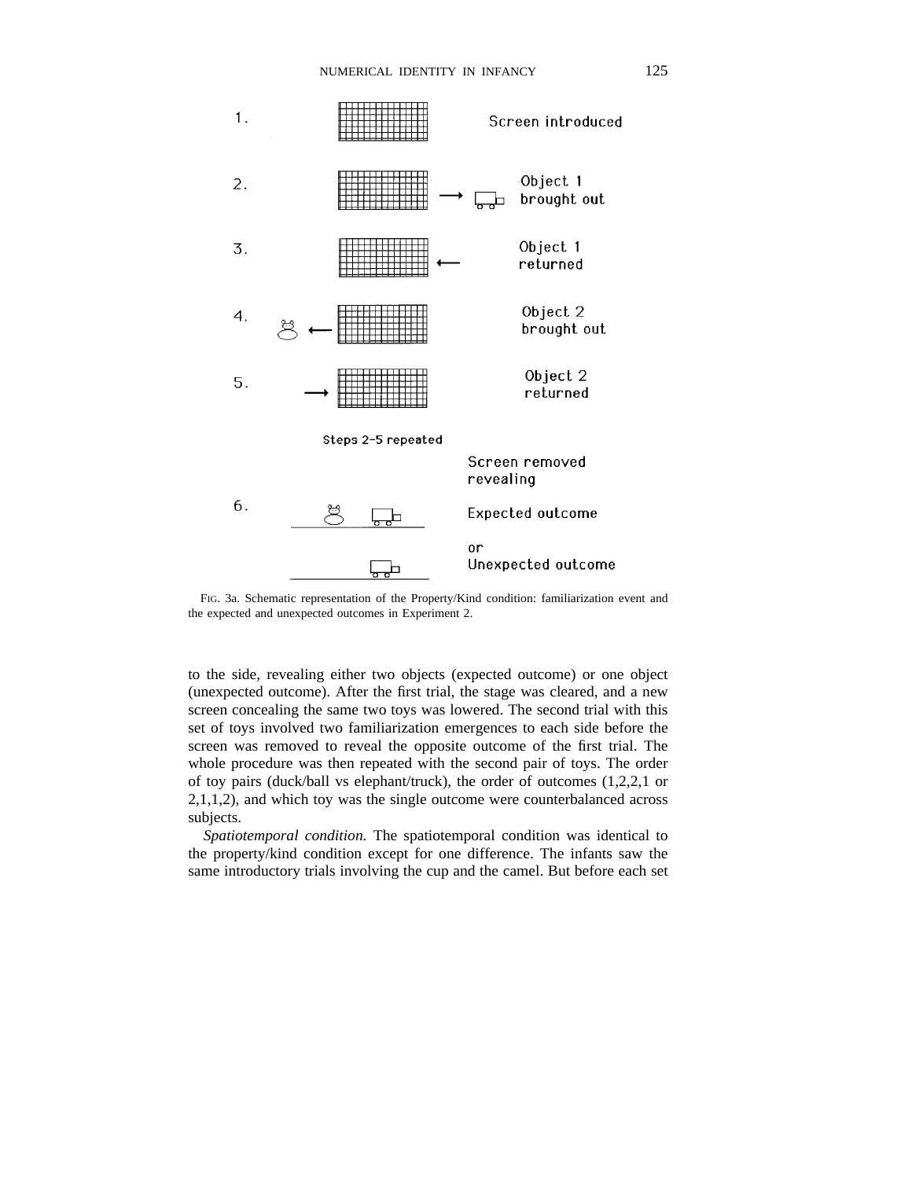

FIG. 3a. Schematic representation of the Property/Kind condition: familiarization event and the expected and unexpected outcomes in Experiment 2.

to the side, revealing either two objects (expected outcome) or one object (unexpected outcome). After the first trial, the stage was cleared, and a new screen concealing the same two toys was lowered. The second trial with this set of toys involved two familiarization emergences to each side before the screen was removed to reveal the opposite outcome of the first trial. The whole procedure was then repeated with the second pair of toys. The order of toy pairs (duck/ball vs elephant/truck), the order of outcomes (1,2,2,1 or 2,1,1,2), and which toy was the single outcome were counterbalanced across subjects.

*Spatiotemporal condition.* The spatiotemporal condition was identical to the property/kind condition except for one difference. The infants saw the same introductory trials involving the cup and the camel. But before each set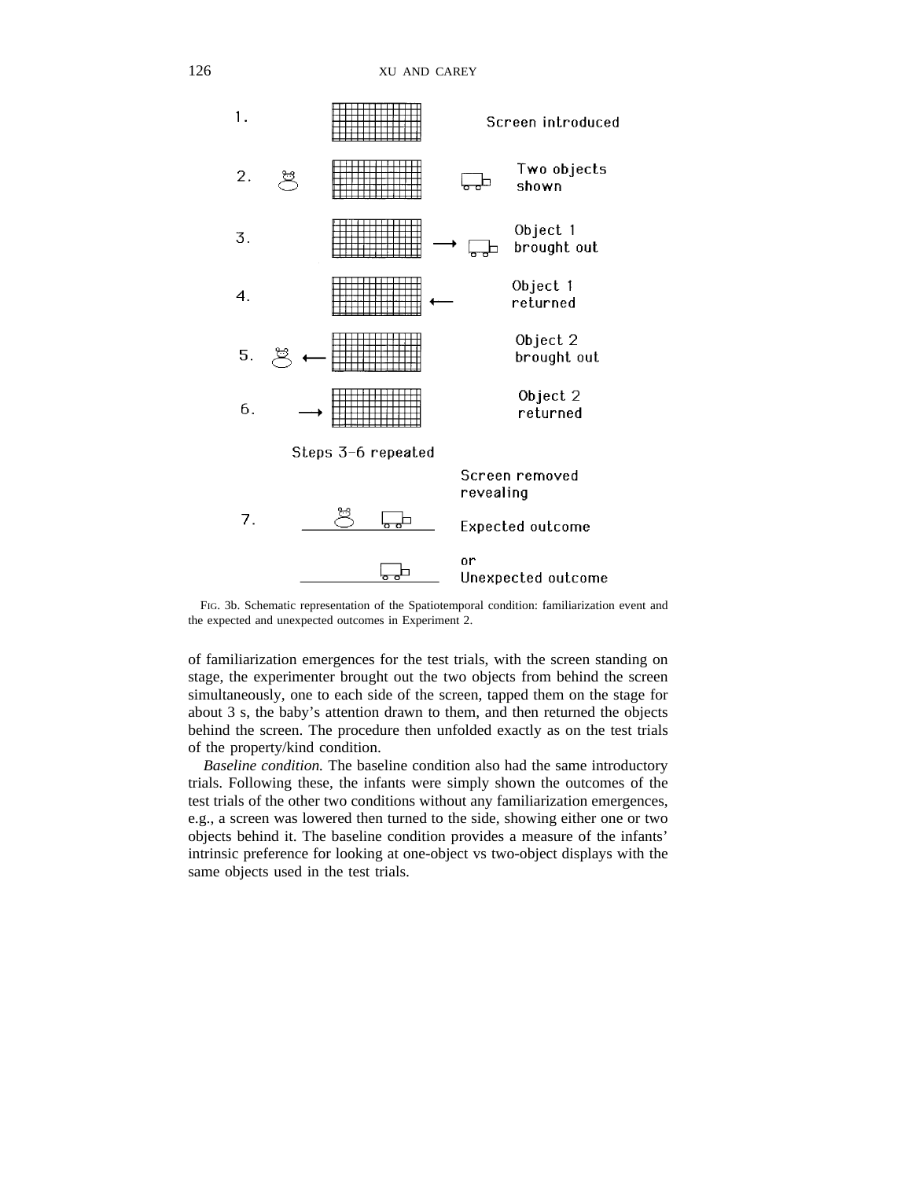

FIG. 3b. Schematic representation of the Spatiotemporal condition: familiarization event and the expected and unexpected outcomes in Experiment 2.

of familiarization emergences for the test trials, with the screen standing on stage, the experimenter brought out the two objects from behind the screen simultaneously, one to each side of the screen, tapped them on the stage for about 3 s, the baby's attention drawn to them, and then returned the objects behind the screen. The procedure then unfolded exactly as on the test trials of the property/kind condition.

*Baseline condition.* The baseline condition also had the same introductory trials. Following these, the infants were simply shown the outcomes of the test trials of the other two conditions without any familiarization emergences, e.g., a screen was lowered then turned to the side, showing either one or two objects behind it. The baseline condition provides a measure of the infants' intrinsic preference for looking at one-object vs two-object displays with the same objects used in the test trials.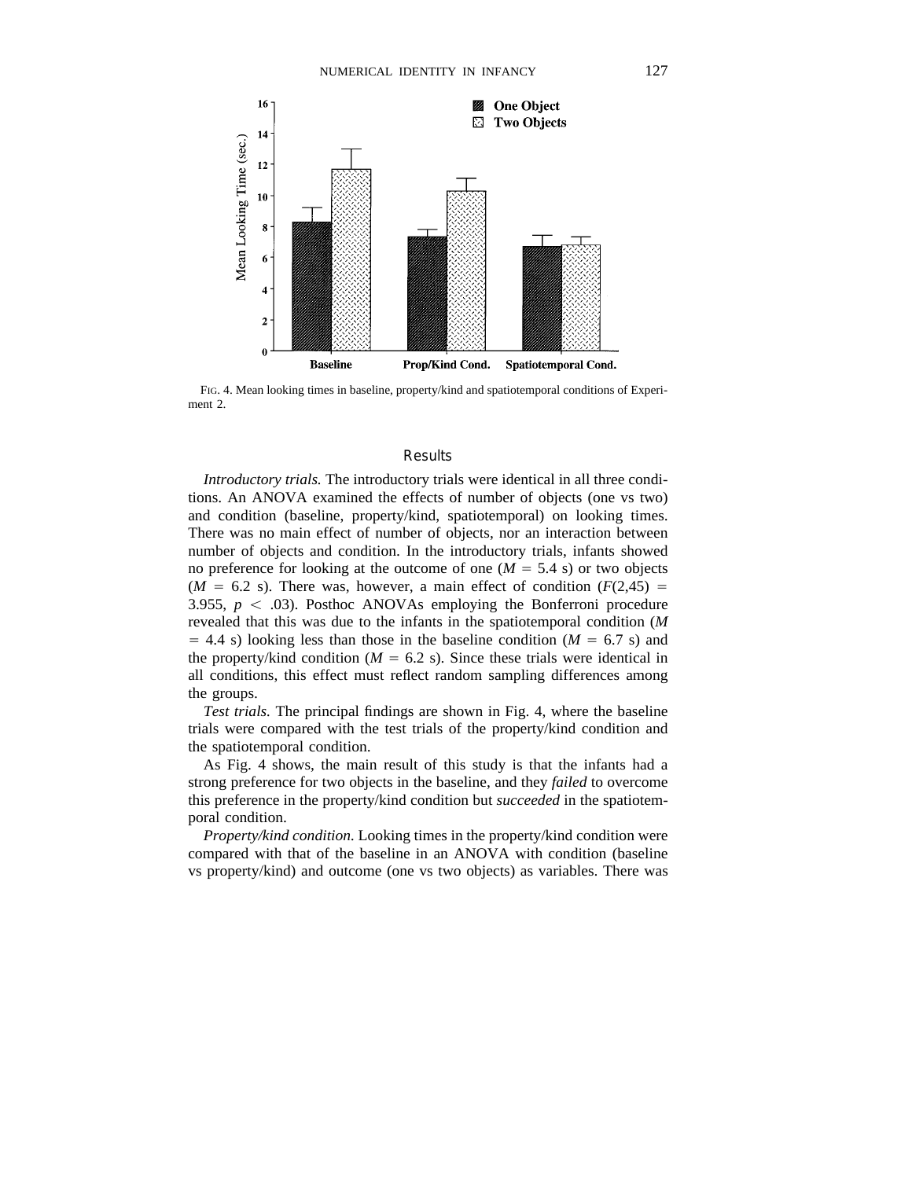

FIG. 4. Mean looking times in baseline, property/kind and spatiotemporal conditions of Experiment 2.

### Results

*Introductory trials.* The introductory trials were identical in all three conditions. An ANOVA examined the effects of number of objects (one vs two) and condition (baseline, property/kind, spatiotemporal) on looking times. There was no main effect of number of objects, nor an interaction between number of objects and condition. In the introductory trials, infants showed no preference for looking at the outcome of one  $(M = 5.4 \text{ s})$  or two objects ( $M = 6.2$  s). There was, however, a main effect of condition ( $F(2,45) =$ 3.955,  $p < .03$ ). Posthoc ANOVAs employing the Bonferroni procedure revealed that this was due to the infants in the spatiotemporal condition (*M*  $=$  4.4 s) looking less than those in the baseline condition ( $M = 6.7$  s) and the property/kind condition ( $M = 6.2$  s). Since these trials were identical in all conditions, this effect must reflect random sampling differences among the groups.

*Test trials.* The principal findings are shown in Fig. 4, where the baseline trials were compared with the test trials of the property/kind condition and the spatiotemporal condition.

As Fig. 4 shows, the main result of this study is that the infants had a strong preference for two objects in the baseline, and they *failed* to overcome this preference in the property/kind condition but *succeeded* in the spatiotemporal condition.

*Property/kind condition.* Looking times in the property/kind condition were compared with that of the baseline in an ANOVA with condition (baseline vs property/kind) and outcome (one vs two objects) as variables. There was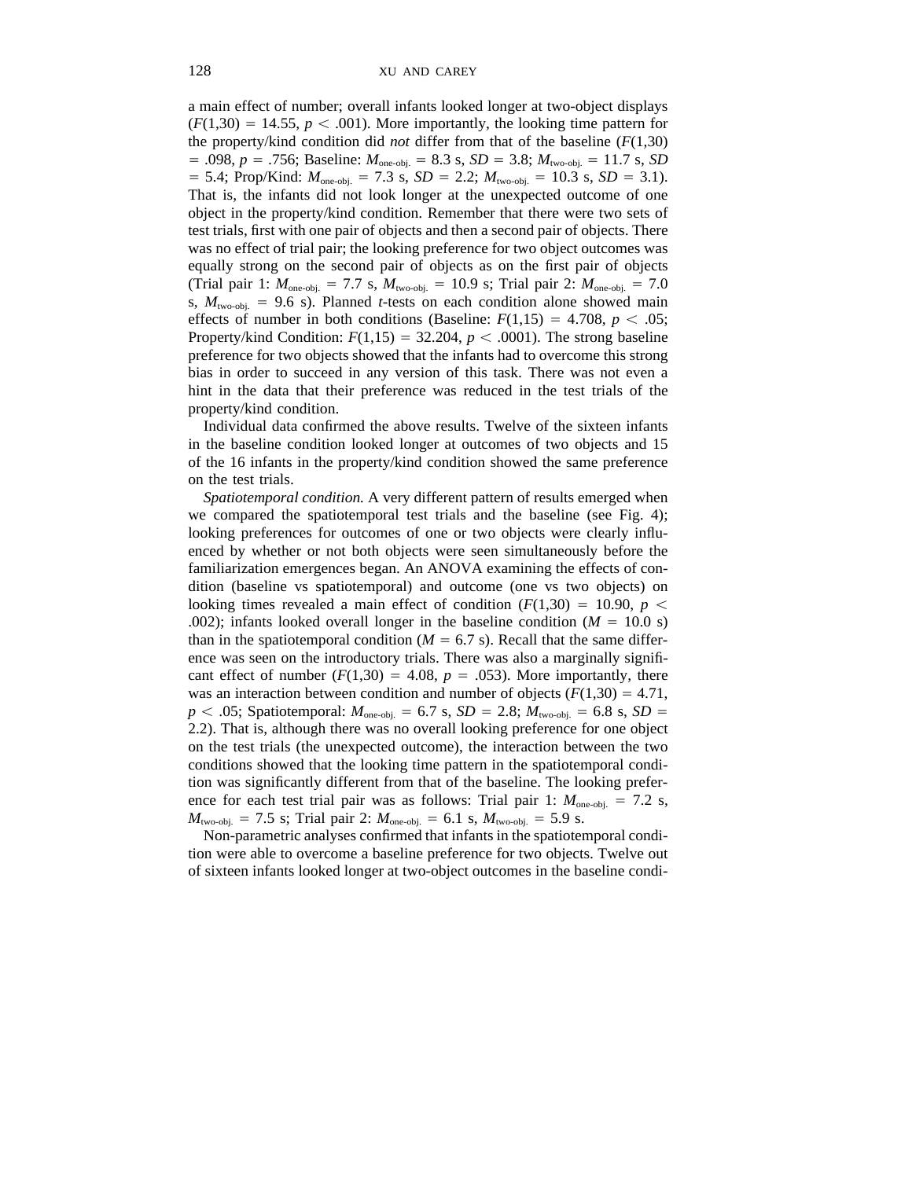a main effect of number; overall infants looked longer at two-object displays  $(F(1,30) = 14.55, p < .001)$ . More importantly, the looking time pattern for the property/kind condition did *not* differ from that of the baseline (*F*(1,30)  $= .098, p = .756$ ; Baseline:  $M_{one-obj.} = 8.3$  s,  $SD = 3.8$ ;  $M_{two-obj.} = 11.7$  s, *SD*  $= 5.4$ ; Prop/Kind:  $M_{\text{one-obj.}} = 7.3$  s,  $SD = 2.2$ ;  $M_{\text{two-obj.}} = 10.3$  s,  $SD = 3.1$ ). That is, the infants did not look longer at the unexpected outcome of one object in the property/kind condition. Remember that there were two sets of test trials, first with one pair of objects and then a second pair of objects. There was no effect of trial pair; the looking preference for two object outcomes was equally strong on the second pair of objects as on the first pair of objects (Trial pair 1:  $M_{\text{one-obj.}} = 7.7 \text{ s}$ ,  $M_{\text{two-obj.}} = 10.9 \text{ s}$ ; Trial pair 2:  $M_{\text{one-obj.}} = 7.0$ s,  $M_{two\text{-obj.}} = 9.6$  s). Planned *t*-tests on each condition alone showed main effects of number in both conditions (Baseline:  $F(1,15) = 4.708$ ,  $p < .05$ ; Property/kind Condition:  $F(1,15) = 32.204$ ,  $p < .0001$ ). The strong baseline preference for two objects showed that the infants had to overcome this strong bias in order to succeed in any version of this task. There was not even a hint in the data that their preference was reduced in the test trials of the property/kind condition.

Individual data confirmed the above results. Twelve of the sixteen infants in the baseline condition looked longer at outcomes of two objects and 15 of the 16 infants in the property/kind condition showed the same preference on the test trials.

*Spatiotemporal condition.* A very different pattern of results emerged when we compared the spatiotemporal test trials and the baseline (see Fig. 4); looking preferences for outcomes of one or two objects were clearly influenced by whether or not both objects were seen simultaneously before the familiarization emergences began. An ANOVA examining the effects of condition (baseline vs spatiotemporal) and outcome (one vs two objects) on looking times revealed a main effect of condition  $(F(1,30) = 10.90, p <$ .002); infants looked overall longer in the baseline condition  $(M = 10.0 \text{ s})$ than in the spatiotemporal condition ( $M = 6.7$  s). Recall that the same difference was seen on the introductory trials. There was also a marginally significant effect of number  $(F(1,30) = 4.08, p = .053)$ . More importantly, there was an interaction between condition and number of objects  $(F(1,30) = 4.71,$  $p < .05$ ; Spatiotemporal:  $M_{one\text{-}obj.} = 6.7 \text{ s}$ ,  $SD = 2.8$ ;  $M_{two\text{-}obj.} = 6.8 \text{ s}$ ,  $SD =$ 2.2). That is, although there was no overall looking preference for one object on the test trials (the unexpected outcome), the interaction between the two conditions showed that the looking time pattern in the spatiotemporal condition was significantly different from that of the baseline. The looking preference for each test trial pair was as follows: Trial pair 1:  $M_{one-obj.} = 7.2$  s,  $M_{two-obj.}$  = 7.5 s; Trial pair 2:  $M_{one-obj.}$  = 6.1 s,  $M_{two-obj.}$  = 5.9 s.

Non-parametric analyses confirmed that infants in the spatiotemporal condition were able to overcome a baseline preference for two objects. Twelve out of sixteen infants looked longer at two-object outcomes in the baseline condi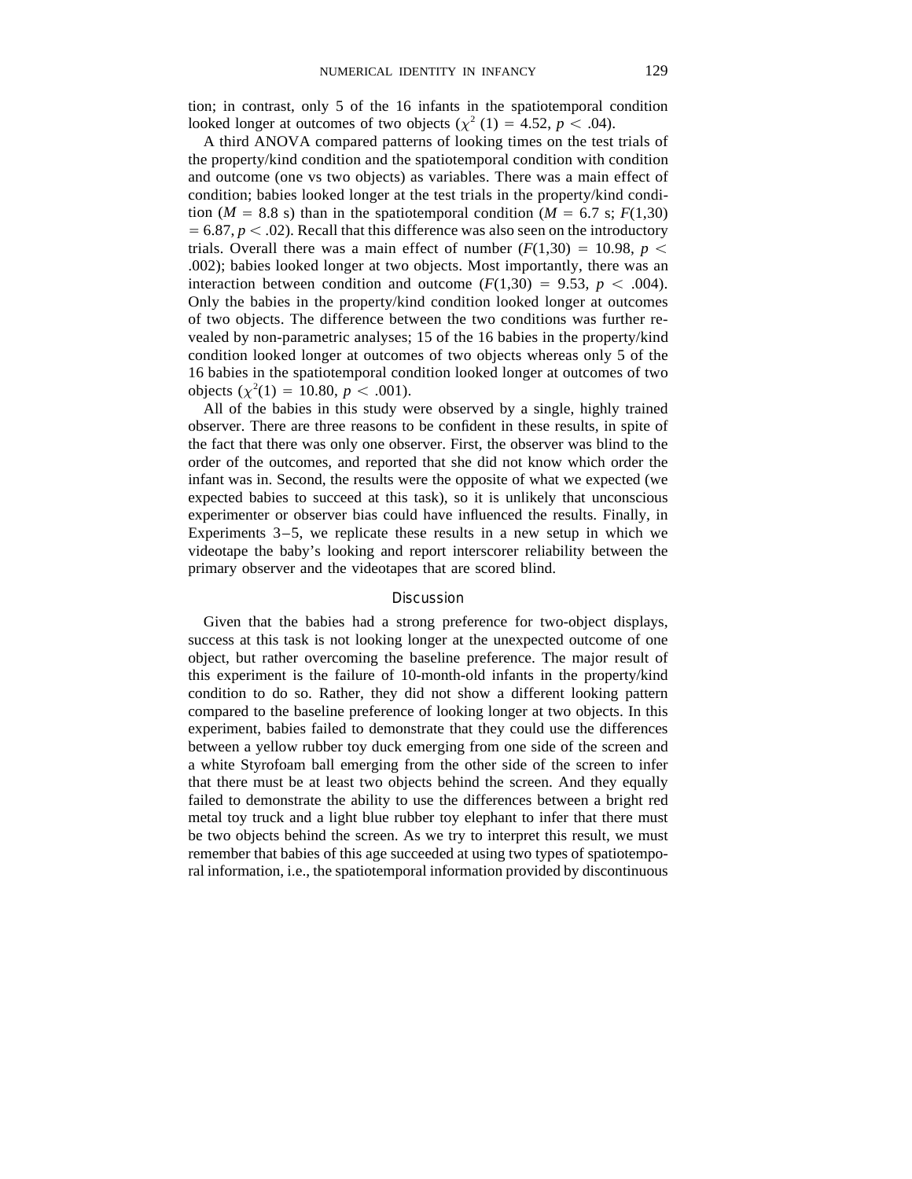tion; in contrast, only 5 of the 16 infants in the spatiotemporal condition looked longer at outcomes of two objects ( $\chi^2$  (1) = 4.52, *p*  $\lt$  .04).

A third ANOVA compared patterns of looking times on the test trials of the property/kind condition and the spatiotemporal condition with condition and outcome (one vs two objects) as variables. There was a main effect of condition; babies looked longer at the test trials in the property/kind condition ( $M = 8.8$  s) than in the spatiotemporal condition ( $M = 6.7$  s;  $F(1,30)$ )  $\dot{x} = 6.87, p < .02$ ). Recall that this difference was also seen on the introductory trials. Overall there was a main effect of number  $(F(1,30) = 10.98, p <$ .002); babies looked longer at two objects. Most importantly, there was an interaction between condition and outcome  $(F(1,30) = 9.53, p < .004)$ . Only the babies in the property/kind condition looked longer at outcomes of two objects. The difference between the two conditions was further revealed by non-parametric analyses; 15 of the 16 babies in the property/kind condition looked longer at outcomes of two objects whereas only 5 of the 16 babies in the spatiotemporal condition looked longer at outcomes of two objects  $(\chi^2(1) = 10.80, p < .001)$ .

All of the babies in this study were observed by a single, highly trained observer. There are three reasons to be confident in these results, in spite of the fact that there was only one observer. First, the observer was blind to the order of the outcomes, and reported that she did not know which order the infant was in. Second, the results were the opposite of what we expected (we expected babies to succeed at this task), so it is unlikely that unconscious experimenter or observer bias could have influenced the results. Finally, in Experiments 3–5, we replicate these results in a new setup in which we videotape the baby's looking and report interscorer reliability between the primary observer and the videotapes that are scored blind.

### **Discussion**

Given that the babies had a strong preference for two-object displays, success at this task is not looking longer at the unexpected outcome of one object, but rather overcoming the baseline preference. The major result of this experiment is the failure of 10-month-old infants in the property/kind condition to do so. Rather, they did not show a different looking pattern compared to the baseline preference of looking longer at two objects. In this experiment, babies failed to demonstrate that they could use the differences between a yellow rubber toy duck emerging from one side of the screen and a white Styrofoam ball emerging from the other side of the screen to infer that there must be at least two objects behind the screen. And they equally failed to demonstrate the ability to use the differences between a bright red metal toy truck and a light blue rubber toy elephant to infer that there must be two objects behind the screen. As we try to interpret this result, we must remember that babies of this age succeeded at using two types of spatiotemporal information, i.e., the spatiotemporal information provided by discontinuous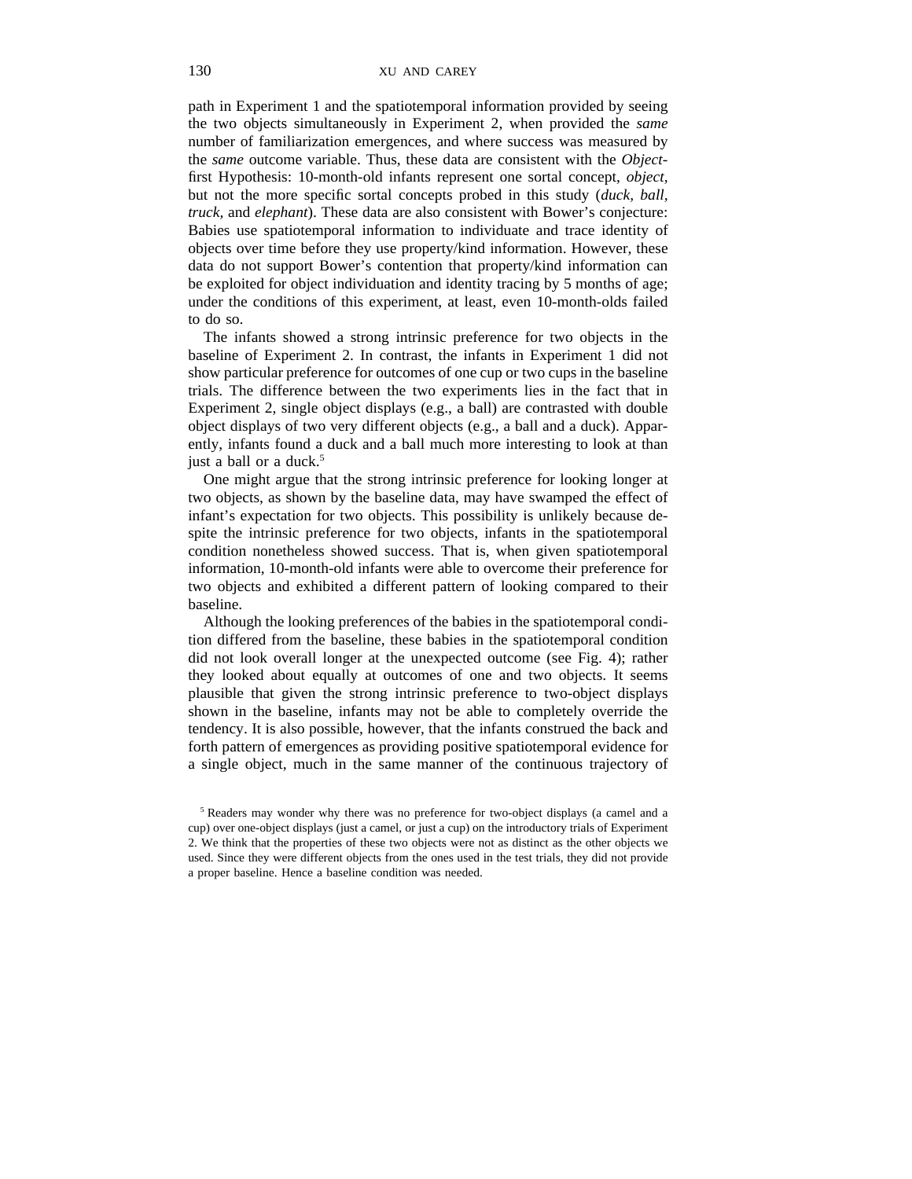path in Experiment 1 and the spatiotemporal information provided by seeing the two objects simultaneously in Experiment 2, when provided the *same* number of familiarization emergences, and where success was measured by the *same* outcome variable. Thus, these data are consistent with the *Object*first Hypothesis: 10-month-old infants represent one sortal concept, *object,* but not the more specific sortal concepts probed in this study (*duck, ball, truck,* and *elephant*). These data are also consistent with Bower's conjecture: Babies use spatiotemporal information to individuate and trace identity of objects over time before they use property/kind information. However, these data do not support Bower's contention that property/kind information can be exploited for object individuation and identity tracing by 5 months of age; under the conditions of this experiment, at least, even 10-month-olds failed to do so.

The infants showed a strong intrinsic preference for two objects in the baseline of Experiment 2. In contrast, the infants in Experiment 1 did not show particular preference for outcomes of one cup or two cups in the baseline trials. The difference between the two experiments lies in the fact that in Experiment 2, single object displays (e.g., a ball) are contrasted with double object displays of two very different objects (e.g., a ball and a duck). Apparently, infants found a duck and a ball much more interesting to look at than just a ball or a duck.<sup>5</sup>

One might argue that the strong intrinsic preference for looking longer at two objects, as shown by the baseline data, may have swamped the effect of infant's expectation for two objects. This possibility is unlikely because despite the intrinsic preference for two objects, infants in the spatiotemporal condition nonetheless showed success. That is, when given spatiotemporal information, 10-month-old infants were able to overcome their preference for two objects and exhibited a different pattern of looking compared to their baseline.

Although the looking preferences of the babies in the spatiotemporal condition differed from the baseline, these babies in the spatiotemporal condition did not look overall longer at the unexpected outcome (see Fig. 4); rather they looked about equally at outcomes of one and two objects. It seems plausible that given the strong intrinsic preference to two-object displays shown in the baseline, infants may not be able to completely override the tendency. It is also possible, however, that the infants construed the back and forth pattern of emergences as providing positive spatiotemporal evidence for a single object, much in the same manner of the continuous trajectory of

<sup>&</sup>lt;sup>5</sup> Readers may wonder why there was no preference for two-object displays (a camel and a cup) over one-object displays (just a camel, or just a cup) on the introductory trials of Experiment 2. We think that the properties of these two objects were not as distinct as the other objects we used. Since they were different objects from the ones used in the test trials, they did not provide a proper baseline. Hence a baseline condition was needed.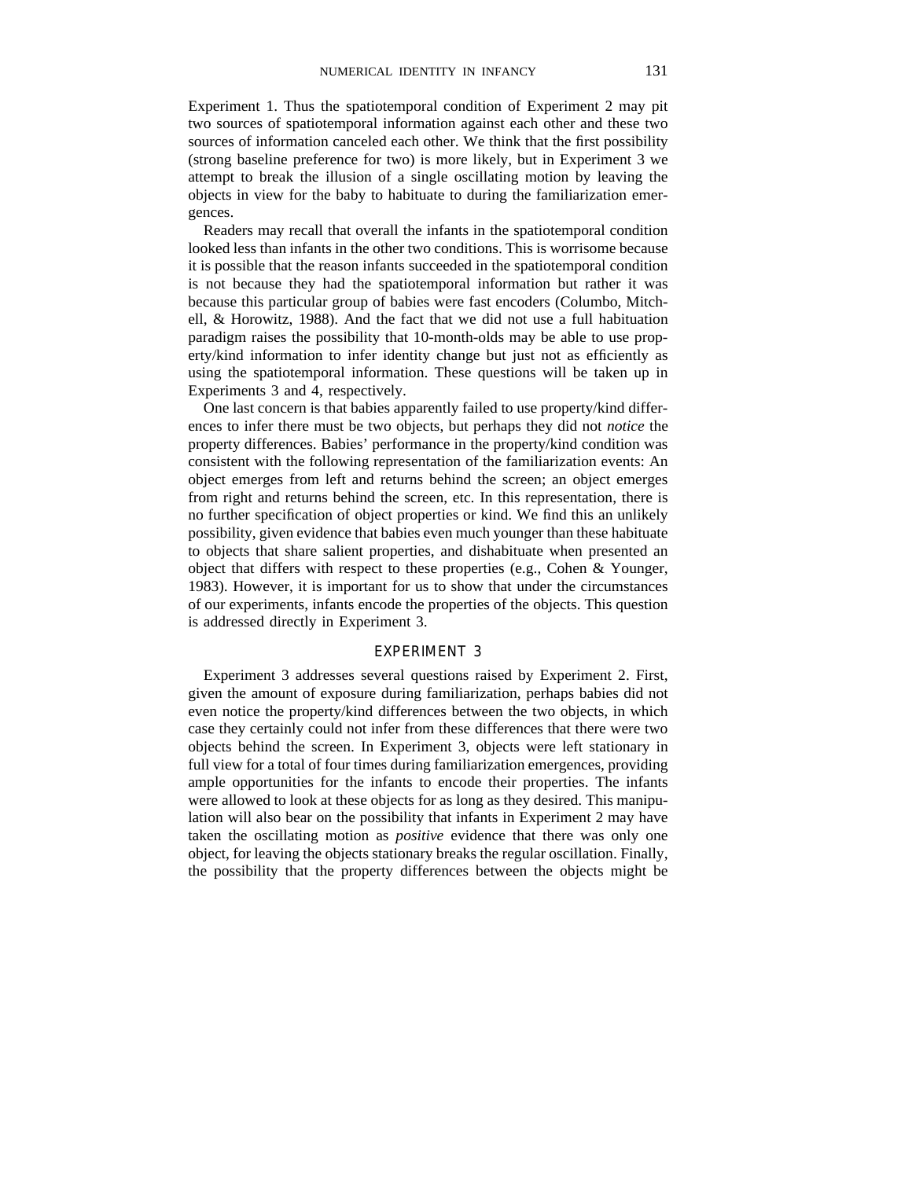Experiment 1. Thus the spatiotemporal condition of Experiment 2 may pit two sources of spatiotemporal information against each other and these two sources of information canceled each other. We think that the first possibility (strong baseline preference for two) is more likely, but in Experiment 3 we attempt to break the illusion of a single oscillating motion by leaving the objects in view for the baby to habituate to during the familiarization emergences.

Readers may recall that overall the infants in the spatiotemporal condition looked less than infants in the other two conditions. This is worrisome because it is possible that the reason infants succeeded in the spatiotemporal condition is not because they had the spatiotemporal information but rather it was because this particular group of babies were fast encoders (Columbo, Mitchell, & Horowitz, 1988). And the fact that we did not use a full habituation paradigm raises the possibility that 10-month-olds may be able to use property/kind information to infer identity change but just not as efficiently as using the spatiotemporal information. These questions will be taken up in Experiments 3 and 4, respectively.

One last concern is that babies apparently failed to use property/kind differences to infer there must be two objects, but perhaps they did not *notice* the property differences. Babies' performance in the property/kind condition was consistent with the following representation of the familiarization events: An object emerges from left and returns behind the screen; an object emerges from right and returns behind the screen, etc. In this representation, there is no further specification of object properties or kind. We find this an unlikely possibility, given evidence that babies even much younger than these habituate to objects that share salient properties, and dishabituate when presented an object that differs with respect to these properties (e.g., Cohen & Younger, 1983). However, it is important for us to show that under the circumstances of our experiments, infants encode the properties of the objects. This question is addressed directly in Experiment 3.

### EXPERIMENT 3

Experiment 3 addresses several questions raised by Experiment 2. First, given the amount of exposure during familiarization, perhaps babies did not even notice the property/kind differences between the two objects, in which case they certainly could not infer from these differences that there were two objects behind the screen. In Experiment 3, objects were left stationary in full view for a total of four times during familiarization emergences, providing ample opportunities for the infants to encode their properties. The infants were allowed to look at these objects for as long as they desired. This manipulation will also bear on the possibility that infants in Experiment 2 may have taken the oscillating motion as *positive* evidence that there was only one object, for leaving the objects stationary breaks the regular oscillation. Finally, the possibility that the property differences between the objects might be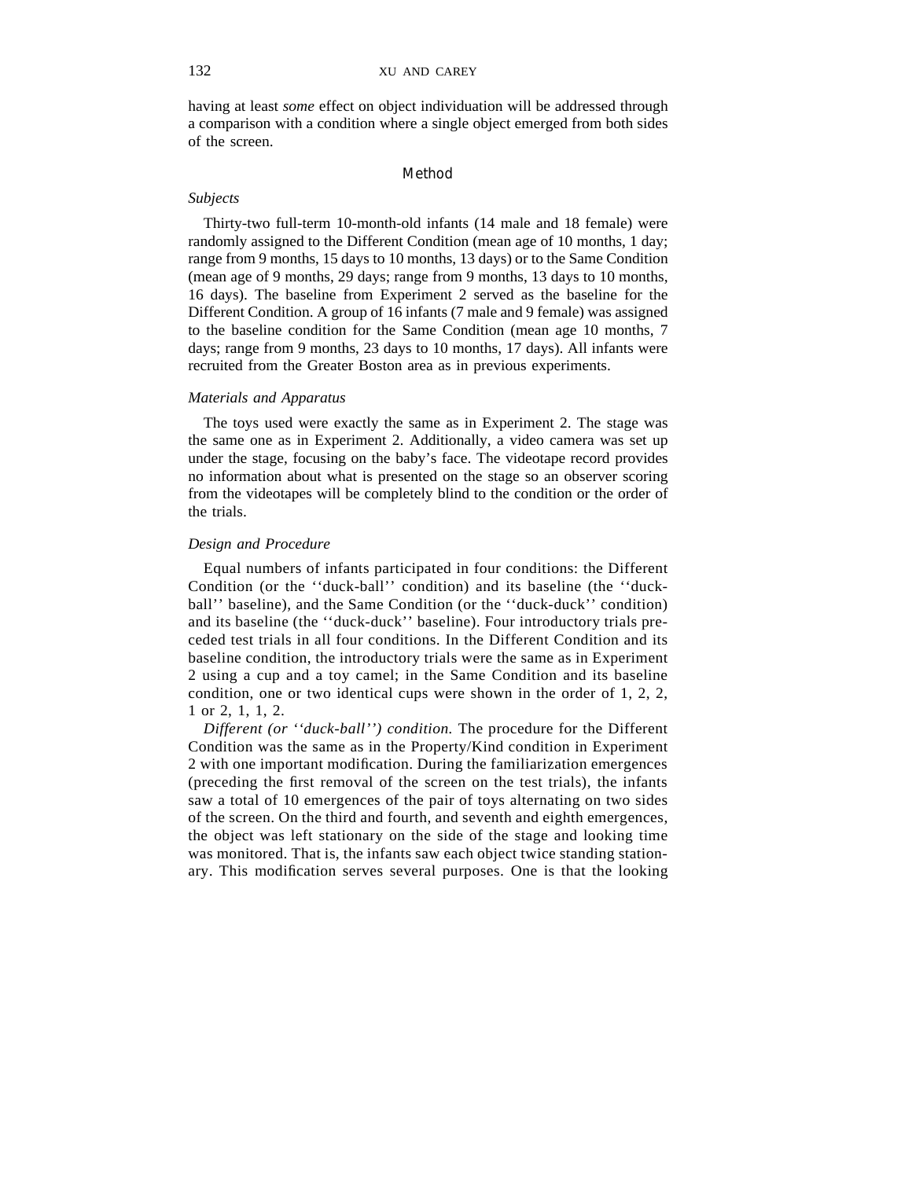having at least *some* effect on object individuation will be addressed through a comparison with a condition where a single object emerged from both sides of the screen.

#### Method

### *Subjects*

Thirty-two full-term 10-month-old infants (14 male and 18 female) were randomly assigned to the Different Condition (mean age of 10 months, 1 day; range from 9 months, 15 days to 10 months, 13 days) or to the Same Condition (mean age of 9 months, 29 days; range from 9 months, 13 days to 10 months, 16 days). The baseline from Experiment 2 served as the baseline for the Different Condition. A group of 16 infants (7 male and 9 female) was assigned to the baseline condition for the Same Condition (mean age 10 months, 7 days; range from 9 months, 23 days to 10 months, 17 days). All infants were recruited from the Greater Boston area as in previous experiments.

### *Materials and Apparatus*

The toys used were exactly the same as in Experiment 2. The stage was the same one as in Experiment 2. Additionally, a video camera was set up under the stage, focusing on the baby's face. The videotape record provides no information about what is presented on the stage so an observer scoring from the videotapes will be completely blind to the condition or the order of the trials.

### *Design and Procedure*

Equal numbers of infants participated in four conditions: the Different Condition (or the ''duck-ball'' condition) and its baseline (the ''duckball'' baseline), and the Same Condition (or the ''duck-duck'' condition) and its baseline (the ''duck-duck'' baseline). Four introductory trials preceded test trials in all four conditions. In the Different Condition and its baseline condition, the introductory trials were the same as in Experiment 2 using a cup and a toy camel; in the Same Condition and its baseline condition, one or two identical cups were shown in the order of 1, 2, 2, 1 or 2, 1, 1, 2.

*Different (or ''duck-ball'') condition.* The procedure for the Different Condition was the same as in the Property/Kind condition in Experiment 2 with one important modification. During the familiarization emergences (preceding the first removal of the screen on the test trials), the infants saw a total of 10 emergences of the pair of toys alternating on two sides of the screen. On the third and fourth, and seventh and eighth emergences, the object was left stationary on the side of the stage and looking time was monitored. That is, the infants saw each object twice standing stationary. This modification serves several purposes. One is that the looking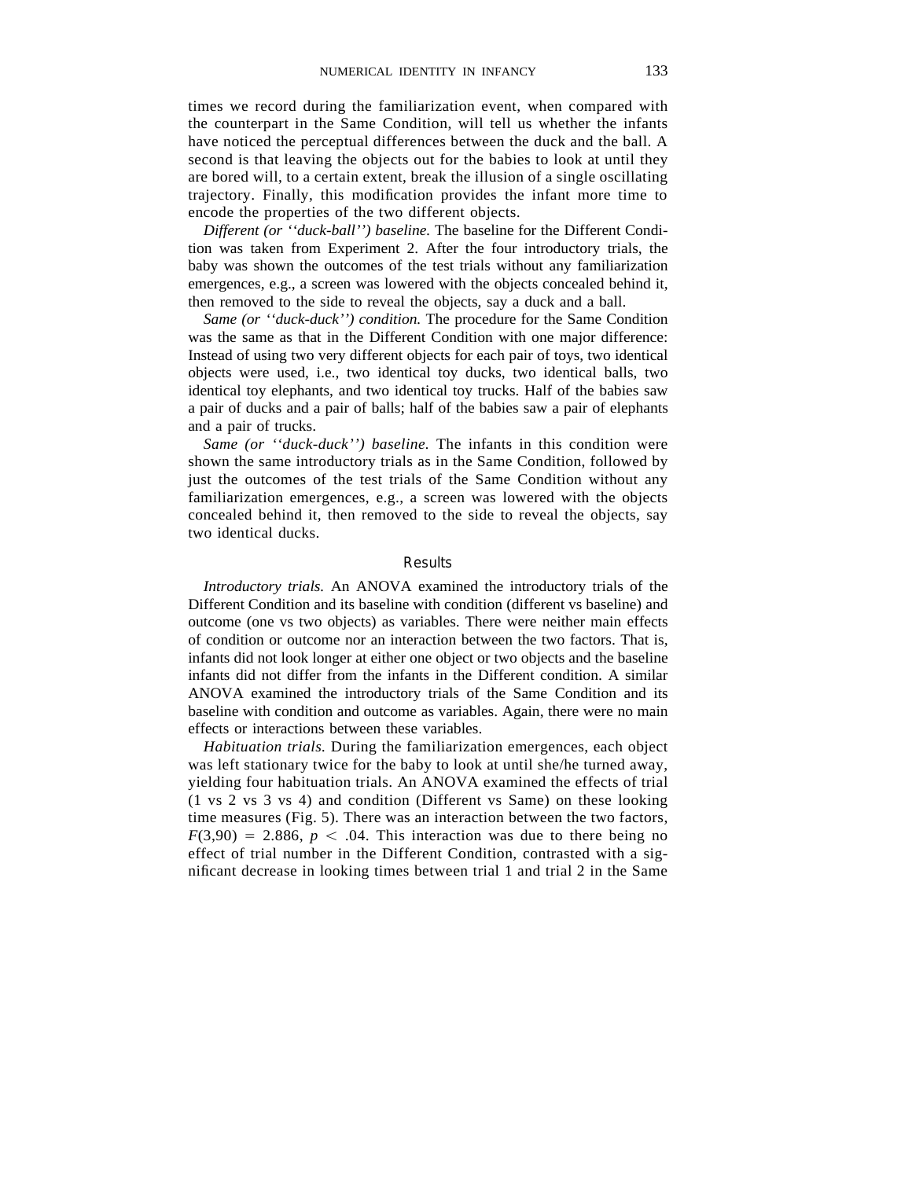times we record during the familiarization event, when compared with the counterpart in the Same Condition, will tell us whether the infants have noticed the perceptual differences between the duck and the ball. A second is that leaving the objects out for the babies to look at until they are bored will, to a certain extent, break the illusion of a single oscillating trajectory. Finally, this modification provides the infant more time to encode the properties of the two different objects.

*Different (or ''duck-ball'') baseline.* The baseline for the Different Condition was taken from Experiment 2. After the four introductory trials, the baby was shown the outcomes of the test trials without any familiarization emergences, e.g., a screen was lowered with the objects concealed behind it, then removed to the side to reveal the objects, say a duck and a ball.

*Same (or ''duck-duck'') condition.* The procedure for the Same Condition was the same as that in the Different Condition with one major difference: Instead of using two very different objects for each pair of toys, two identical objects were used, i.e., two identical toy ducks, two identical balls, two identical toy elephants, and two identical toy trucks. Half of the babies saw a pair of ducks and a pair of balls; half of the babies saw a pair of elephants and a pair of trucks.

*Same (or ''duck-duck'') baseline.* The infants in this condition were shown the same introductory trials as in the Same Condition, followed by just the outcomes of the test trials of the Same Condition without any familiarization emergences, e.g., a screen was lowered with the objects concealed behind it, then removed to the side to reveal the objects, say two identical ducks.

#### Results

*Introductory trials.* An ANOVA examined the introductory trials of the Different Condition and its baseline with condition (different vs baseline) and outcome (one vs two objects) as variables. There were neither main effects of condition or outcome nor an interaction between the two factors. That is, infants did not look longer at either one object or two objects and the baseline infants did not differ from the infants in the Different condition. A similar ANOVA examined the introductory trials of the Same Condition and its baseline with condition and outcome as variables. Again, there were no main effects or interactions between these variables.

*Habituation trials.* During the familiarization emergences, each object was left stationary twice for the baby to look at until she/he turned away, yielding four habituation trials. An ANOVA examined the effects of trial (1 vs 2 vs 3 vs 4) and condition (Different vs Same) on these looking time measures (Fig. 5). There was an interaction between the two factors,  $F(3,90) = 2.886$ ,  $p < .04$ . This interaction was due to there being no effect of trial number in the Different Condition, contrasted with a significant decrease in looking times between trial 1 and trial 2 in the Same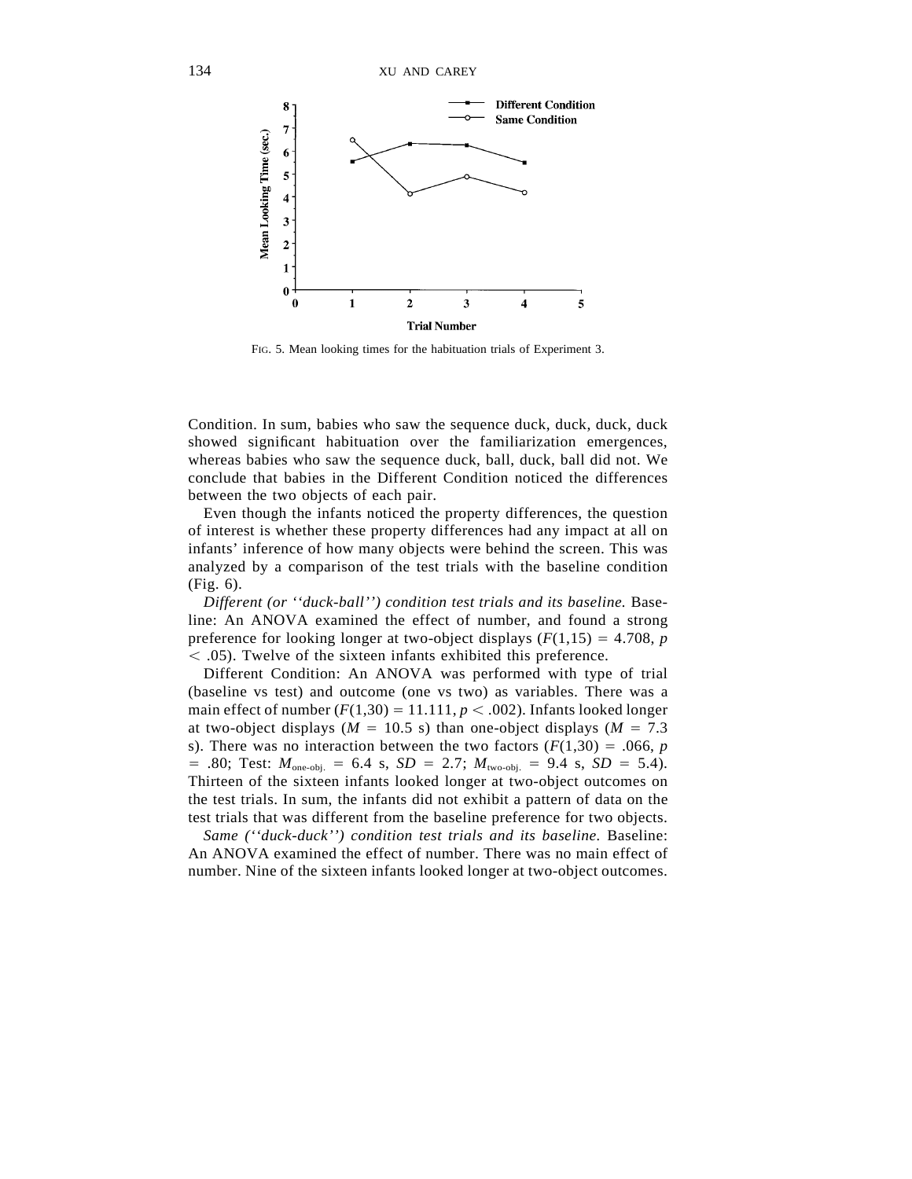

FIG. 5. Mean looking times for the habituation trials of Experiment 3.

Condition. In sum, babies who saw the sequence duck, duck, duck, duck showed significant habituation over the familiarization emergences, whereas babies who saw the sequence duck, ball, duck, ball did not. We conclude that babies in the Different Condition noticed the differences between the two objects of each pair.

Even though the infants noticed the property differences, the question of interest is whether these property differences had any impact at all on infants' inference of how many objects were behind the screen. This was analyzed by a comparison of the test trials with the baseline condition (Fig. 6).

*Different (or ''duck-ball'') condition test trials and its baseline.* Baseline: An ANOVA examined the effect of number, and found a strong preference for looking longer at two-object displays  $(F(1,15) = 4.708, p)$  $<$  .05). Twelve of the sixteen infants exhibited this preference.

Different Condition: An ANOVA was performed with type of trial (baseline vs test) and outcome (one vs two) as variables. There was a main effect of number  $(F(1,30) = 11.111, p < .002)$ . Infants looked longer at two-object displays ( $M = 10.5$  s) than one-object displays ( $M = 7.3$ s). There was no interaction between the two factors  $(F(1,30) = .066, p)$  $= .80$ ; Test:  $M_{\text{one-obj.}} = 6.4 \text{ s}$ ,  $SD = 2.7$ ;  $M_{\text{two-obj.}} = 9.4 \text{ s}$ ,  $SD = 5.4$ ). Thirteen of the sixteen infants looked longer at two-object outcomes on the test trials. In sum, the infants did not exhibit a pattern of data on the test trials that was different from the baseline preference for two objects.

*Same (''duck-duck'') condition test trials and its baseline.* Baseline: An ANOVA examined the effect of number. There was no main effect of number. Nine of the sixteen infants looked longer at two-object outcomes.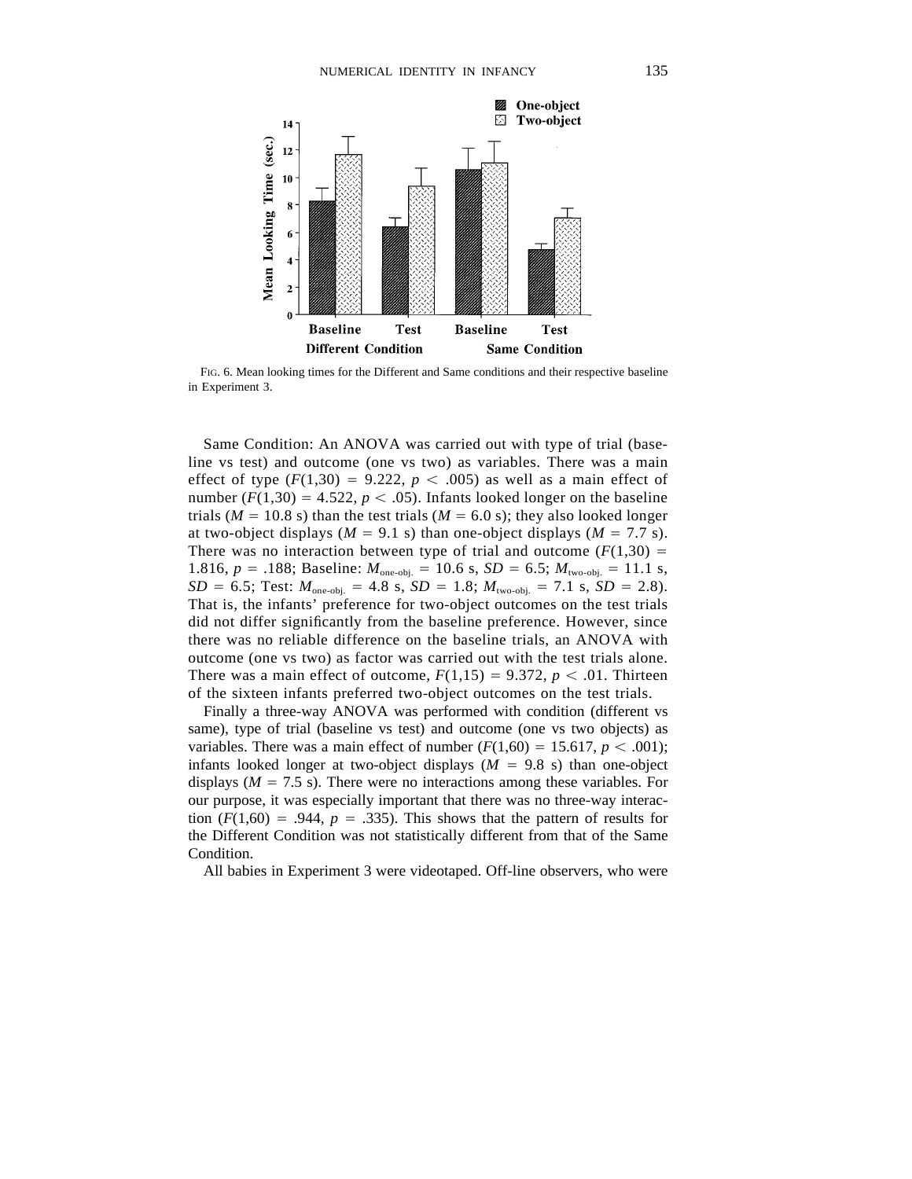

FIG. 6. Mean looking times for the Different and Same conditions and their respective baseline in Experiment 3.

Same Condition: An ANOVA was carried out with type of trial (baseline vs test) and outcome (one vs two) as variables. There was a main effect of type  $(F(1,30) = 9.222, p < .005)$  as well as a main effect of number  $(F(1,30) = 4.522, p < .05)$ . Infants looked longer on the baseline trials ( $M = 10.8$  s) than the test trials ( $M = 6.0$  s); they also looked longer at two-object displays ( $M = 9.1$  s) than one-object displays ( $M = 7.7$  s). There was no interaction between type of trial and outcome  $(F(1,30) =$ 1.816,  $p = .188$ ; Baseline:  $M_{\text{one-obj.}} = 10.6$  s,  $SD = 6.5$ ;  $M_{\text{two-obj.}} = 11.1$  s,  $SD = 6.5$ ; Test:  $M_{one-obj.} = 4.8$  s,  $SD = 1.8$ ;  $M_{two-obj.} = 7.1$  s,  $SD = 2.8$ ). That is, the infants' preference for two-object outcomes on the test trials did not differ significantly from the baseline preference. However, since there was no reliable difference on the baseline trials, an ANOVA with outcome (one vs two) as factor was carried out with the test trials alone. There was a main effect of outcome,  $F(1,15) = 9.372$ ,  $p < .01$ . Thirteen of the sixteen infants preferred two-object outcomes on the test trials.

Finally a three-way ANOVA was performed with condition (different vs same), type of trial (baseline vs test) and outcome (one vs two objects) as variables. There was a main effect of number  $(F(1,60) = 15.617, p < .001)$ ; infants looked longer at two-object displays  $(M = 9.8 \text{ s})$  than one-object displays ( $M = 7.5$  s). There were no interactions among these variables. For our purpose, it was especially important that there was no three-way interaction  $(F(1,60) = .944$ ,  $p = .335)$ . This shows that the pattern of results for the Different Condition was not statistically different from that of the Same Condition.

All babies in Experiment 3 were videotaped. Off-line observers, who were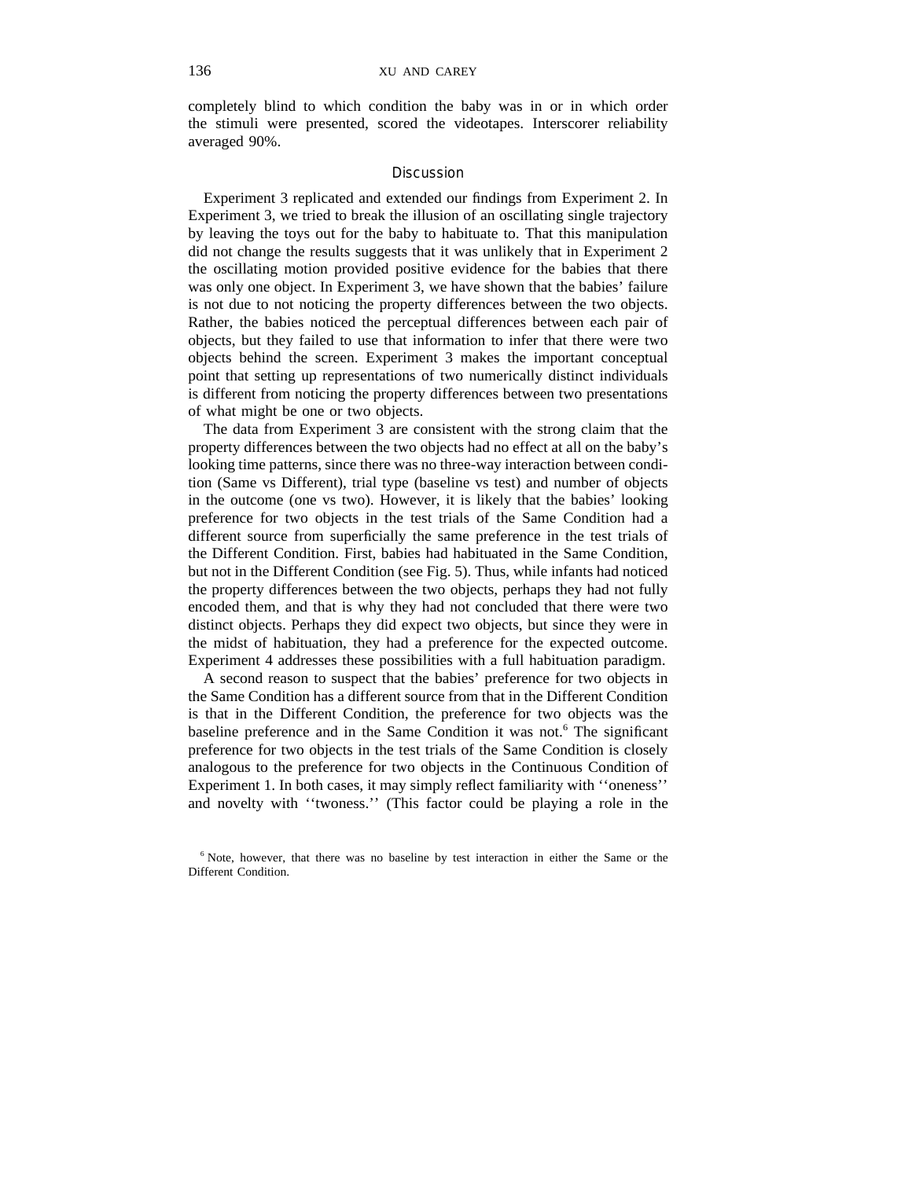completely blind to which condition the baby was in or in which order the stimuli were presented, scored the videotapes. Interscorer reliability averaged 90%.

### **Discussion**

Experiment 3 replicated and extended our findings from Experiment 2. In Experiment 3, we tried to break the illusion of an oscillating single trajectory by leaving the toys out for the baby to habituate to. That this manipulation did not change the results suggests that it was unlikely that in Experiment 2 the oscillating motion provided positive evidence for the babies that there was only one object. In Experiment 3, we have shown that the babies' failure is not due to not noticing the property differences between the two objects. Rather, the babies noticed the perceptual differences between each pair of objects, but they failed to use that information to infer that there were two objects behind the screen. Experiment 3 makes the important conceptual point that setting up representations of two numerically distinct individuals is different from noticing the property differences between two presentations of what might be one or two objects.

The data from Experiment 3 are consistent with the strong claim that the property differences between the two objects had no effect at all on the baby's looking time patterns, since there was no three-way interaction between condition (Same vs Different), trial type (baseline vs test) and number of objects in the outcome (one vs two). However, it is likely that the babies' looking preference for two objects in the test trials of the Same Condition had a different source from superficially the same preference in the test trials of the Different Condition. First, babies had habituated in the Same Condition, but not in the Different Condition (see Fig. 5). Thus, while infants had noticed the property differences between the two objects, perhaps they had not fully encoded them, and that is why they had not concluded that there were two distinct objects. Perhaps they did expect two objects, but since they were in the midst of habituation, they had a preference for the expected outcome. Experiment 4 addresses these possibilities with a full habituation paradigm.

A second reason to suspect that the babies' preference for two objects in the Same Condition has a different source from that in the Different Condition is that in the Different Condition, the preference for two objects was the baseline preference and in the Same Condition it was not.<sup>6</sup> The significant preference for two objects in the test trials of the Same Condition is closely analogous to the preference for two objects in the Continuous Condition of Experiment 1. In both cases, it may simply reflect familiarity with ''oneness'' and novelty with "twoness." (This factor could be playing a role in the

<sup>&</sup>lt;sup>6</sup> Note, however, that there was no baseline by test interaction in either the Same or the Different Condition.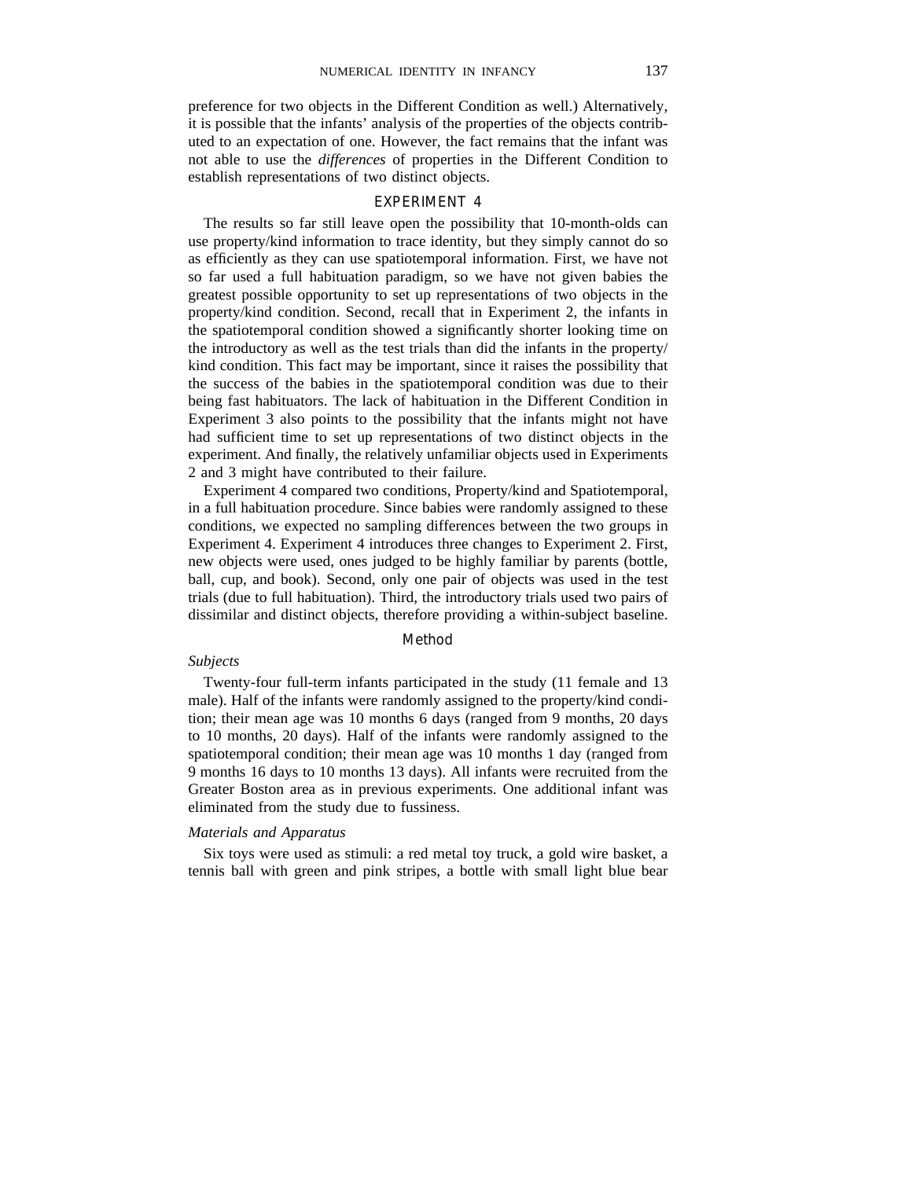preference for two objects in the Different Condition as well.) Alternatively, it is possible that the infants' analysis of the properties of the objects contributed to an expectation of one. However, the fact remains that the infant was not able to use the *differences* of properties in the Different Condition to establish representations of two distinct objects.

### EXPERIMENT 4

The results so far still leave open the possibility that 10-month-olds can use property/kind information to trace identity, but they simply cannot do so as efficiently as they can use spatiotemporal information. First, we have not so far used a full habituation paradigm, so we have not given babies the greatest possible opportunity to set up representations of two objects in the property/kind condition. Second, recall that in Experiment 2, the infants in the spatiotemporal condition showed a significantly shorter looking time on the introductory as well as the test trials than did the infants in the property/ kind condition. This fact may be important, since it raises the possibility that the success of the babies in the spatiotemporal condition was due to their being fast habituators. The lack of habituation in the Different Condition in Experiment 3 also points to the possibility that the infants might not have had sufficient time to set up representations of two distinct objects in the experiment. And finally, the relatively unfamiliar objects used in Experiments 2 and 3 might have contributed to their failure.

Experiment 4 compared two conditions, Property/kind and Spatiotemporal, in a full habituation procedure. Since babies were randomly assigned to these conditions, we expected no sampling differences between the two groups in Experiment 4. Experiment 4 introduces three changes to Experiment 2. First, new objects were used, ones judged to be highly familiar by parents (bottle, ball, cup, and book). Second, only one pair of objects was used in the test trials (due to full habituation). Third, the introductory trials used two pairs of dissimilar and distinct objects, therefore providing a within-subject baseline.

#### Method

#### *Subjects*

Twenty-four full-term infants participated in the study (11 female and 13 male). Half of the infants were randomly assigned to the property/kind condition; their mean age was 10 months 6 days (ranged from 9 months, 20 days to 10 months, 20 days). Half of the infants were randomly assigned to the spatiotemporal condition; their mean age was 10 months 1 day (ranged from 9 months 16 days to 10 months 13 days). All infants were recruited from the Greater Boston area as in previous experiments. One additional infant was eliminated from the study due to fussiness.

### *Materials and Apparatus*

Six toys were used as stimuli: a red metal toy truck, a gold wire basket, a tennis ball with green and pink stripes, a bottle with small light blue bear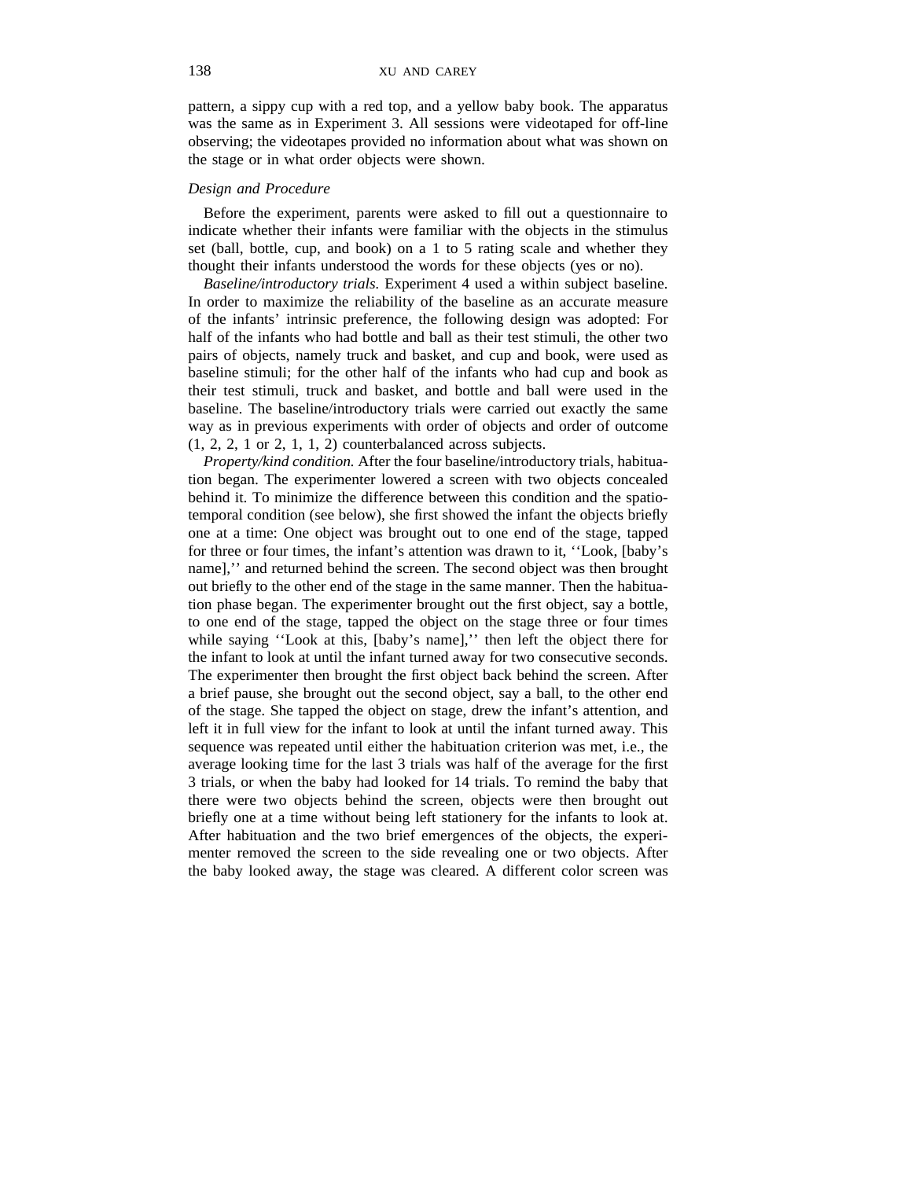pattern, a sippy cup with a red top, and a yellow baby book. The apparatus was the same as in Experiment 3. All sessions were videotaped for off-line observing; the videotapes provided no information about what was shown on the stage or in what order objects were shown.

### *Design and Procedure*

Before the experiment, parents were asked to fill out a questionnaire to indicate whether their infants were familiar with the objects in the stimulus set (ball, bottle, cup, and book) on a 1 to 5 rating scale and whether they thought their infants understood the words for these objects (yes or no).

*Baseline/introductory trials.* Experiment 4 used a within subject baseline. In order to maximize the reliability of the baseline as an accurate measure of the infants' intrinsic preference, the following design was adopted: For half of the infants who had bottle and ball as their test stimuli, the other two pairs of objects, namely truck and basket, and cup and book, were used as baseline stimuli; for the other half of the infants who had cup and book as their test stimuli, truck and basket, and bottle and ball were used in the baseline. The baseline/introductory trials were carried out exactly the same way as in previous experiments with order of objects and order of outcome  $(1, 2, 2, 1 \text{ or } 2, 1, 1, 2)$  counterbalanced across subjects.

*Property/kind condition.* After the four baseline/introductory trials, habituation began. The experimenter lowered a screen with two objects concealed behind it. To minimize the difference between this condition and the spatiotemporal condition (see below), she first showed the infant the objects briefly one at a time: One object was brought out to one end of the stage, tapped for three or four times, the infant's attention was drawn to it, ''Look, [baby's name],'' and returned behind the screen. The second object was then brought out briefly to the other end of the stage in the same manner. Then the habituation phase began. The experimenter brought out the first object, say a bottle, to one end of the stage, tapped the object on the stage three or four times while saying "Look at this, [baby's name]," then left the object there for the infant to look at until the infant turned away for two consecutive seconds. The experimenter then brought the first object back behind the screen. After a brief pause, she brought out the second object, say a ball, to the other end of the stage. She tapped the object on stage, drew the infant's attention, and left it in full view for the infant to look at until the infant turned away. This sequence was repeated until either the habituation criterion was met, i.e., the average looking time for the last 3 trials was half of the average for the first 3 trials, or when the baby had looked for 14 trials. To remind the baby that there were two objects behind the screen, objects were then brought out briefly one at a time without being left stationery for the infants to look at. After habituation and the two brief emergences of the objects, the experimenter removed the screen to the side revealing one or two objects. After the baby looked away, the stage was cleared. A different color screen was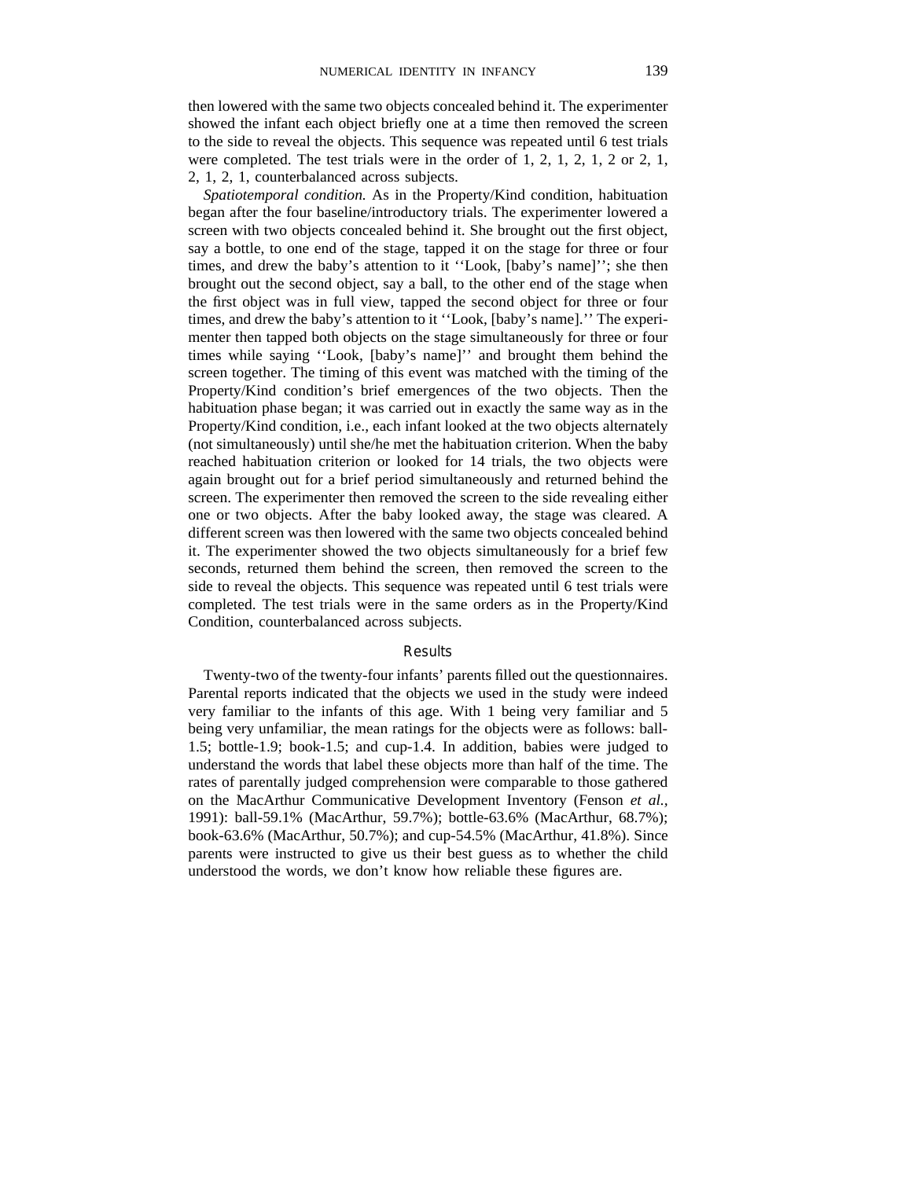then lowered with the same two objects concealed behind it. The experimenter showed the infant each object briefly one at a time then removed the screen to the side to reveal the objects. This sequence was repeated until 6 test trials were completed. The test trials were in the order of 1, 2, 1, 2, 1, 2 or 2, 1, 2, 1, 2, 1, counterbalanced across subjects.

*Spatiotemporal condition.* As in the Property/Kind condition, habituation began after the four baseline/introductory trials. The experimenter lowered a screen with two objects concealed behind it. She brought out the first object, say a bottle, to one end of the stage, tapped it on the stage for three or four times, and drew the baby's attention to it ''Look, [baby's name]''; she then brought out the second object, say a ball, to the other end of the stage when the first object was in full view, tapped the second object for three or four times, and drew the baby's attention to it ''Look, [baby's name].'' The experimenter then tapped both objects on the stage simultaneously for three or four times while saying ''Look, [baby's name]'' and brought them behind the screen together. The timing of this event was matched with the timing of the Property/Kind condition's brief emergences of the two objects. Then the habituation phase began; it was carried out in exactly the same way as in the Property/Kind condition, i.e., each infant looked at the two objects alternately (not simultaneously) until she/he met the habituation criterion. When the baby reached habituation criterion or looked for 14 trials, the two objects were again brought out for a brief period simultaneously and returned behind the screen. The experimenter then removed the screen to the side revealing either one or two objects. After the baby looked away, the stage was cleared. A different screen was then lowered with the same two objects concealed behind it. The experimenter showed the two objects simultaneously for a brief few seconds, returned them behind the screen, then removed the screen to the side to reveal the objects. This sequence was repeated until 6 test trials were completed. The test trials were in the same orders as in the Property/Kind Condition, counterbalanced across subjects.

#### **Results**

Twenty-two of the twenty-four infants' parents filled out the questionnaires. Parental reports indicated that the objects we used in the study were indeed very familiar to the infants of this age. With 1 being very familiar and 5 being very unfamiliar, the mean ratings for the objects were as follows: ball-1.5; bottle-1.9; book-1.5; and cup-1.4. In addition, babies were judged to understand the words that label these objects more than half of the time. The rates of parentally judged comprehension were comparable to those gathered on the MacArthur Communicative Development Inventory (Fenson *et al.,* 1991): ball-59.1% (MacArthur, 59.7%); bottle-63.6% (MacArthur, 68.7%); book-63.6% (MacArthur, 50.7%); and cup-54.5% (MacArthur, 41.8%). Since parents were instructed to give us their best guess as to whether the child understood the words, we don't know how reliable these figures are.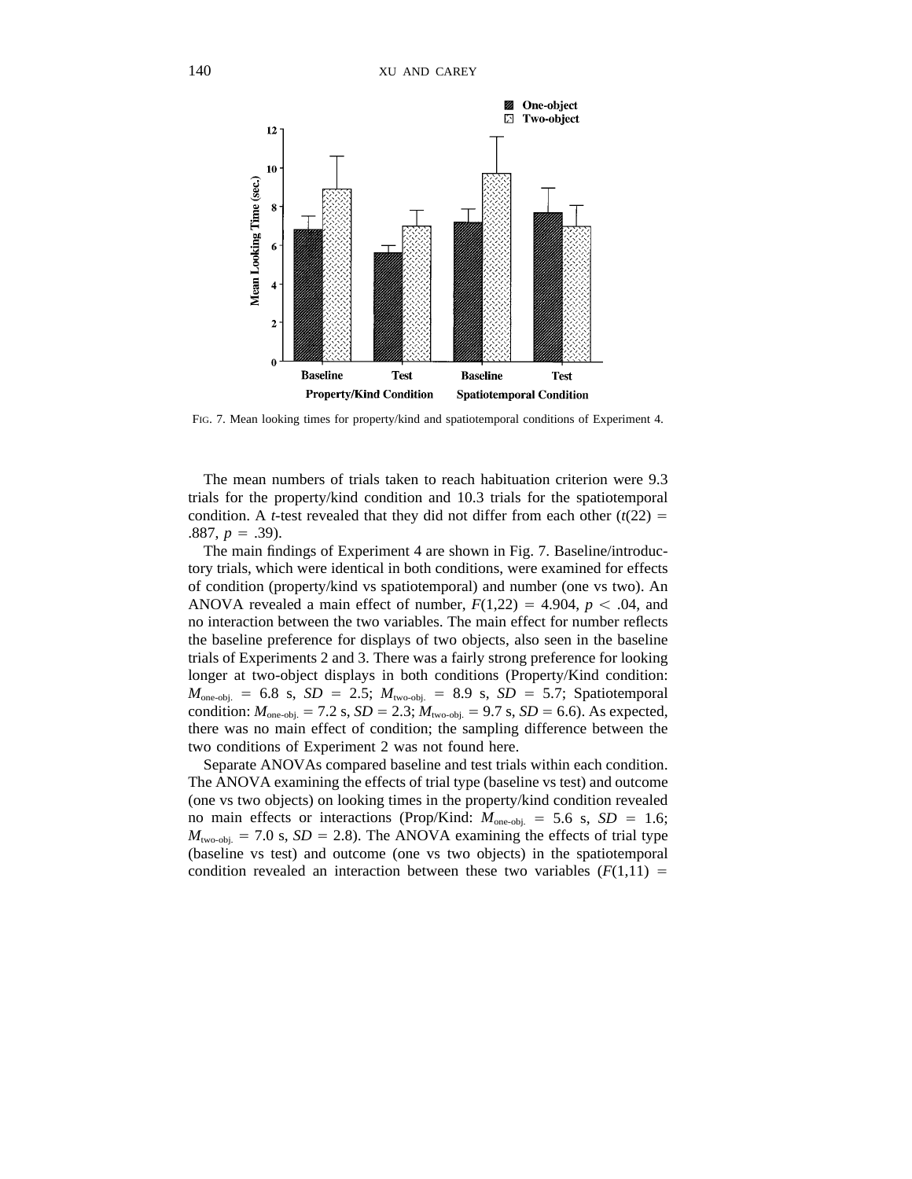

FIG. 7. Mean looking times for property/kind and spatiotemporal conditions of Experiment 4.

The mean numbers of trials taken to reach habituation criterion were 9.3 trials for the property/kind condition and 10.3 trials for the spatiotemporal condition. A *t*-test revealed that they did not differ from each other  $(t(22) =$  $.887, p = .39$ .

The main findings of Experiment 4 are shown in Fig. 7. Baseline/introductory trials, which were identical in both conditions, were examined for effects of condition (property/kind vs spatiotemporal) and number (one vs two). An ANOVA revealed a main effect of number,  $F(1,22) = 4.904$ ,  $p < .04$ , and no interaction between the two variables. The main effect for number reflects the baseline preference for displays of two objects, also seen in the baseline trials of Experiments 2 and 3. There was a fairly strong preference for looking longer at two-object displays in both conditions (Property/Kind condition:  $M_{\text{one-obj.}}$  = 6.8 s,  $SD = 2.5$ ;  $M_{\text{two-obj.}}$  = 8.9 s,  $SD = 5.7$ ; Spatiotemporal condition:  $M_{\text{one-obi}} = 7.2 \text{ s}$ ,  $SD = 2.3$ ;  $M_{\text{two-obi}} = 9.7 \text{ s}$ ,  $SD = 6.6$ ). As expected, there was no main effect of condition; the sampling difference between the two conditions of Experiment 2 was not found here.

Separate ANOVAs compared baseline and test trials within each condition. The ANOVA examining the effects of trial type (baseline vs test) and outcome (one vs two objects) on looking times in the property/kind condition revealed no main effects or interactions (Prop/Kind:  $M_{one-obj.} = 5.6$  s,  $SD = 1.6$ ;  $M_{two\text{-}obj.}$  = 7.0 s, *SD* = 2.8). The ANOVA examining the effects of trial type (baseline vs test) and outcome (one vs two objects) in the spatiotemporal condition revealed an interaction between these two variables  $(F(1,11)) =$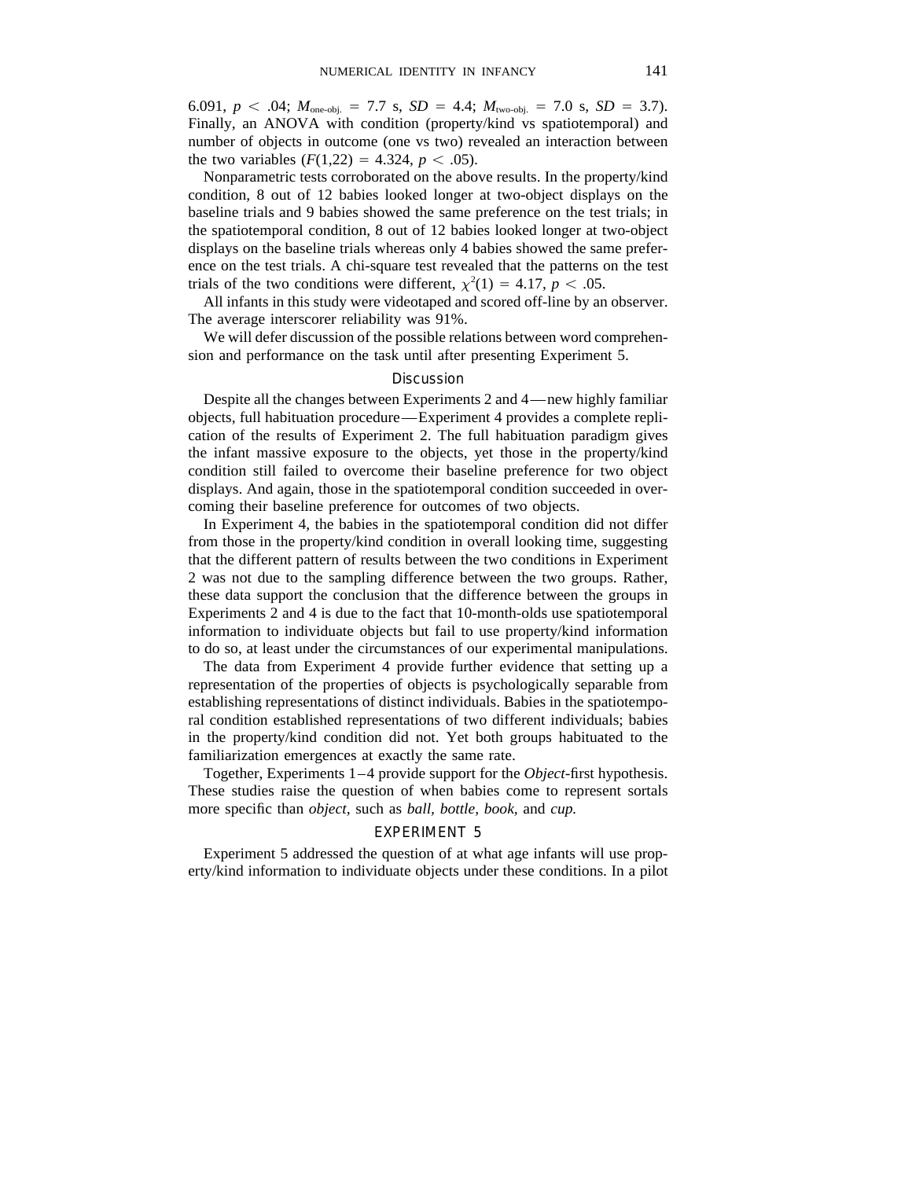6.091,  $p < .04$ ;  $M_{\text{one-obj.}} = 7.7$  s,  $SD = 4.4$ ;  $M_{\text{two-obj.}} = 7.0$  s,  $SD = 3.7$ ). Finally, an ANOVA with condition (property/kind vs spatiotemporal) and number of objects in outcome (one vs two) revealed an interaction between the two variables  $(F(1,22) = 4.324, p < .05)$ .

Nonparametric tests corroborated on the above results. In the property/kind condition, 8 out of 12 babies looked longer at two-object displays on the baseline trials and 9 babies showed the same preference on the test trials; in the spatiotemporal condition, 8 out of 12 babies looked longer at two-object displays on the baseline trials whereas only 4 babies showed the same preference on the test trials. A chi-square test revealed that the patterns on the test trials of the two conditions were different,  $\chi^2(1) = 4.17$ ,  $p < .05$ .

All infants in this study were videotaped and scored off-line by an observer. The average interscorer reliability was 91%.

We will defer discussion of the possible relations between word comprehension and performance on the task until after presenting Experiment 5.

## **Discussion**

Despite all the changes between Experiments 2 and 4—new highly familiar objects, full habituation procedure—Experiment 4 provides a complete replication of the results of Experiment 2. The full habituation paradigm gives the infant massive exposure to the objects, yet those in the property/kind condition still failed to overcome their baseline preference for two object displays. And again, those in the spatiotemporal condition succeeded in overcoming their baseline preference for outcomes of two objects.

In Experiment 4, the babies in the spatiotemporal condition did not differ from those in the property/kind condition in overall looking time, suggesting that the different pattern of results between the two conditions in Experiment 2 was not due to the sampling difference between the two groups. Rather, these data support the conclusion that the difference between the groups in Experiments 2 and 4 is due to the fact that 10-month-olds use spatiotemporal information to individuate objects but fail to use property/kind information to do so, at least under the circumstances of our experimental manipulations.

The data from Experiment 4 provide further evidence that setting up a representation of the properties of objects is psychologically separable from establishing representations of distinct individuals. Babies in the spatiotemporal condition established representations of two different individuals; babies in the property/kind condition did not. Yet both groups habituated to the familiarization emergences at exactly the same rate.

Together, Experiments 1–4 provide support for the *Object*-first hypothesis. These studies raise the question of when babies come to represent sortals more specific than *object,* such as *ball, bottle, book,* and *cup.*

## EXPERIMENT 5

Experiment 5 addressed the question of at what age infants will use property/kind information to individuate objects under these conditions. In a pilot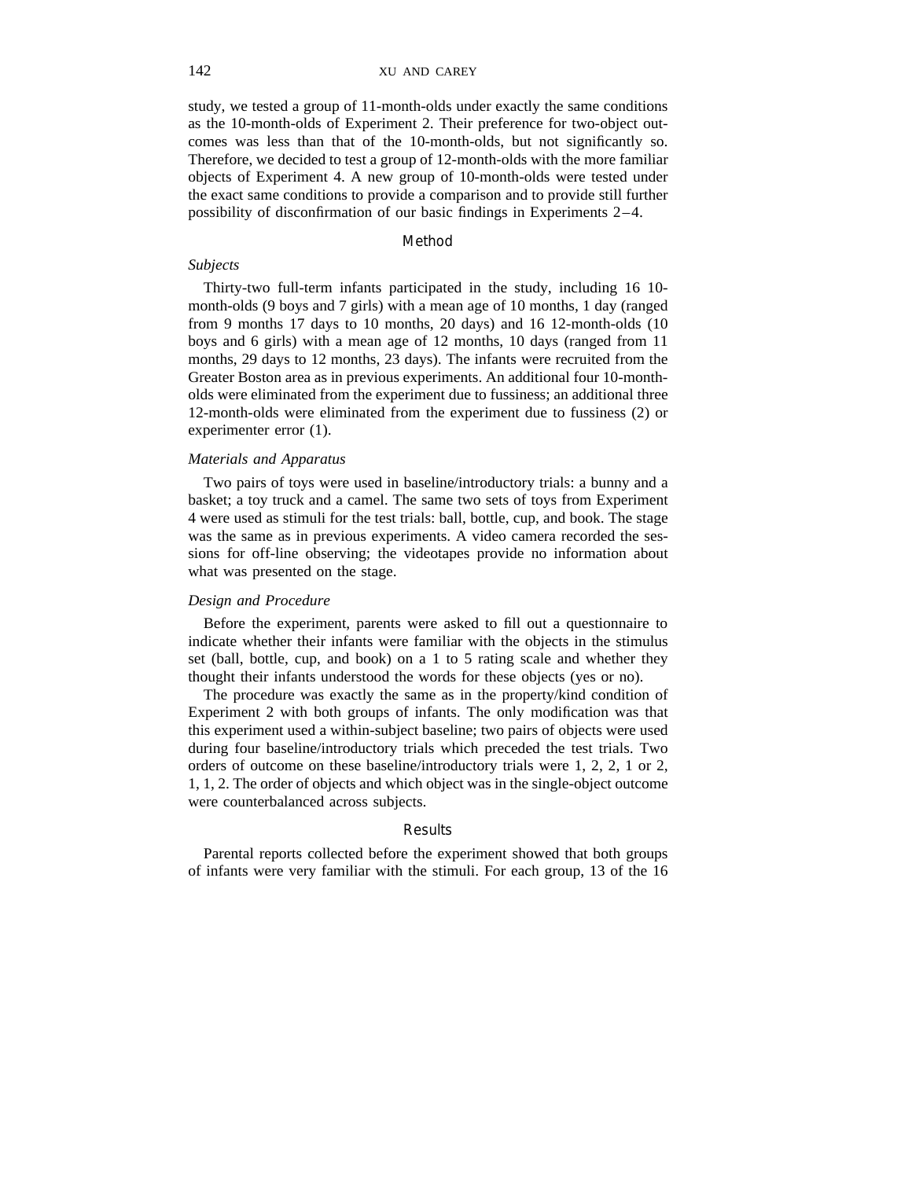study, we tested a group of 11-month-olds under exactly the same conditions as the 10-month-olds of Experiment 2. Their preference for two-object outcomes was less than that of the 10-month-olds, but not significantly so. Therefore, we decided to test a group of 12-month-olds with the more familiar objects of Experiment 4. A new group of 10-month-olds were tested under the exact same conditions to provide a comparison and to provide still further possibility of disconfirmation of our basic findings in Experiments 2–4.

## Method

#### *Subjects*

Thirty-two full-term infants participated in the study, including 16 10 month-olds (9 boys and 7 girls) with a mean age of 10 months, 1 day (ranged from 9 months 17 days to 10 months, 20 days) and 16 12-month-olds (10 boys and 6 girls) with a mean age of 12 months, 10 days (ranged from 11 months, 29 days to 12 months, 23 days). The infants were recruited from the Greater Boston area as in previous experiments. An additional four 10-montholds were eliminated from the experiment due to fussiness; an additional three 12-month-olds were eliminated from the experiment due to fussiness (2) or experimenter error (1).

### *Materials and Apparatus*

Two pairs of toys were used in baseline/introductory trials: a bunny and a basket; a toy truck and a camel. The same two sets of toys from Experiment 4 were used as stimuli for the test trials: ball, bottle, cup, and book. The stage was the same as in previous experiments. A video camera recorded the sessions for off-line observing; the videotapes provide no information about what was presented on the stage.

## *Design and Procedure*

Before the experiment, parents were asked to fill out a questionnaire to indicate whether their infants were familiar with the objects in the stimulus set (ball, bottle, cup, and book) on a 1 to 5 rating scale and whether they thought their infants understood the words for these objects (yes or no).

The procedure was exactly the same as in the property/kind condition of Experiment 2 with both groups of infants. The only modification was that this experiment used a within-subject baseline; two pairs of objects were used during four baseline/introductory trials which preceded the test trials. Two orders of outcome on these baseline/introductory trials were 1, 2, 2, 1 or 2, 1, 1, 2. The order of objects and which object was in the single-object outcome were counterbalanced across subjects.

#### **Results**

Parental reports collected before the experiment showed that both groups of infants were very familiar with the stimuli. For each group, 13 of the 16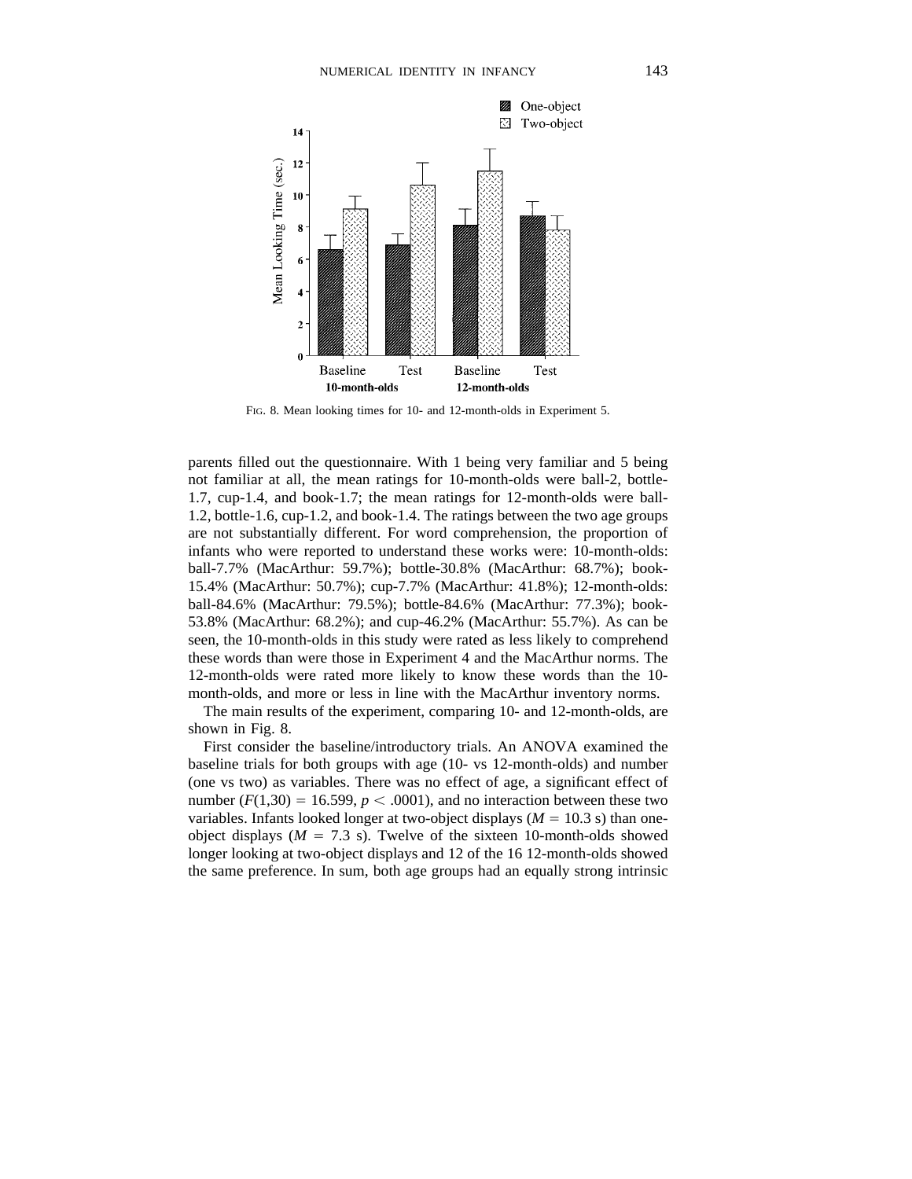

FIG. 8. Mean looking times for 10- and 12-month-olds in Experiment 5.

parents filled out the questionnaire. With 1 being very familiar and 5 being not familiar at all, the mean ratings for 10-month-olds were ball-2, bottle-1.7, cup-1.4, and book-1.7; the mean ratings for 12-month-olds were ball-1.2, bottle-1.6, cup-1.2, and book-1.4. The ratings between the two age groups are not substantially different. For word comprehension, the proportion of infants who were reported to understand these works were: 10-month-olds: ball-7.7% (MacArthur: 59.7%); bottle-30.8% (MacArthur: 68.7%); book-15.4% (MacArthur: 50.7%); cup-7.7% (MacArthur: 41.8%); 12-month-olds: ball-84.6% (MacArthur: 79.5%); bottle-84.6% (MacArthur: 77.3%); book-53.8% (MacArthur: 68.2%); and cup-46.2% (MacArthur: 55.7%). As can be seen, the 10-month-olds in this study were rated as less likely to comprehend these words than were those in Experiment 4 and the MacArthur norms. The 12-month-olds were rated more likely to know these words than the 10 month-olds, and more or less in line with the MacArthur inventory norms.

The main results of the experiment, comparing 10- and 12-month-olds, are shown in Fig. 8.

First consider the baseline/introductory trials. An ANOVA examined the baseline trials for both groups with age (10- vs 12-month-olds) and number (one vs two) as variables. There was no effect of age, a significant effect of number  $(F(1,30) = 16.599, p < .0001)$ , and no interaction between these two variables. Infants looked longer at two-object displays ( $M = 10.3$  s) than oneobject displays ( $M = 7.3$  s). Twelve of the sixteen 10-month-olds showed longer looking at two-object displays and 12 of the 16 12-month-olds showed the same preference. In sum, both age groups had an equally strong intrinsic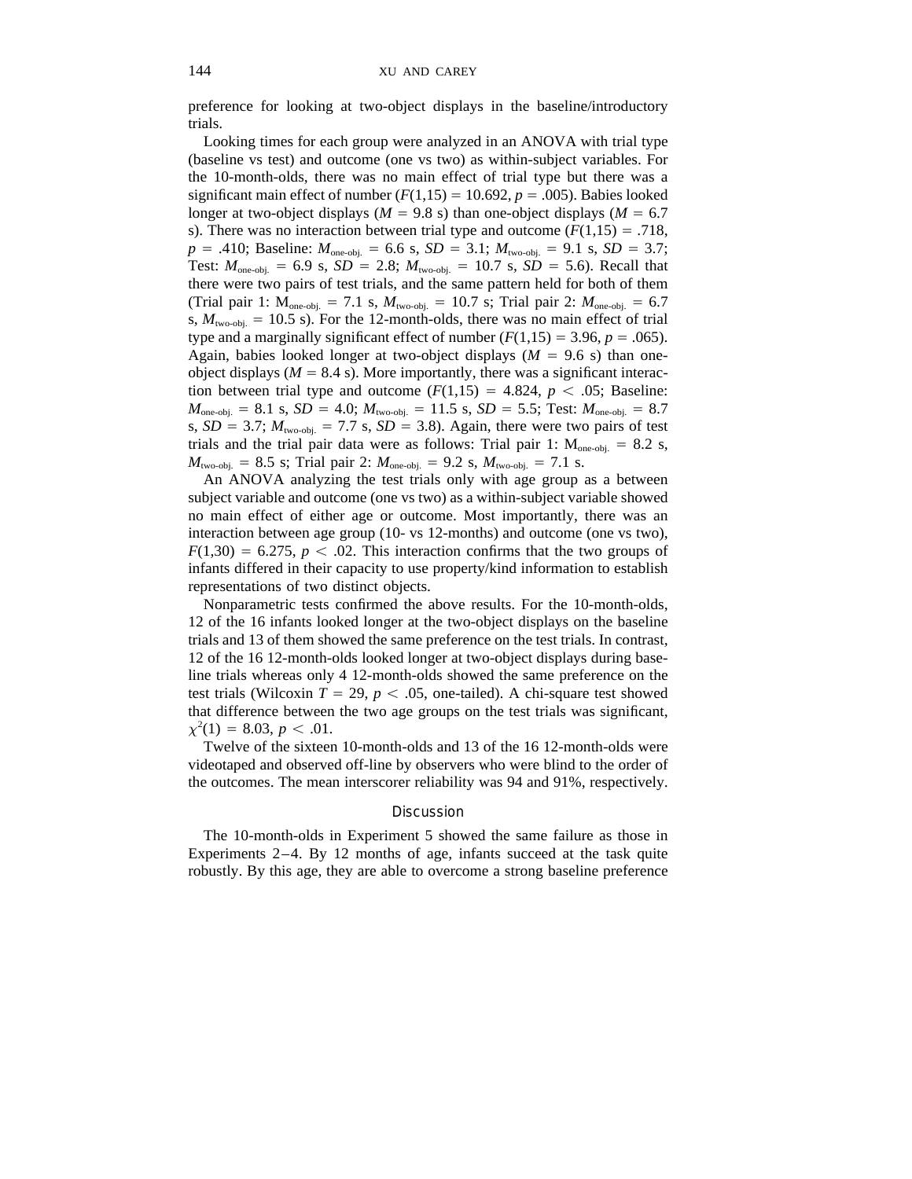preference for looking at two-object displays in the baseline/introductory trials.

Looking times for each group were analyzed in an ANOVA with trial type (baseline vs test) and outcome (one vs two) as within-subject variables. For the 10-month-olds, there was no main effect of trial type but there was a significant main effect of number  $(F(1,15) = 10.692, p = .005)$ . Babies looked longer at two-object displays ( $M = 9.8$  s) than one-object displays ( $M = 6.7$ s). There was no interaction between trial type and outcome  $(F(1,15) = .718)$ ,  $p = .410$ ; Baseline:  $M_{\text{one-obj.}} = 6.6 \text{ s}$ ,  $SD = 3.1$ ;  $M_{\text{two-obj.}} = 9.1 \text{ s}$ ,  $SD = 3.7$ ; Test:  $M_{\text{one-obj.}} = 6.9 \text{ s}$ ,  $SD = 2.8$ ;  $M_{\text{two-obj.}} = 10.7 \text{ s}$ ,  $SD = 5.6$ ). Recall that there were two pairs of test trials, and the same pattern held for both of them (Trial pair 1:  $M_{\text{one-obj.}} = 7.1 \text{ s}$ ,  $M_{\text{two-obj.}} = 10.7 \text{ s}$ ; Trial pair 2:  $M_{\text{one-obj.}} = 6.7$ s,  $M_{two\text{-}obj.} = 10.5$  s). For the 12-month-olds, there was no main effect of trial type and a marginally significant effect of number  $(F(1,15) = 3.96, p = .065)$ . Again, babies looked longer at two-object displays ( $M = 9.6$  s) than oneobject displays ( $M = 8.4$  s). More importantly, there was a significant interaction between trial type and outcome  $(F(1,15) = 4.824, p < .05;$  Baseline:  $M_{\text{one-obj.}} = 8.1 \text{ s}$ ,  $SD = 4.0$ ;  $M_{\text{two-obj.}} = 11.5 \text{ s}$ ,  $SD = 5.5$ ; Test:  $M_{\text{one-obj.}} = 8.7$ s,  $SD = 3.7$ ;  $M_{two-obj} = 7.7$  s,  $SD = 3.8$ ). Again, there were two pairs of test trials and the trial pair data were as follows: Trial pair 1:  $M_{one-obj.} = 8.2$  s,  $M_{two\text{-}obi.} = 8.5 \text{ s}$ ; Trial pair 2:  $M_{one\text{-}obi.} = 9.2 \text{ s}$ ,  $M_{two\text{-}obi.} = 7.1 \text{ s}$ .

An ANOVA analyzing the test trials only with age group as a between subject variable and outcome (one vs two) as a within-subject variable showed no main effect of either age or outcome. Most importantly, there was an interaction between age group (10- vs 12-months) and outcome (one vs two),  $F(1,30) = 6.275$ ,  $p < .02$ . This interaction confirms that the two groups of infants differed in their capacity to use property/kind information to establish representations of two distinct objects.

Nonparametric tests confirmed the above results. For the 10-month-olds, 12 of the 16 infants looked longer at the two-object displays on the baseline trials and 13 of them showed the same preference on the test trials. In contrast, 12 of the 16 12-month-olds looked longer at two-object displays during baseline trials whereas only 4 12-month-olds showed the same preference on the test trials (Wilcoxin  $T = 29$ ,  $p < .05$ , one-tailed). A chi-square test showed that difference between the two age groups on the test trials was significant,  $\chi^2(1) = 8.03, p < .01.$ 

Twelve of the sixteen 10-month-olds and 13 of the 16 12-month-olds were videotaped and observed off-line by observers who were blind to the order of the outcomes. The mean interscorer reliability was 94 and 91%, respectively.

## **Discussion**

The 10-month-olds in Experiment 5 showed the same failure as those in Experiments 2–4. By 12 months of age, infants succeed at the task quite robustly. By this age, they are able to overcome a strong baseline preference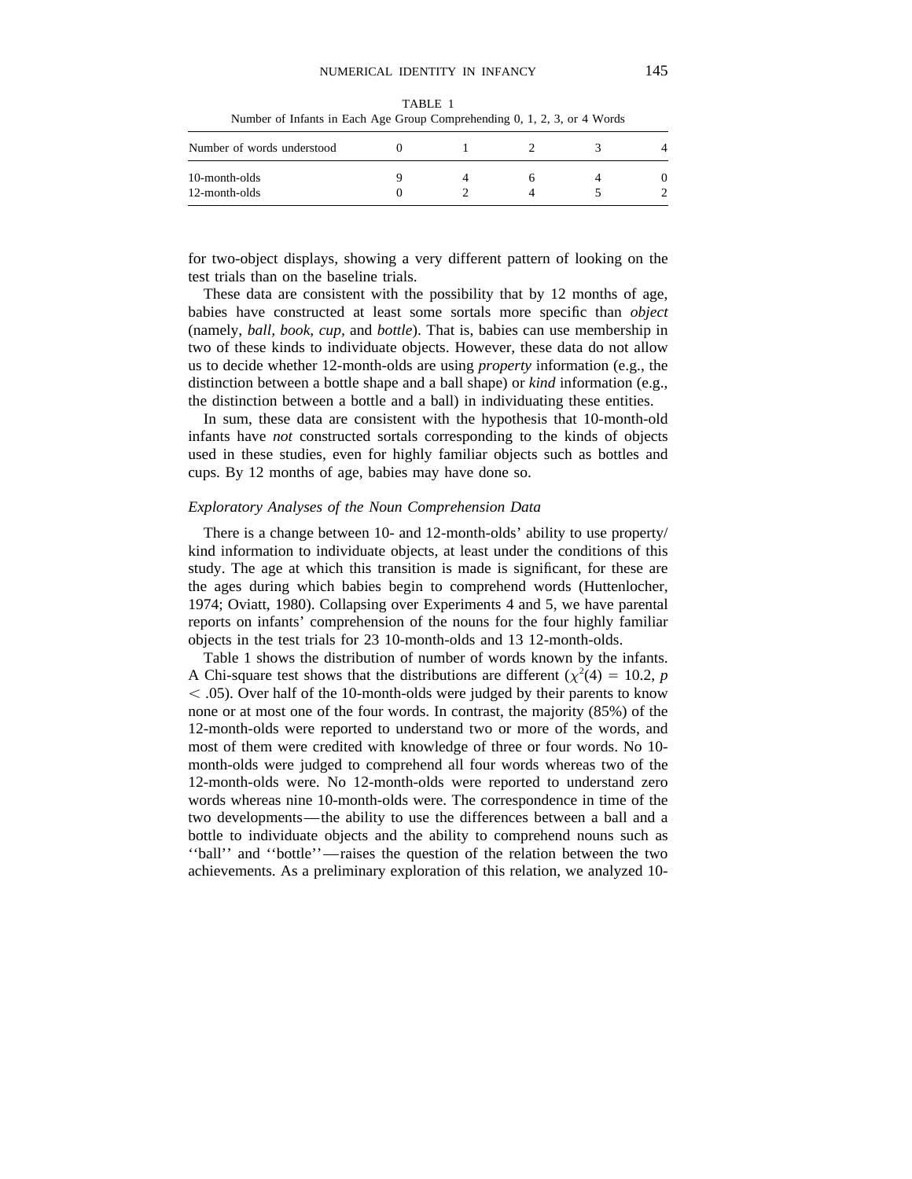| Trainber of imagins in Each $P_{\rm SC}$ Group Comprendituing 0, 1, 2, 9, 01 $\pm$ words |  |  |  |  |  |  |  |  |  |
|------------------------------------------------------------------------------------------|--|--|--|--|--|--|--|--|--|
| Number of words understood                                                               |  |  |  |  |  |  |  |  |  |
| 10-month-olds                                                                            |  |  |  |  |  |  |  |  |  |
| 12-month-olds                                                                            |  |  |  |  |  |  |  |  |  |

TABLE 1 Number of Infants in Each Age Group Comprehending  $0, 1, 2, 3$ , or 4 Words

for two-object displays, showing a very different pattern of looking on the test trials than on the baseline trials.

These data are consistent with the possibility that by 12 months of age, babies have constructed at least some sortals more specific than *object* (namely, *ball, book, cup,* and *bottle*). That is, babies can use membership in two of these kinds to individuate objects. However, these data do not allow us to decide whether 12-month-olds are using *property* information (e.g., the distinction between a bottle shape and a ball shape) or *kind* information (e.g., the distinction between a bottle and a ball) in individuating these entities.

In sum, these data are consistent with the hypothesis that 10-month-old infants have *not* constructed sortals corresponding to the kinds of objects used in these studies, even for highly familiar objects such as bottles and cups. By 12 months of age, babies may have done so.

### *Exploratory Analyses of the Noun Comprehension Data*

There is a change between 10- and 12-month-olds' ability to use property/ kind information to individuate objects, at least under the conditions of this study. The age at which this transition is made is significant, for these are the ages during which babies begin to comprehend words (Huttenlocher, 1974; Oviatt, 1980). Collapsing over Experiments 4 and 5, we have parental reports on infants' comprehension of the nouns for the four highly familiar objects in the test trials for 23 10-month-olds and 13 12-month-olds.

Table 1 shows the distribution of number of words known by the infants. A Chi-square test shows that the distributions are different  $(\chi^2(4) = 10.2, p$  $<$  .05). Over half of the 10-month-olds were judged by their parents to know none or at most one of the four words. In contrast, the majority (85%) of the 12-month-olds were reported to understand two or more of the words, and most of them were credited with knowledge of three or four words. No 10 month-olds were judged to comprehend all four words whereas two of the 12-month-olds were. No 12-month-olds were reported to understand zero words whereas nine 10-month-olds were. The correspondence in time of the two developments—the ability to use the differences between a ball and a bottle to individuate objects and the ability to comprehend nouns such as ''ball'' and ''bottle''—raises the question of the relation between the two achievements. As a preliminary exploration of this relation, we analyzed 10-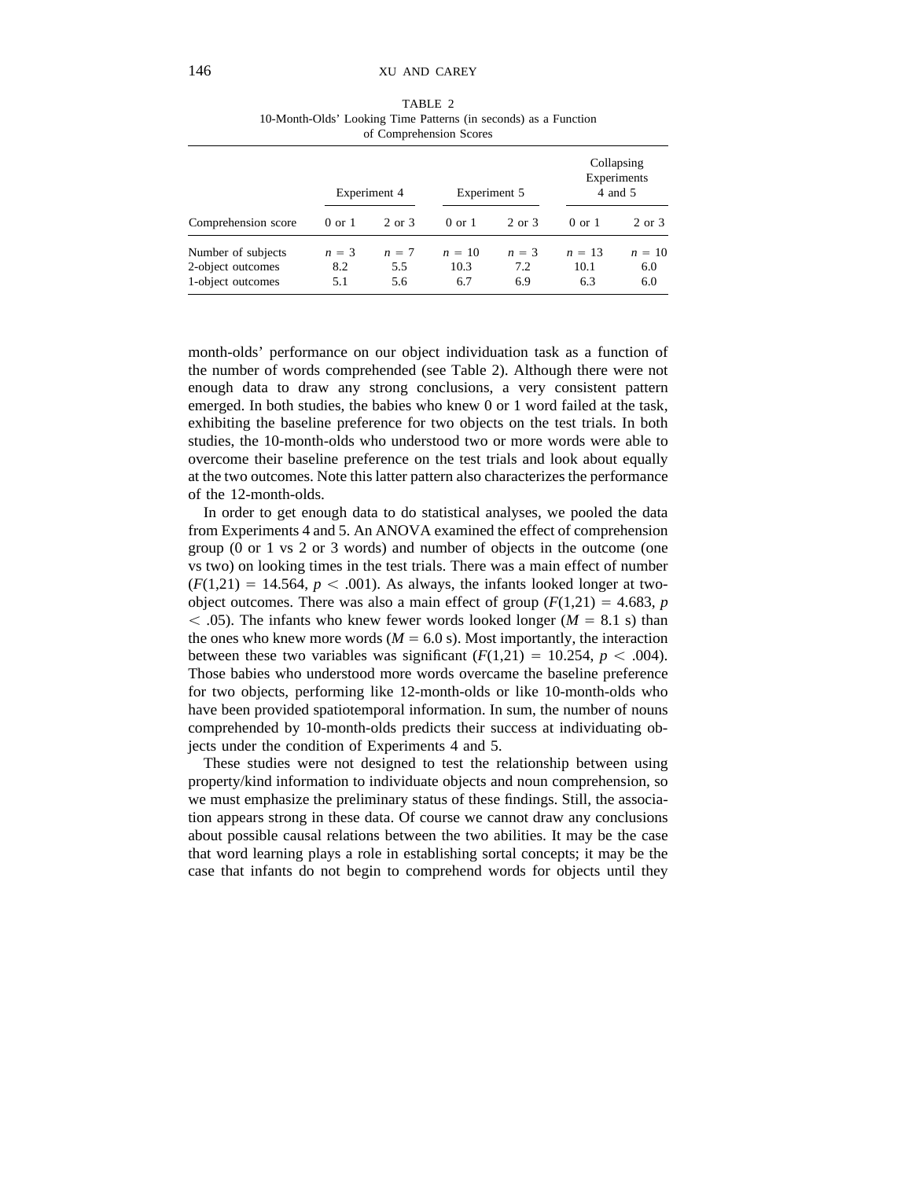| Comprehension score | Experiment 4      |         | Experiment 5      |         | Collapsing<br>Experiments<br>4 and 5 |          |  |  |  |  |
|---------------------|-------------------|---------|-------------------|---------|--------------------------------------|----------|--|--|--|--|
|                     | $0 \text{ or } 1$ | 2 or 3  | $0 \text{ or } 1$ | 2 or 3  | $0 \text{ or } 1$                    | 2 or 3   |  |  |  |  |
| Number of subjects  | $n = 3$           | $n = 7$ | $n = 10$          | $n = 3$ | $n = 13$                             | $n = 10$ |  |  |  |  |
| 2-object outcomes   | 8.2               | 5.5     | 10.3              | 7.2     | 10.1                                 | 6.0      |  |  |  |  |
| 1-object outcomes   | 5.1               | 5.6     | 6.7               | 6.9     | 6.3                                  | 6.0      |  |  |  |  |

TABLE 2 10-Month-Olds' Looking Time Patterns (in seconds) as a Function of Comprehension Scores

month-olds' performance on our object individuation task as a function of the number of words comprehended (see Table 2). Although there were not enough data to draw any strong conclusions, a very consistent pattern emerged. In both studies, the babies who knew 0 or 1 word failed at the task, exhibiting the baseline preference for two objects on the test trials. In both studies, the 10-month-olds who understood two or more words were able to overcome their baseline preference on the test trials and look about equally at the two outcomes. Note this latter pattern also characterizes the performance of the 12-month-olds.

In order to get enough data to do statistical analyses, we pooled the data from Experiments 4 and 5. An ANOVA examined the effect of comprehension group  $(0 \text{ or } 1 \text{ vs } 2 \text{ or } 3 \text{ words})$  and number of objects in the outcome (one vs two) on looking times in the test trials. There was a main effect of number  $(F(1,21) = 14.564, p < .001)$ . As always, the infants looked longer at twoobject outcomes. There was also a main effect of group  $(F(1,21) = 4.683, p)$  $<$  0.05). The infants who knew fewer words looked longer ( $M = 8.1$  s) than the ones who knew more words ( $M = 6.0$  s). Most importantly, the interaction between these two variables was significant  $(F(1,21) = 10.254, p < .004)$ . Those babies who understood more words overcame the baseline preference for two objects, performing like 12-month-olds or like 10-month-olds who have been provided spatiotemporal information. In sum, the number of nouns comprehended by 10-month-olds predicts their success at individuating objects under the condition of Experiments 4 and 5.

These studies were not designed to test the relationship between using property/kind information to individuate objects and noun comprehension, so we must emphasize the preliminary status of these findings. Still, the association appears strong in these data. Of course we cannot draw any conclusions about possible causal relations between the two abilities. It may be the case that word learning plays a role in establishing sortal concepts; it may be the case that infants do not begin to comprehend words for objects until they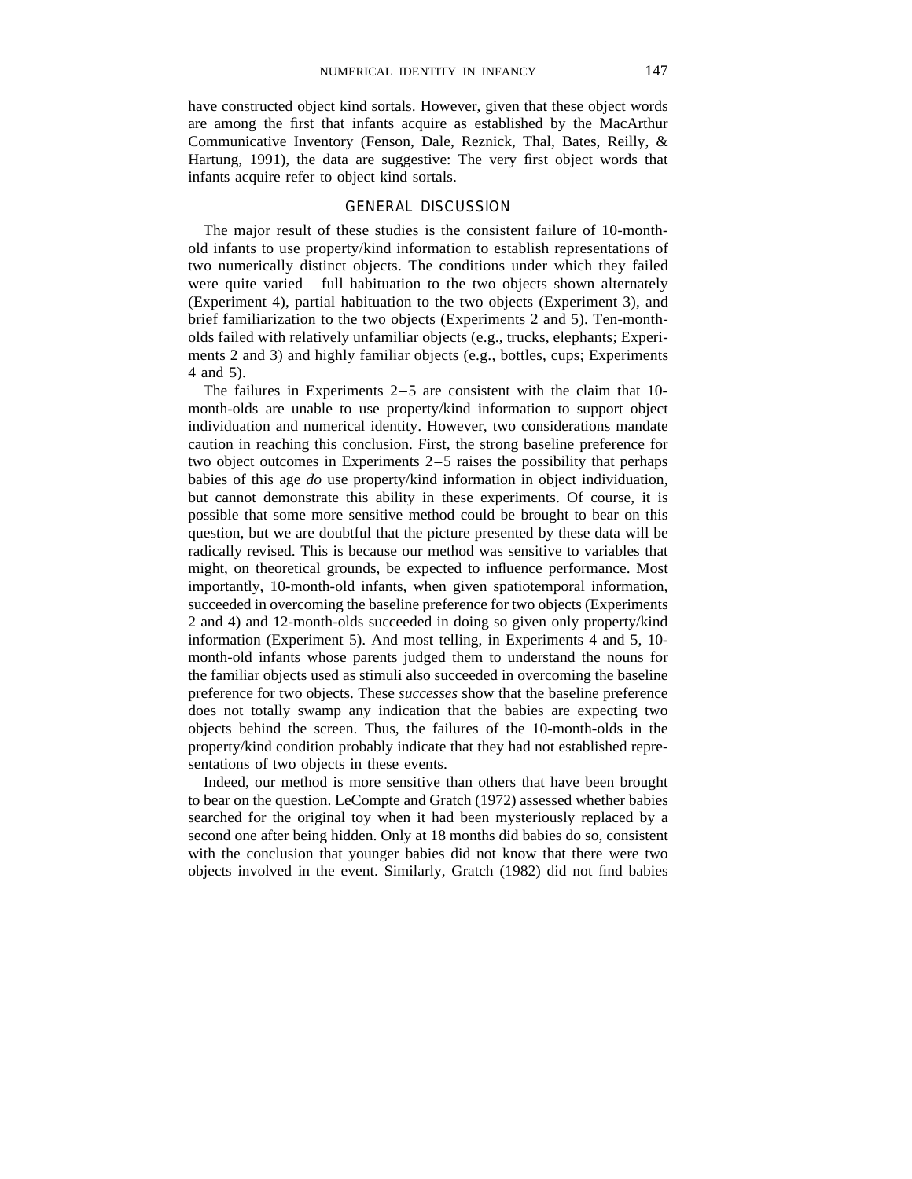have constructed object kind sortals. However, given that these object words are among the first that infants acquire as established by the MacArthur Communicative Inventory (Fenson, Dale, Reznick, Thal, Bates, Reilly, & Hartung, 1991), the data are suggestive: The very first object words that infants acquire refer to object kind sortals.

## GENERAL DISCUSSION

The major result of these studies is the consistent failure of 10-monthold infants to use property/kind information to establish representations of two numerically distinct objects. The conditions under which they failed were quite varied—full habituation to the two objects shown alternately (Experiment 4), partial habituation to the two objects (Experiment 3), and brief familiarization to the two objects (Experiments 2 and 5). Ten-montholds failed with relatively unfamiliar objects (e.g., trucks, elephants; Experiments 2 and 3) and highly familiar objects (e.g., bottles, cups; Experiments 4 and 5).

The failures in Experiments 2–5 are consistent with the claim that 10 month-olds are unable to use property/kind information to support object individuation and numerical identity. However, two considerations mandate caution in reaching this conclusion. First, the strong baseline preference for two object outcomes in Experiments 2–5 raises the possibility that perhaps babies of this age *do* use property/kind information in object individuation, but cannot demonstrate this ability in these experiments. Of course, it is possible that some more sensitive method could be brought to bear on this question, but we are doubtful that the picture presented by these data will be radically revised. This is because our method was sensitive to variables that might, on theoretical grounds, be expected to influence performance. Most importantly, 10-month-old infants, when given spatiotemporal information, succeeded in overcoming the baseline preference for two objects (Experiments 2 and 4) and 12-month-olds succeeded in doing so given only property/kind information (Experiment 5). And most telling, in Experiments 4 and 5, 10 month-old infants whose parents judged them to understand the nouns for the familiar objects used as stimuli also succeeded in overcoming the baseline preference for two objects. These *successes* show that the baseline preference does not totally swamp any indication that the babies are expecting two objects behind the screen. Thus, the failures of the 10-month-olds in the property/kind condition probably indicate that they had not established representations of two objects in these events.

Indeed, our method is more sensitive than others that have been brought to bear on the question. LeCompte and Gratch (1972) assessed whether babies searched for the original toy when it had been mysteriously replaced by a second one after being hidden. Only at 18 months did babies do so, consistent with the conclusion that younger babies did not know that there were two objects involved in the event. Similarly, Gratch (1982) did not find babies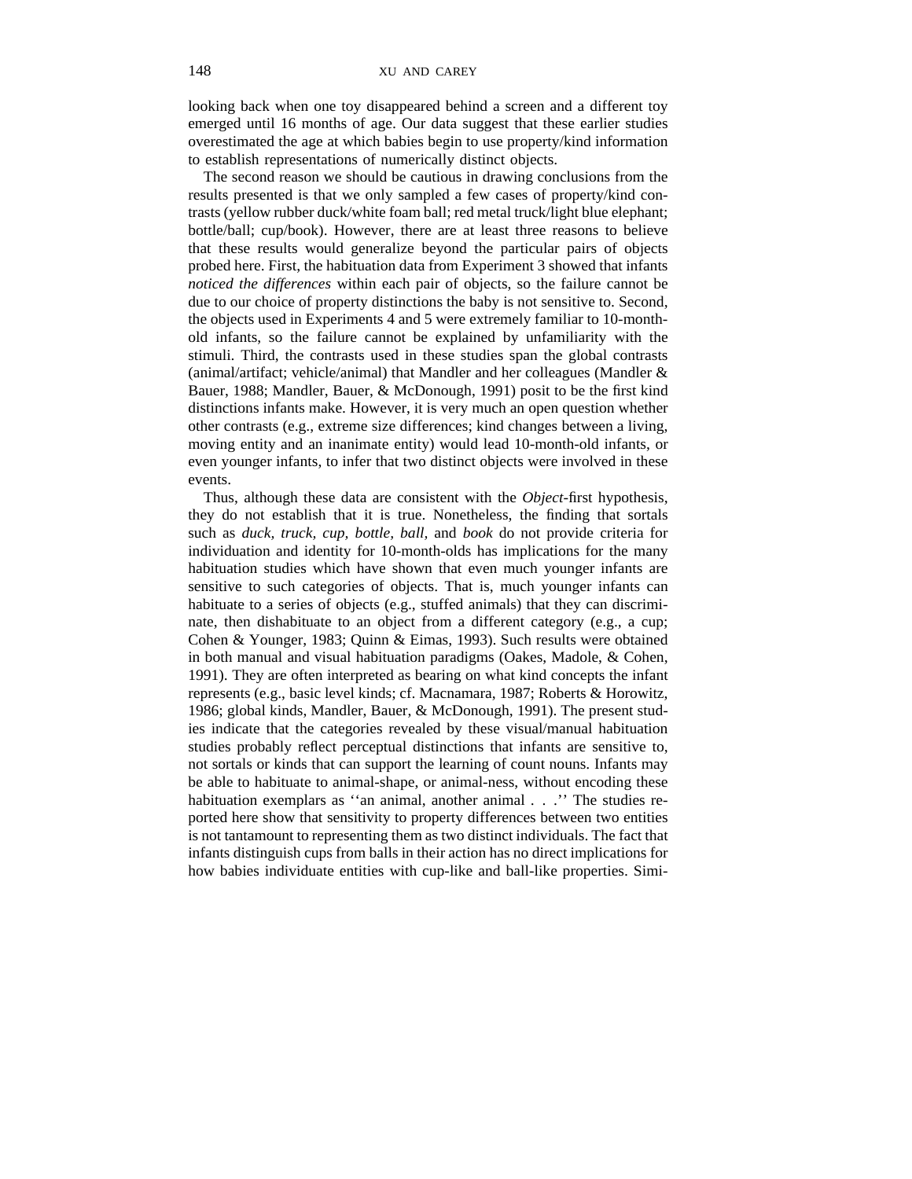looking back when one toy disappeared behind a screen and a different toy emerged until 16 months of age. Our data suggest that these earlier studies overestimated the age at which babies begin to use property/kind information to establish representations of numerically distinct objects.

The second reason we should be cautious in drawing conclusions from the results presented is that we only sampled a few cases of property/kind contrasts (yellow rubber duck/white foam ball; red metal truck/light blue elephant; bottle/ball; cup/book). However, there are at least three reasons to believe that these results would generalize beyond the particular pairs of objects probed here. First, the habituation data from Experiment 3 showed that infants *noticed the differences* within each pair of objects, so the failure cannot be due to our choice of property distinctions the baby is not sensitive to. Second, the objects used in Experiments 4 and 5 were extremely familiar to 10-monthold infants, so the failure cannot be explained by unfamiliarity with the stimuli. Third, the contrasts used in these studies span the global contrasts (animal/artifact; vehicle/animal) that Mandler and her colleagues (Mandler & Bauer, 1988; Mandler, Bauer, & McDonough, 1991) posit to be the first kind distinctions infants make. However, it is very much an open question whether other contrasts (e.g., extreme size differences; kind changes between a living, moving entity and an inanimate entity) would lead 10-month-old infants, or even younger infants, to infer that two distinct objects were involved in these events.

Thus, although these data are consistent with the *Object*-first hypothesis, they do not establish that it is true. Nonetheless, the finding that sortals such as *duck, truck, cup, bottle, ball,* and *book* do not provide criteria for individuation and identity for 10-month-olds has implications for the many habituation studies which have shown that even much younger infants are sensitive to such categories of objects. That is, much younger infants can habituate to a series of objects (e.g., stuffed animals) that they can discriminate, then dishabituate to an object from a different category (e.g., a cup; Cohen & Younger, 1983; Quinn & Eimas, 1993). Such results were obtained in both manual and visual habituation paradigms (Oakes, Madole, & Cohen, 1991). They are often interpreted as bearing on what kind concepts the infant represents (e.g., basic level kinds; cf. Macnamara, 1987; Roberts & Horowitz, 1986; global kinds, Mandler, Bauer, & McDonough, 1991). The present studies indicate that the categories revealed by these visual/manual habituation studies probably reflect perceptual distinctions that infants are sensitive to, not sortals or kinds that can support the learning of count nouns. Infants may be able to habituate to animal-shape, or animal-ness, without encoding these habituation exemplars as "an animal, another animal . . ." The studies reported here show that sensitivity to property differences between two entities is not tantamount to representing them as two distinct individuals. The fact that infants distinguish cups from balls in their action has no direct implications for how babies individuate entities with cup-like and ball-like properties. Simi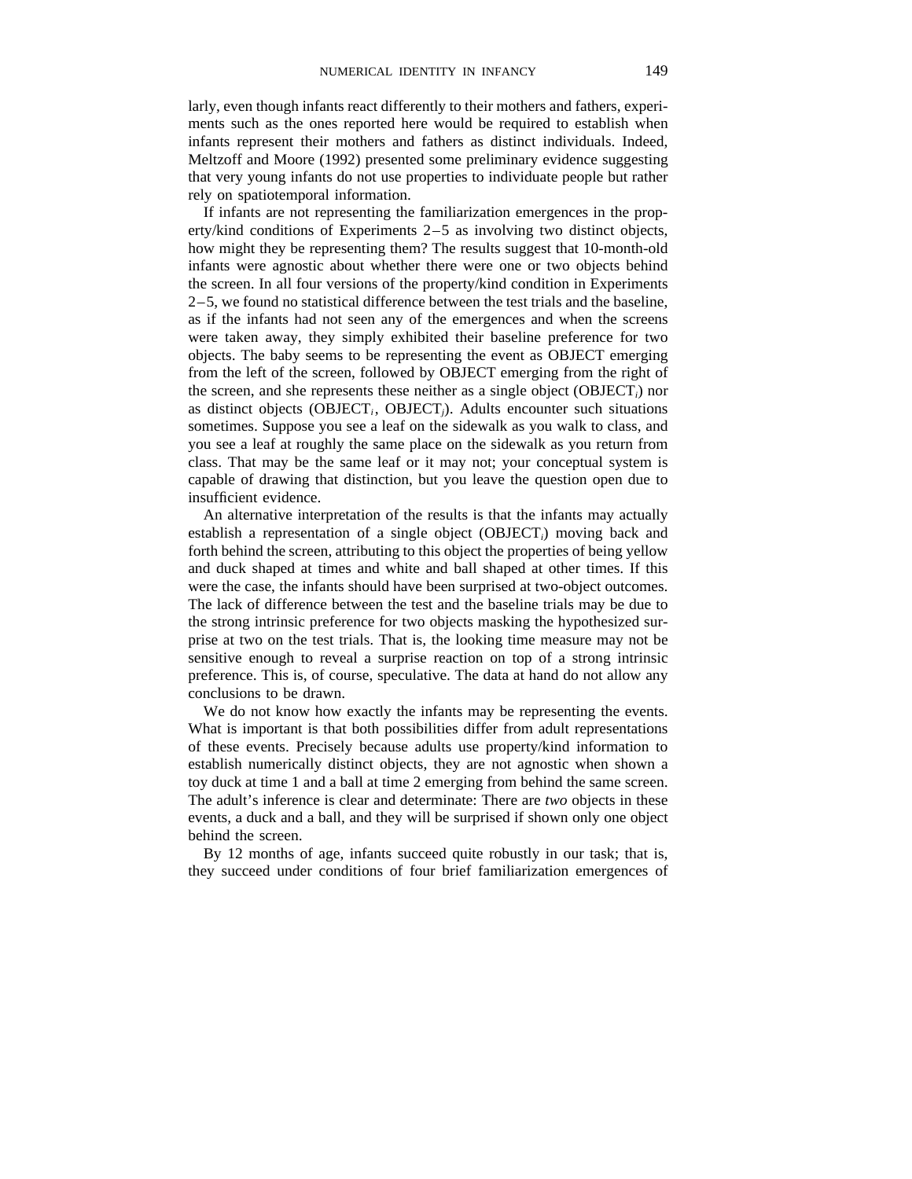larly, even though infants react differently to their mothers and fathers, experiments such as the ones reported here would be required to establish when infants represent their mothers and fathers as distinct individuals. Indeed, Meltzoff and Moore (1992) presented some preliminary evidence suggesting that very young infants do not use properties to individuate people but rather rely on spatiotemporal information.

If infants are not representing the familiarization emergences in the property/kind conditions of Experiments 2–5 as involving two distinct objects, how might they be representing them? The results suggest that 10-month-old infants were agnostic about whether there were one or two objects behind the screen. In all four versions of the property/kind condition in Experiments  $2-5$ , we found no statistical difference between the test trials and the baseline. as if the infants had not seen any of the emergences and when the screens were taken away, they simply exhibited their baseline preference for two objects. The baby seems to be representing the event as OBJECT emerging from the left of the screen, followed by OBJECT emerging from the right of the screen, and she represents these neither as a single object (OBJECT*i*) nor as distinct objects (OBJECT<sub>*i*</sub>, OBJECT<sub>*i*</sub>). Adults encounter such situations sometimes. Suppose you see a leaf on the sidewalk as you walk to class, and you see a leaf at roughly the same place on the sidewalk as you return from class. That may be the same leaf or it may not; your conceptual system is capable of drawing that distinction, but you leave the question open due to insufficient evidence.

An alternative interpretation of the results is that the infants may actually establish a representation of a single object (OBJECT*i*) moving back and forth behind the screen, attributing to this object the properties of being yellow and duck shaped at times and white and ball shaped at other times. If this were the case, the infants should have been surprised at two-object outcomes. The lack of difference between the test and the baseline trials may be due to the strong intrinsic preference for two objects masking the hypothesized surprise at two on the test trials. That is, the looking time measure may not be sensitive enough to reveal a surprise reaction on top of a strong intrinsic preference. This is, of course, speculative. The data at hand do not allow any conclusions to be drawn.

We do not know how exactly the infants may be representing the events. What is important is that both possibilities differ from adult representations of these events. Precisely because adults use property/kind information to establish numerically distinct objects, they are not agnostic when shown a toy duck at time 1 and a ball at time 2 emerging from behind the same screen. The adult's inference is clear and determinate: There are *two* objects in these events, a duck and a ball, and they will be surprised if shown only one object behind the screen.

By 12 months of age, infants succeed quite robustly in our task; that is, they succeed under conditions of four brief familiarization emergences of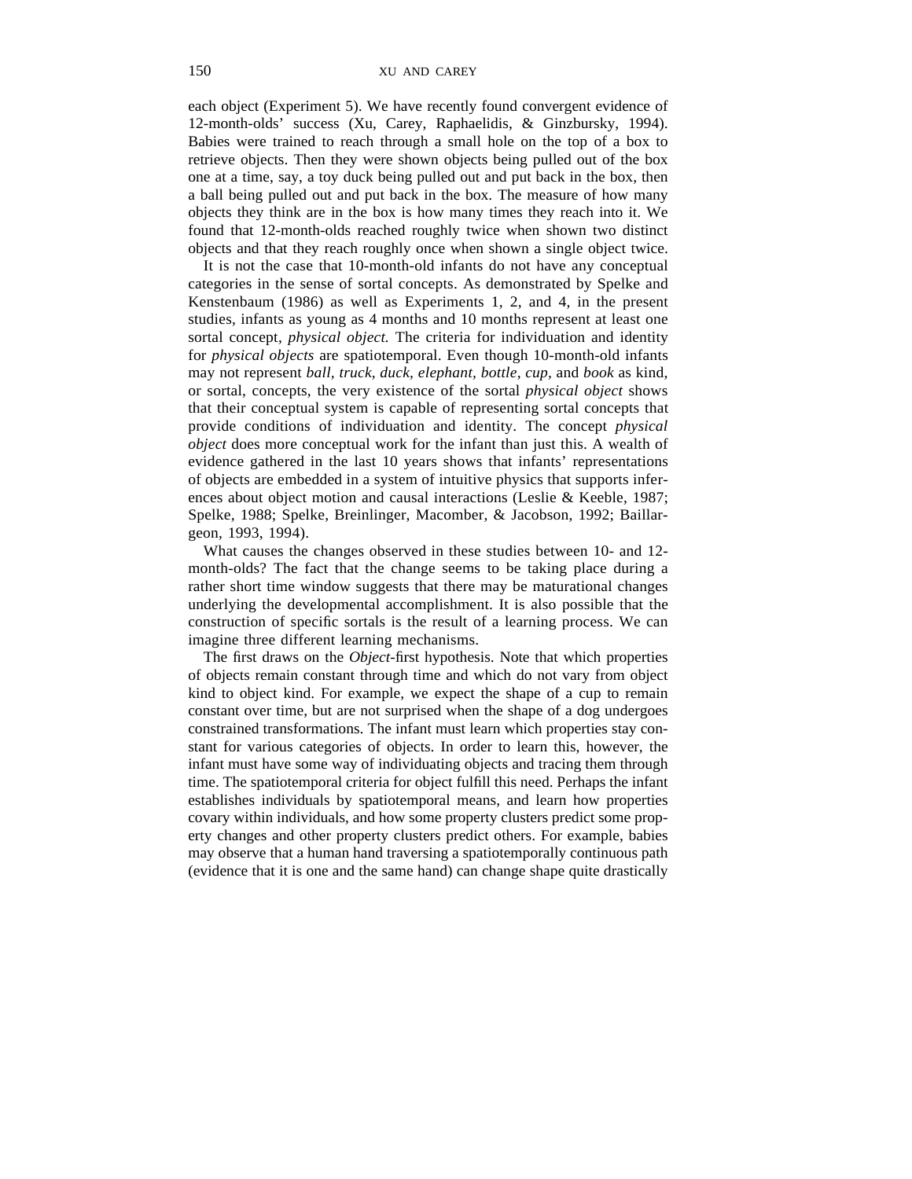each object (Experiment 5). We have recently found convergent evidence of 12-month-olds' success (Xu, Carey, Raphaelidis, & Ginzbursky, 1994). Babies were trained to reach through a small hole on the top of a box to retrieve objects. Then they were shown objects being pulled out of the box one at a time, say, a toy duck being pulled out and put back in the box, then a ball being pulled out and put back in the box. The measure of how many objects they think are in the box is how many times they reach into it. We found that 12-month-olds reached roughly twice when shown two distinct objects and that they reach roughly once when shown a single object twice.

It is not the case that 10-month-old infants do not have any conceptual categories in the sense of sortal concepts. As demonstrated by Spelke and Kenstenbaum (1986) as well as Experiments 1, 2, and 4, in the present studies, infants as young as 4 months and 10 months represent at least one sortal concept, *physical object.* The criteria for individuation and identity for *physical objects* are spatiotemporal. Even though 10-month-old infants may not represent *ball, truck, duck, elephant, bottle, cup,* and *book* as kind, or sortal, concepts, the very existence of the sortal *physical object* shows that their conceptual system is capable of representing sortal concepts that provide conditions of individuation and identity. The concept *physical object* does more conceptual work for the infant than just this. A wealth of evidence gathered in the last 10 years shows that infants' representations of objects are embedded in a system of intuitive physics that supports inferences about object motion and causal interactions (Leslie & Keeble, 1987; Spelke, 1988; Spelke, Breinlinger, Macomber, & Jacobson, 1992; Baillargeon, 1993, 1994).

What causes the changes observed in these studies between 10- and 12 month-olds? The fact that the change seems to be taking place during a rather short time window suggests that there may be maturational changes underlying the developmental accomplishment. It is also possible that the construction of specific sortals is the result of a learning process. We can imagine three different learning mechanisms.

The first draws on the *Object*-first hypothesis. Note that which properties of objects remain constant through time and which do not vary from object kind to object kind. For example, we expect the shape of a cup to remain constant over time, but are not surprised when the shape of a dog undergoes constrained transformations. The infant must learn which properties stay constant for various categories of objects. In order to learn this, however, the infant must have some way of individuating objects and tracing them through time. The spatiotemporal criteria for object fulfill this need. Perhaps the infant establishes individuals by spatiotemporal means, and learn how properties covary within individuals, and how some property clusters predict some property changes and other property clusters predict others. For example, babies may observe that a human hand traversing a spatiotemporally continuous path (evidence that it is one and the same hand) can change shape quite drastically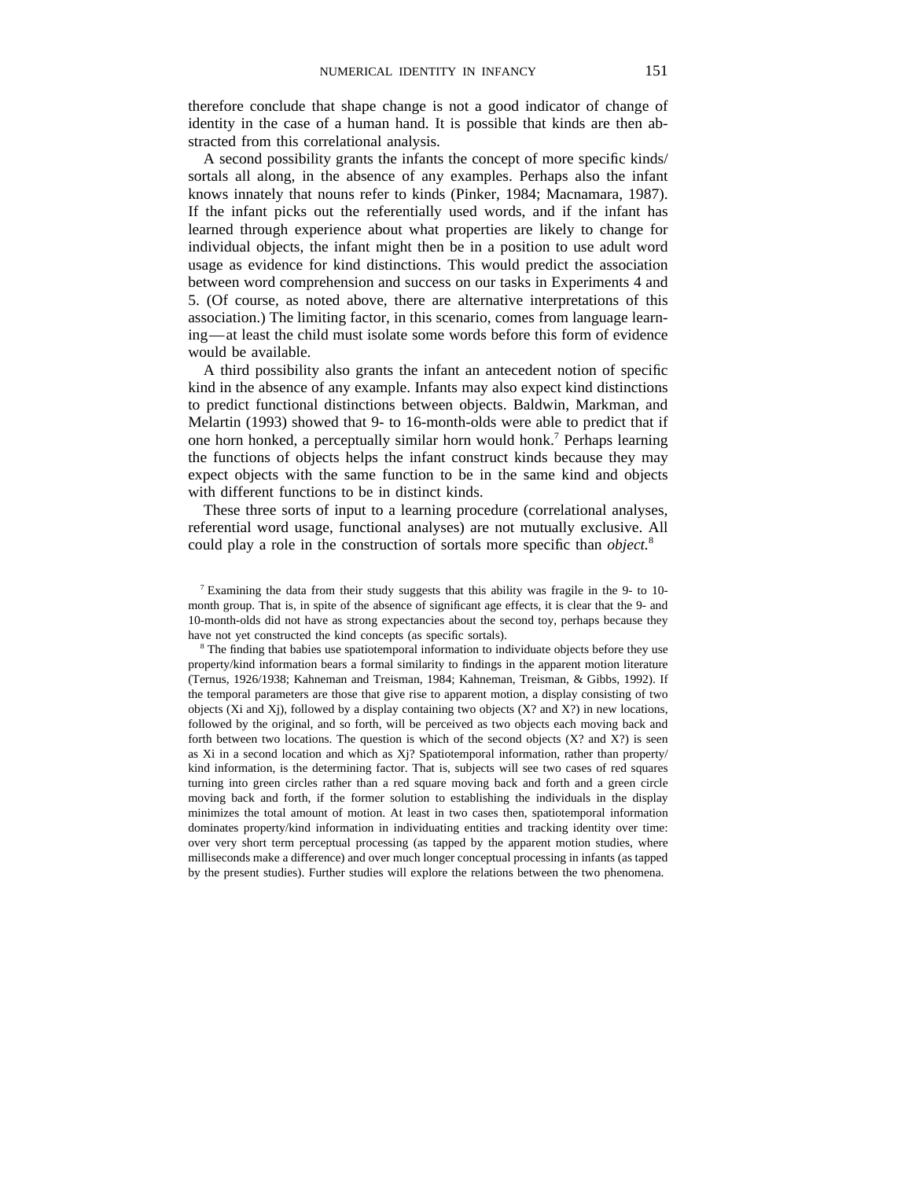therefore conclude that shape change is not a good indicator of change of identity in the case of a human hand. It is possible that kinds are then abstracted from this correlational analysis.

A second possibility grants the infants the concept of more specific kinds/ sortals all along, in the absence of any examples. Perhaps also the infant knows innately that nouns refer to kinds (Pinker, 1984; Macnamara, 1987). If the infant picks out the referentially used words, and if the infant has learned through experience about what properties are likely to change for individual objects, the infant might then be in a position to use adult word usage as evidence for kind distinctions. This would predict the association between word comprehension and success on our tasks in Experiments 4 and 5. (Of course, as noted above, there are alternative interpretations of this association.) The limiting factor, in this scenario, comes from language learning—at least the child must isolate some words before this form of evidence would be available.

A third possibility also grants the infant an antecedent notion of specific kind in the absence of any example. Infants may also expect kind distinctions to predict functional distinctions between objects. Baldwin, Markman, and Melartin (1993) showed that 9- to 16-month-olds were able to predict that if one horn honked, a perceptually similar horn would honk.<sup>7</sup> Perhaps learning the functions of objects helps the infant construct kinds because they may expect objects with the same function to be in the same kind and objects with different functions to be in distinct kinds.

These three sorts of input to a learning procedure (correlational analyses, referential word usage, functional analyses) are not mutually exclusive. All could play a role in the construction of sortals more specific than *object.*<sup>8</sup>

<sup>7</sup> Examining the data from their study suggests that this ability was fragile in the 9- to 10month group. That is, in spite of the absence of significant age effects, it is clear that the 9- and 10-month-olds did not have as strong expectancies about the second toy, perhaps because they have not yet constructed the kind concepts (as specific sortals).

<sup>8</sup> The finding that babies use spatiotemporal information to individuate objects before they use property/kind information bears a formal similarity to findings in the apparent motion literature (Ternus, 1926/1938; Kahneman and Treisman, 1984; Kahneman, Treisman, & Gibbs, 1992). If the temporal parameters are those that give rise to apparent motion, a display consisting of two objects (Xi and Xj), followed by a display containing two objects  $(X$ ? and  $X$ ?) in new locations, followed by the original, and so forth, will be perceived as two objects each moving back and forth between two locations. The question is which of the second objects  $(X$ ? and  $X$ ?) is seen as Xi in a second location and which as  $X$ j? Spatiotemporal information, rather than property/ kind information, is the determining factor. That is, subjects will see two cases of red squares turning into green circles rather than a red square moving back and forth and a green circle moving back and forth, if the former solution to establishing the individuals in the display minimizes the total amount of motion. At least in two cases then, spatiotemporal information dominates property/kind information in individuating entities and tracking identity over time: over very short term perceptual processing (as tapped by the apparent motion studies, where milliseconds make a difference) and over much longer conceptual processing in infants (as tapped by the present studies). Further studies will explore the relations between the two phenomena.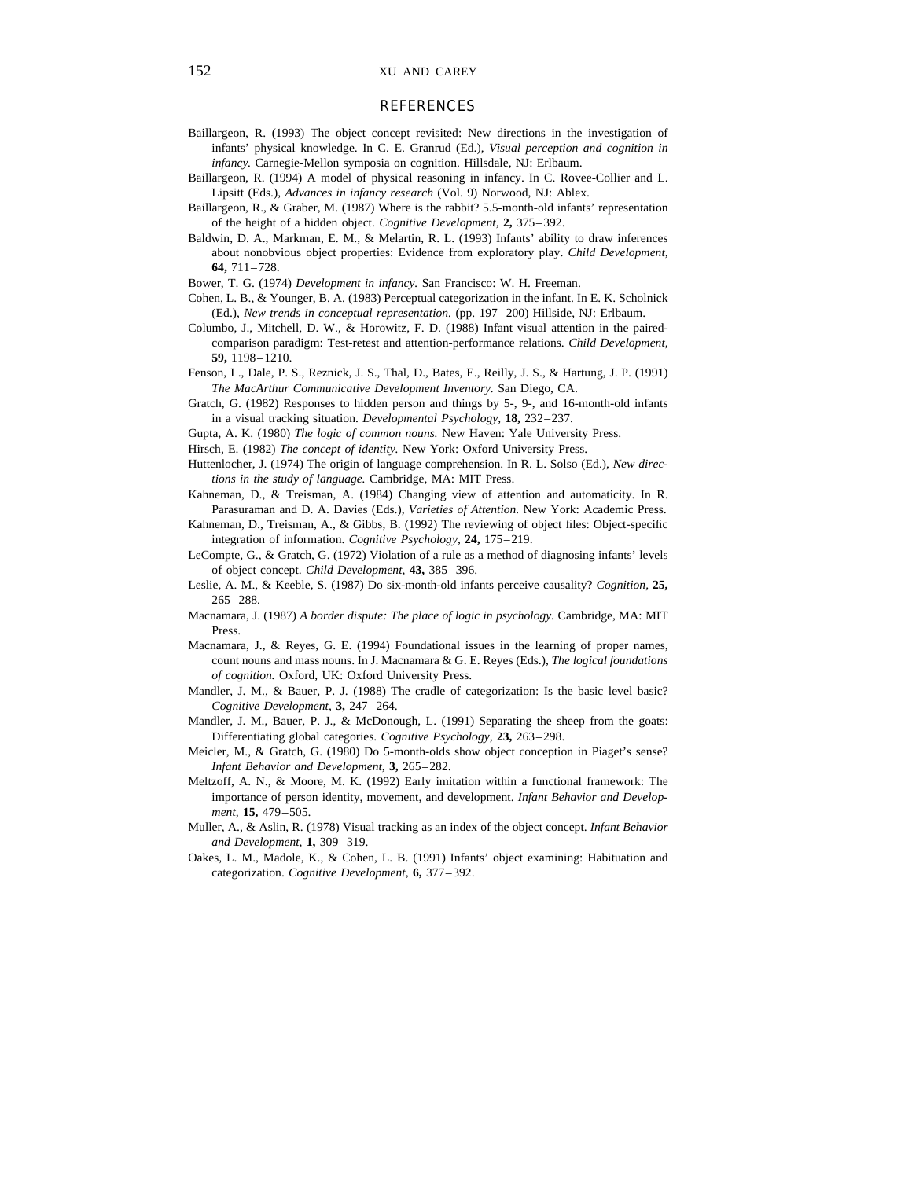#### **REFERENCES**

- Baillargeon, R. (1993) The object concept revisited: New directions in the investigation of infants' physical knowledge. In C. E. Granrud (Ed.), *Visual perception and cognition in infancy.* Carnegie-Mellon symposia on cognition. Hillsdale, NJ: Erlbaum.
- Baillargeon, R. (1994) A model of physical reasoning in infancy. In C. Rovee-Collier and L. Lipsitt (Eds.), *Advances in infancy research* (Vol. 9) Norwood, NJ: Ablex.
- Baillargeon, R., & Graber, M. (1987) Where is the rabbit? 5.5-month-old infants' representation of the height of a hidden object. *Cognitive Development,* **2,** 375–392.
- Baldwin, D. A., Markman, E. M., & Melartin, R. L. (1993) Infants' ability to draw inferences about nonobvious object properties: Evidence from exploratory play. *Child Development,* **64,** 711–728.
- Bower, T. G. (1974) *Development in infancy.* San Francisco: W. H. Freeman.
- Cohen, L. B., & Younger, B. A. (1983) Perceptual categorization in the infant. In E. K. Scholnick (Ed.), *New trends in conceptual representation.* (pp. 197–200) Hillside, NJ: Erlbaum.
- Columbo, J., Mitchell, D. W., & Horowitz, F. D. (1988) Infant visual attention in the pairedcomparison paradigm: Test-retest and attention-performance relations. *Child Development,* **59,** 1198–1210.
- Fenson, L., Dale, P. S., Reznick, J. S., Thal, D., Bates, E., Reilly, J. S., & Hartung, J. P. (1991) *The MacArthur Communicative Development Inventory.* San Diego, CA.
- Gratch, G. (1982) Responses to hidden person and things by 5-, 9-, and 16-month-old infants in a visual tracking situation. *Developmental Psychology,* **18,** 232–237.
- Gupta, A. K. (1980) *The logic of common nouns.* New Haven: Yale University Press.
- Hirsch, E. (1982) *The concept of identity.* New York: Oxford University Press.
- Huttenlocher, J. (1974) The origin of language comprehension. In R. L. Solso (Ed.), *New directions in the study of language.* Cambridge, MA: MIT Press.
- Kahneman, D., & Treisman, A. (1984) Changing view of attention and automaticity. In R. Parasuraman and D. A. Davies (Eds.), *Varieties of Attention.* New York: Academic Press.
- Kahneman, D., Treisman, A., & Gibbs, B. (1992) The reviewing of object files: Object-specific integration of information. *Cognitive Psychology,* **24,** 175–219.
- LeCompte, G., & Gratch, G. (1972) Violation of a rule as a method of diagnosing infants' levels of object concept. *Child Development,* **43,** 385–396.
- Leslie, A. M., & Keeble, S. (1987) Do six-month-old infants perceive causality? *Cognition,* **25,** 265–288.
- Macnamara, J. (1987) *A border dispute: The place of logic in psychology.* Cambridge, MA: MIT Press.
- Macnamara, J., & Reyes, G. E. (1994) Foundational issues in the learning of proper names, count nouns and mass nouns. In J. Macnamara & G. E. Reyes (Eds.), *The logical foundations of cognition.* Oxford, UK: Oxford University Press.
- Mandler, J. M., & Bauer, P. J. (1988) The cradle of categorization: Is the basic level basic? *Cognitive Development,* **3,** 247–264.
- Mandler, J. M., Bauer, P. J., & McDonough, L. (1991) Separating the sheep from the goats: Differentiating global categories. *Cognitive Psychology,* **23,** 263–298.
- Meicler, M., & Gratch, G. (1980) Do 5-month-olds show object conception in Piaget's sense? *Infant Behavior and Development,* **3,** 265–282.
- Meltzoff, A. N., & Moore, M. K. (1992) Early imitation within a functional framework: The importance of person identity, movement, and development. *Infant Behavior and Development,* **15,** 479–505.
- Muller, A., & Aslin, R. (1978) Visual tracking as an index of the object concept. *Infant Behavior and Development,* **1,** 309–319.
- Oakes, L. M., Madole, K., & Cohen, L. B. (1991) Infants' object examining: Habituation and categorization. *Cognitive Development,* **6,** 377–392.